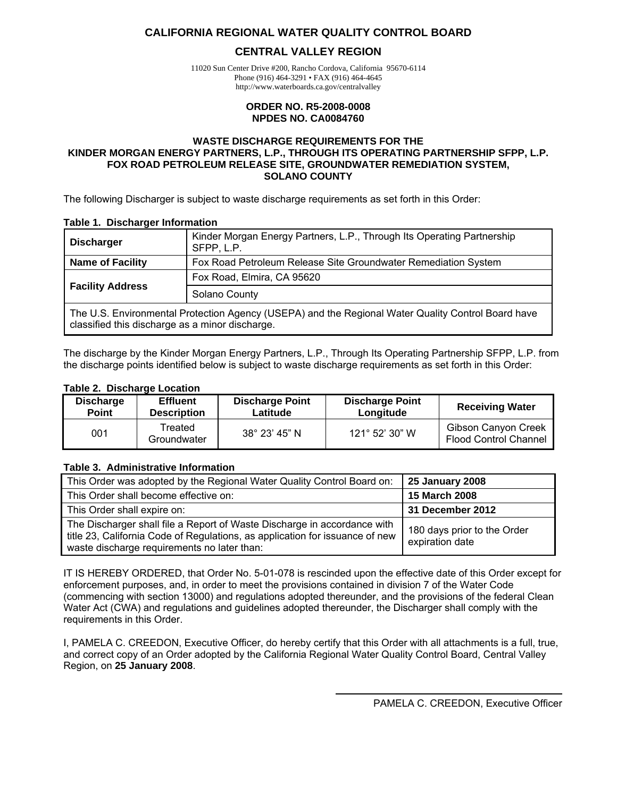#### <span id="page-0-0"></span>**CALIFORNIA REGIONAL WATER QUALITY CONTROL BOARD**

#### **CENTRAL VALLEY REGION**

11020 Sun Center Drive #200, Rancho Cordova, California 95670-6114 Phone (916) 464-3291 • FAX (916) 464-4645 http://www.waterboards.ca.gov/centralvalley

#### **ORDER NO. R5-2008-0008 NPDES NO. CA0084760**

#### **WASTE DISCHARGE REQUIREMENTS FOR THE KINDER MORGAN ENERGY PARTNERS, L.P., THROUGH ITS OPERATING PARTNERSHIP SFPP, L.P. FOX ROAD PETROLEUM RELEASE SITE, GROUNDWATER REMEDIATION SYSTEM, SOLANO COUNTY**

The following Discharger is subject to waste discharge requirements as set forth in this Order:

#### **Table 1. Discharger Information**

| Kinder Morgan Energy Partners, L.P., Through Its Operating Partnership<br><b>Discharger</b><br>SFPP, L.P.                                             |                                                                |  |  |  |
|-------------------------------------------------------------------------------------------------------------------------------------------------------|----------------------------------------------------------------|--|--|--|
| <b>Name of Facility</b>                                                                                                                               | Fox Road Petroleum Release Site Groundwater Remediation System |  |  |  |
| <b>Facility Address</b>                                                                                                                               | Fox Road, Elmira, CA 95620                                     |  |  |  |
|                                                                                                                                                       | Solano County                                                  |  |  |  |
| The U.S. Environmental Protection Agency (USEPA) and the Regional Water Quality Control Board have<br>classified this discharge as a minor discharge. |                                                                |  |  |  |

The discharge by the Kinder Morgan Energy Partners, L.P., Through Its Operating Partnership SFPP, L.P. from the discharge points identified below is subject to waste discharge requirements as set forth in this Order:

#### **Table 2. Discharge Location**

| <b>Effluent</b><br><b>Discharge</b><br><b>Point</b><br><b>Description</b> |                        | <b>Discharge Point</b><br><b>Discharge Point</b><br>Latitude<br>Longitude |                | <b>Receiving Water</b>                                     |
|---------------------------------------------------------------------------|------------------------|---------------------------------------------------------------------------|----------------|------------------------------------------------------------|
| 001                                                                       | Treated<br>Groundwater | 38° 23' 45" N                                                             | 121° 52' 30" W | <b>Gibson Canyon Creek</b><br><b>Flood Control Channel</b> |

#### **Table 3. Administrative Information**

| This Order was adopted by the Regional Water Quality Control Board on:                                                                                                                                  | <b>25 January 2008</b>                         |
|---------------------------------------------------------------------------------------------------------------------------------------------------------------------------------------------------------|------------------------------------------------|
| This Order shall become effective on:                                                                                                                                                                   | 15 March 2008                                  |
| This Order shall expire on:                                                                                                                                                                             | 31 December 2012                               |
| The Discharger shall file a Report of Waste Discharge in accordance with<br>title 23, California Code of Regulations, as application for issuance of new<br>waste discharge requirements no later than: | 180 days prior to the Order<br>expiration date |

IT IS HEREBY ORDERED, that Order No. 5-01-078 is rescinded upon the effective date of this Order except for enforcement purposes, and, in order to meet the provisions contained in division 7 of the Water Code (commencing with section 13000) and regulations adopted thereunder, and the provisions of the federal Clean Water Act (CWA) and regulations and guidelines adopted thereunder, the Discharger shall comply with the requirements in this Order.

I, PAMELA C. CREEDON, Executive Officer, do hereby certify that this Order with all attachments is a full, true, and correct copy of an Order adopted by the California Regional Water Quality Control Board, Central Valley Region, on **25 January 2008**.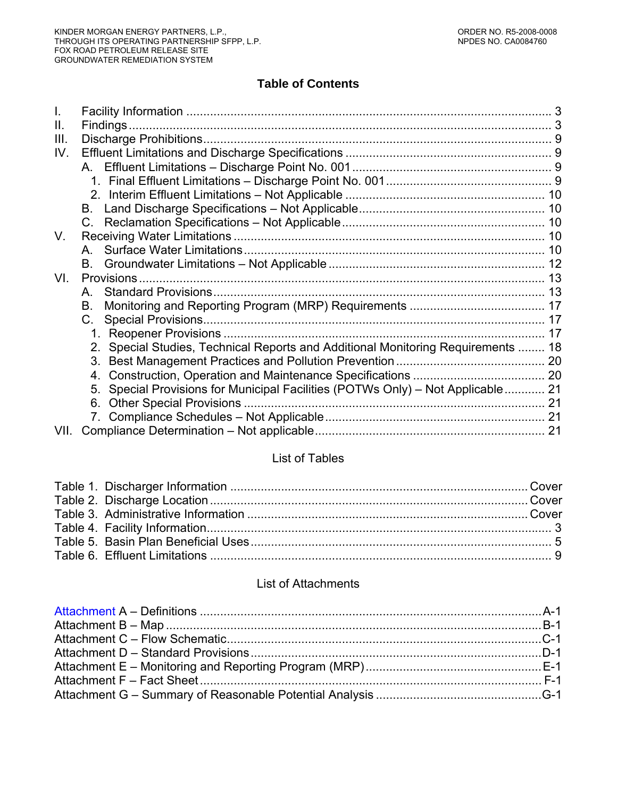# **Table of Contents**

| Ш.   |                                                                                     |  |
|------|-------------------------------------------------------------------------------------|--|
| III. |                                                                                     |  |
| IV.  |                                                                                     |  |
|      |                                                                                     |  |
|      |                                                                                     |  |
|      |                                                                                     |  |
|      | B.                                                                                  |  |
|      |                                                                                     |  |
| V.   |                                                                                     |  |
|      |                                                                                     |  |
|      |                                                                                     |  |
| VI.  |                                                                                     |  |
|      | A                                                                                   |  |
|      | В.                                                                                  |  |
|      | <b>Special Provisions.</b><br>C.                                                    |  |
|      |                                                                                     |  |
|      | Special Studies, Technical Reports and Additional Monitoring Requirements  18<br>2. |  |
|      | 3.                                                                                  |  |
|      | 4.                                                                                  |  |
|      | Special Provisions for Municipal Facilities (POTWs Only) - Not Applicable 21<br>5.  |  |
|      | 6.                                                                                  |  |
|      |                                                                                     |  |
| VII. |                                                                                     |  |

#### List of Tables

#### List of Attachments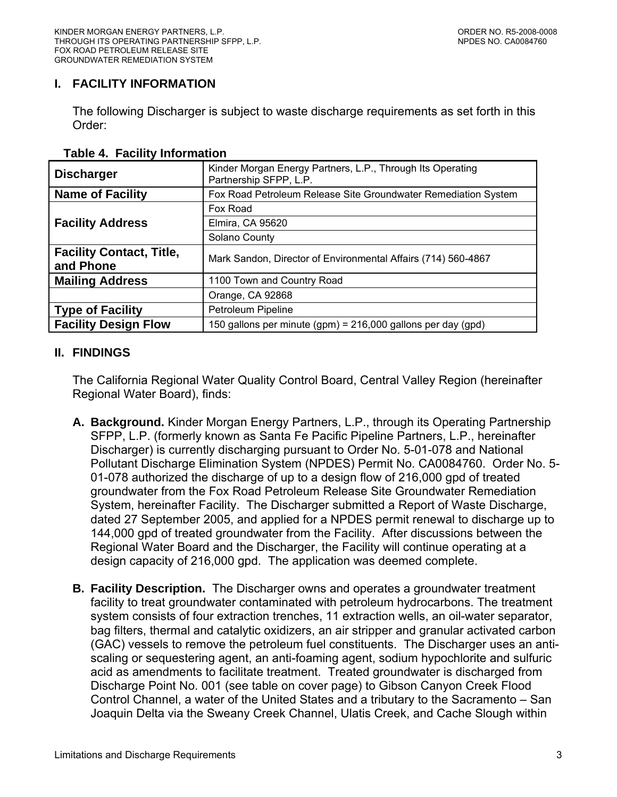## <span id="page-2-0"></span>**I. FACILITY INFORMATION**

The following Discharger is subject to waste discharge requirements as set forth in this Order:

| <b>Discharger</b>                            | Kinder Morgan Energy Partners, L.P., Through Its Operating<br>Partnership SFPP, L.P. |
|----------------------------------------------|--------------------------------------------------------------------------------------|
| <b>Name of Facility</b>                      | Fox Road Petroleum Release Site Groundwater Remediation System                       |
|                                              | Fox Road                                                                             |
| <b>Facility Address</b>                      | Elmira, CA 95620                                                                     |
|                                              | Solano County                                                                        |
| <b>Facility Contact, Title,</b><br>and Phone | Mark Sandon, Director of Environmental Affairs (714) 560-4867                        |
| <b>Mailing Address</b>                       | 1100 Town and Country Road                                                           |
|                                              | Orange, CA 92868                                                                     |
| <b>Type of Facility</b>                      | Petroleum Pipeline                                                                   |
| <b>Facility Design Flow</b>                  | 150 gallons per minute (gpm) = 216,000 gallons per day (gpd)                         |

#### **Table 4. Facility Information**

## **II. FINDINGS**

The California Regional Water Quality Control Board, Central Valley Region (hereinafter Regional Water Board), finds:

- **A. Background.** Kinder Morgan Energy Partners, L.P., through its Operating Partnership SFPP, L.P. (formerly known as Santa Fe Pacific Pipeline Partners, L.P., hereinafter Discharger) is currently discharging pursuant to Order No. 5-01-078 and National Pollutant Discharge Elimination System (NPDES) Permit No. CA0084760. Order No. 5- 01-078 authorized the discharge of up to a design flow of 216,000 gpd of treated groundwater from the Fox Road Petroleum Release Site Groundwater Remediation System, hereinafter Facility. The Discharger submitted a Report of Waste Discharge, dated 27 September 2005, and applied for a NPDES permit renewal to discharge up to 144,000 gpd of treated groundwater from the Facility. After discussions between the Regional Water Board and the Discharger, the Facility will continue operating at a design capacity of 216,000 gpd. The application was deemed complete.
- **B. Facility Description.** The Discharger owns and operates a groundwater treatment facility to treat groundwater contaminated with petroleum hydrocarbons. The treatment system consists of four extraction trenches, 11 extraction wells, an oil-water separator, bag filters, thermal and catalytic oxidizers, an air stripper and granular activated carbon (GAC) vessels to remove the petroleum fuel constituents. The Discharger uses an antiscaling or sequestering agent, an anti-foaming agent, sodium hypochlorite and sulfuric acid as amendments to facilitate treatment. Treated groundwater is discharged from Discharge Point No. 001 (see table on cover page) to Gibson Canyon Creek Flood Control Channel, a water of the United States and a tributary to the Sacramento – San Joaquin Delta via the Sweany Creek Channel, Ulatis Creek, and Cache Slough within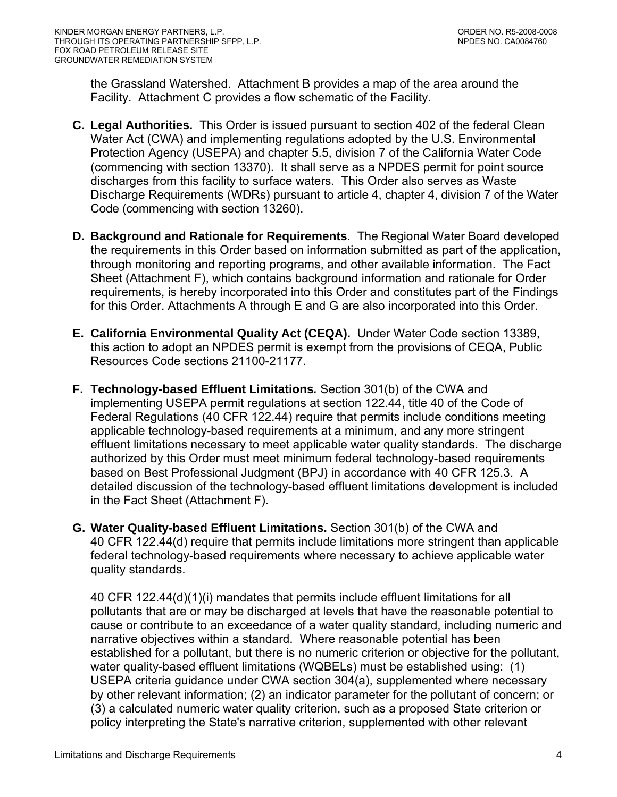the Grassland Watershed. Attachment B provides a map of the area around the Facility. Attachment C provides a flow schematic of the Facility.

- **C. Legal Authorities.** This Order is issued pursuant to section 402 of the federal Clean Water Act (CWA) and implementing regulations adopted by the U.S. Environmental Protection Agency (USEPA) and chapter 5.5, division 7 of the California Water Code (commencing with section 13370). It shall serve as a NPDES permit for point source discharges from this facility to surface waters. This Order also serves as Waste Discharge Requirements (WDRs) pursuant to article 4, chapter 4, division 7 of the Water Code (commencing with section 13260).
- **D. Background and Rationale for Requirements**. The Regional Water Board developed the requirements in this Order based on information submitted as part of the application, through monitoring and reporting programs, and other available information. The Fact Sheet (Attachment F), which contains background information and rationale for Order requirements, is hereby incorporated into this Order and constitutes part of the Findings for this Order. Attachments A through E and G are also incorporated into this Order.
- **E. California Environmental Quality Act (CEQA).** Under Water Code section 13389, this action to adopt an NPDES permit is exempt from the provisions of CEQA, Public Resources Code sections 21100-21177.
- **F. Technology-based Effluent Limitations***.* Section 301(b) of the CWA and implementing USEPA permit regulations at section 122.44, title 40 of the Code of Federal Regulations (40 CFR 122.44) require that permits include conditions meeting applicable technology-based requirements at a minimum, and any more stringent effluent limitations necessary to meet applicable water quality standards. The discharge authorized by this Order must meet minimum federal technology-based requirements based on Best Professional Judgment (BPJ) in accordance with 40 CFR 125.3. A detailed discussion of the technology-based effluent limitations development is included in the Fact Sheet (Attachment F).
- **G. Water Quality-based Effluent Limitations.** Section 301(b) of the CWA and 40 CFR 122.44(d) require that permits include limitations more stringent than applicable federal technology-based requirements where necessary to achieve applicable water quality standards.

40 CFR 122.44(d)(1)(i) mandates that permits include effluent limitations for all pollutants that are or may be discharged at levels that have the reasonable potential to cause or contribute to an exceedance of a water quality standard, including numeric and narrative objectives within a standard. Where reasonable potential has been established for a pollutant, but there is no numeric criterion or objective for the pollutant, water quality-based effluent limitations (WQBELs) must be established using: (1) USEPA criteria guidance under CWA section 304(a), supplemented where necessary by other relevant information; (2) an indicator parameter for the pollutant of concern; or (3) a calculated numeric water quality criterion, such as a proposed State criterion or policy interpreting the State's narrative criterion, supplemented with other relevant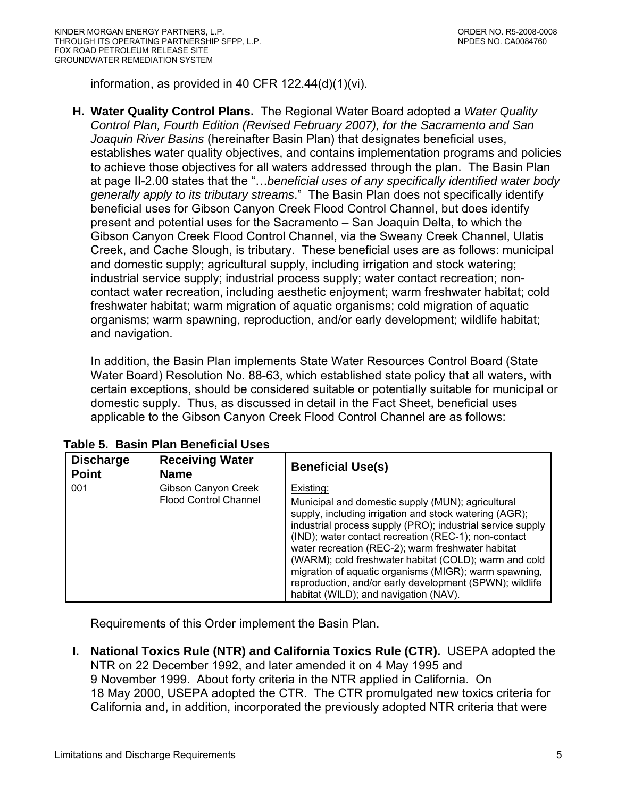<span id="page-4-0"></span>information, as provided in 40 CFR 122.44(d)(1)(vi).

**H. Water Quality Control Plans.** The Regional Water Board adopted a *Water Quality Control Plan, Fourth Edition (Revised February 2007), for the Sacramento and San Joaquin River Basins* (hereinafter Basin Plan) that designates beneficial uses, establishes water quality objectives, and contains implementation programs and policies to achieve those objectives for all waters addressed through the plan. The Basin Plan at page II-2.00 states that the "…*beneficial uses of any specifically identified water body generally apply to its tributary streams*." The Basin Plan does not specifically identify beneficial uses for Gibson Canyon Creek Flood Control Channel, but does identify present and potential uses for the Sacramento – San Joaquin Delta, to which the Gibson Canyon Creek Flood Control Channel, via the Sweany Creek Channel, Ulatis Creek, and Cache Slough, is tributary. These beneficial uses are as follows: municipal and domestic supply; agricultural supply, including irrigation and stock watering; industrial service supply; industrial process supply; water contact recreation; noncontact water recreation, including aesthetic enjoyment; warm freshwater habitat; cold freshwater habitat; warm migration of aquatic organisms; cold migration of aquatic organisms; warm spawning, reproduction, and/or early development; wildlife habitat; and navigation.

In addition, the Basin Plan implements State Water Resources Control Board (State Water Board) Resolution No. 88-63, which established state policy that all waters, with certain exceptions, should be considered suitable or potentially suitable for municipal or domestic supply. Thus, as discussed in detail in the Fact Sheet, beneficial uses applicable to the Gibson Canyon Creek Flood Control Channel are as follows:

| <b>Discharge</b><br><b>Point</b> | <b>Receiving Water</b><br><b>Name</b>               | <b>Beneficial Use(s)</b>                                                                                                                                                                                                                                                                                                                                                                                                                                                                                                  |
|----------------------------------|-----------------------------------------------------|---------------------------------------------------------------------------------------------------------------------------------------------------------------------------------------------------------------------------------------------------------------------------------------------------------------------------------------------------------------------------------------------------------------------------------------------------------------------------------------------------------------------------|
| 001                              | Gibson Canyon Creek<br><b>Flood Control Channel</b> | Existing:<br>Municipal and domestic supply (MUN); agricultural<br>supply, including irrigation and stock watering (AGR);<br>industrial process supply (PRO); industrial service supply<br>(IND); water contact recreation (REC-1); non-contact<br>water recreation (REC-2); warm freshwater habitat<br>(WARM); cold freshwater habitat (COLD); warm and cold<br>migration of aquatic organisms (MIGR); warm spawning,<br>reproduction, and/or early development (SPWN); wildlife<br>habitat (WILD); and navigation (NAV). |

 **Table 5. Basin Plan Beneficial Uses** 

Requirements of this Order implement the Basin Plan.

**I. National Toxics Rule (NTR) and California Toxics Rule (CTR).** USEPA adopted the NTR on 22 December 1992, and later amended it on 4 May 1995 and 9 November 1999. About forty criteria in the NTR applied in California. On 18 May 2000, USEPA adopted the CTR. The CTR promulgated new toxics criteria for California and, in addition, incorporated the previously adopted NTR criteria that were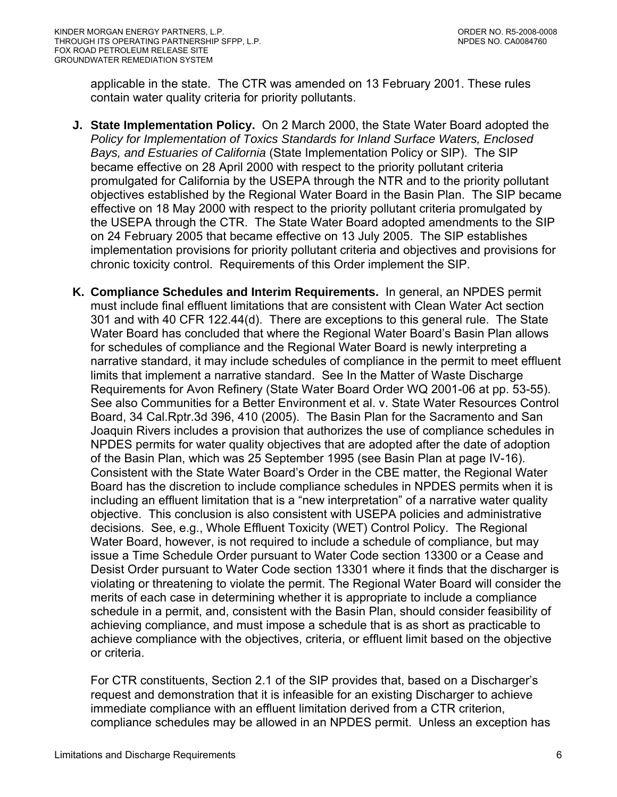applicable in the state. The CTR was amended on 13 February 2001. These rules contain water quality criteria for priority pollutants.

- **J. State Implementation Policy.** On 2 March 2000, the State Water Board adopted the *Policy for Implementation of Toxics Standards for Inland Surface Waters, Enclosed Bays, and Estuaries of California* (State Implementation Policy or SIP). The SIP became effective on 28 April 2000 with respect to the priority pollutant criteria promulgated for California by the USEPA through the NTR and to the priority pollutant objectives established by the Regional Water Board in the Basin Plan. The SIP became effective on 18 May 2000 with respect to the priority pollutant criteria promulgated by the USEPA through the CTR. The State Water Board adopted amendments to the SIP on 24 February 2005 that became effective on 13 July 2005. The SIP establishes implementation provisions for priority pollutant criteria and objectives and provisions for chronic toxicity control. Requirements of this Order implement the SIP.
- **K. Compliance Schedules and Interim Requirements.** In general, an NPDES permit must include final effluent limitations that are consistent with Clean Water Act section 301 and with 40 CFR 122.44(d). There are exceptions to this general rule. The State Water Board has concluded that where the Regional Water Board's Basin Plan allows for schedules of compliance and the Regional Water Board is newly interpreting a narrative standard, it may include schedules of compliance in the permit to meet effluent limits that implement a narrative standard. See In the Matter of Waste Discharge Requirements for Avon Refinery (State Water Board Order WQ 2001-06 at pp. 53-55). See also Communities for a Better Environment et al. v. State Water Resources Control Board, 34 Cal.Rptr.3d 396, 410 (2005). The Basin Plan for the Sacramento and San Joaquin Rivers includes a provision that authorizes the use of compliance schedules in NPDES permits for water quality objectives that are adopted after the date of adoption of the Basin Plan, which was 25 September 1995 (see Basin Plan at page IV-16). Consistent with the State Water Board's Order in the CBE matter, the Regional Water Board has the discretion to include compliance schedules in NPDES permits when it is including an effluent limitation that is a "new interpretation" of a narrative water quality objective. This conclusion is also consistent with USEPA policies and administrative decisions. See, e.g., Whole Effluent Toxicity (WET) Control Policy. The Regional Water Board, however, is not required to include a schedule of compliance, but may issue a Time Schedule Order pursuant to Water Code section 13300 or a Cease and Desist Order pursuant to Water Code section 13301 where it finds that the discharger is violating or threatening to violate the permit. The Regional Water Board will consider the merits of each case in determining whether it is appropriate to include a compliance schedule in a permit, and, consistent with the Basin Plan, should consider feasibility of achieving compliance, and must impose a schedule that is as short as practicable to achieve compliance with the objectives, criteria, or effluent limit based on the objective or criteria.

For CTR constituents, Section 2.1 of the SIP provides that, based on a Discharger's request and demonstration that it is infeasible for an existing Discharger to achieve immediate compliance with an effluent limitation derived from a CTR criterion, compliance schedules may be allowed in an NPDES permit. Unless an exception has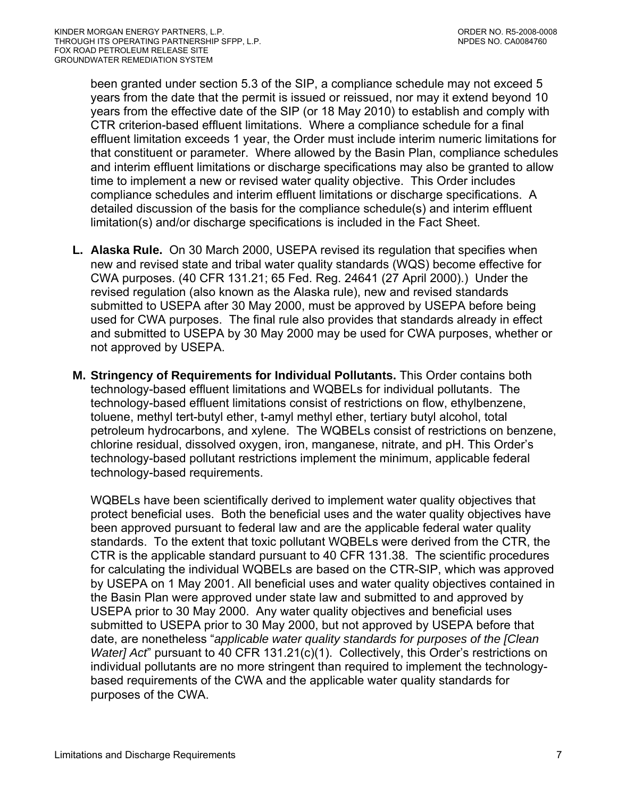been granted under section 5.3 of the SIP, a compliance schedule may not exceed 5 years from the date that the permit is issued or reissued, nor may it extend beyond 10 years from the effective date of the SIP (or 18 May 2010) to establish and comply with CTR criterion-based effluent limitations. Where a compliance schedule for a final effluent limitation exceeds 1 year, the Order must include interim numeric limitations for that constituent or parameter. Where allowed by the Basin Plan, compliance schedules and interim effluent limitations or discharge specifications may also be granted to allow time to implement a new or revised water quality objective. This Order includes compliance schedules and interim effluent limitations or discharge specifications. A detailed discussion of the basis for the compliance schedule(s) and interim effluent limitation(s) and/or discharge specifications is included in the Fact Sheet.

- **L. Alaska Rule.** On 30 March 2000, USEPA revised its regulation that specifies when new and revised state and tribal water quality standards (WQS) become effective for CWA purposes. (40 CFR 131.21; 65 Fed. Reg. 24641 (27 April 2000).) Under the revised regulation (also known as the Alaska rule), new and revised standards submitted to USEPA after 30 May 2000, must be approved by USEPA before being used for CWA purposes. The final rule also provides that standards already in effect and submitted to USEPA by 30 May 2000 may be used for CWA purposes, whether or not approved by USEPA.
- **M. Stringency of Requirements for Individual Pollutants.** This Order contains both technology-based effluent limitations and WQBELs for individual pollutants. The technology-based effluent limitations consist of restrictions on flow, ethylbenzene, toluene, methyl tert-butyl ether, t-amyl methyl ether, tertiary butyl alcohol, total petroleum hydrocarbons, and xylene. The WQBELs consist of restrictions on benzene, chlorine residual, dissolved oxygen, iron, manganese, nitrate, and pH. This Order's technology-based pollutant restrictions implement the minimum, applicable federal technology-based requirements.

WQBELs have been scientifically derived to implement water quality objectives that protect beneficial uses. Both the beneficial uses and the water quality objectives have been approved pursuant to federal law and are the applicable federal water quality standards. To the extent that toxic pollutant WQBELs were derived from the CTR, the CTR is the applicable standard pursuant to 40 CFR 131.38. The scientific procedures for calculating the individual WQBELs are based on the CTR-SIP, which was approved by USEPA on 1 May 2001. All beneficial uses and water quality objectives contained in the Basin Plan were approved under state law and submitted to and approved by USEPA prior to 30 May 2000. Any water quality objectives and beneficial uses submitted to USEPA prior to 30 May 2000, but not approved by USEPA before that date, are nonetheless "*applicable water quality standards for purposes of the [Clean Water] Act*" pursuant to 40 CFR 131.21(c)(1). Collectively, this Order's restrictions on individual pollutants are no more stringent than required to implement the technologybased requirements of the CWA and the applicable water quality standards for purposes of the CWA.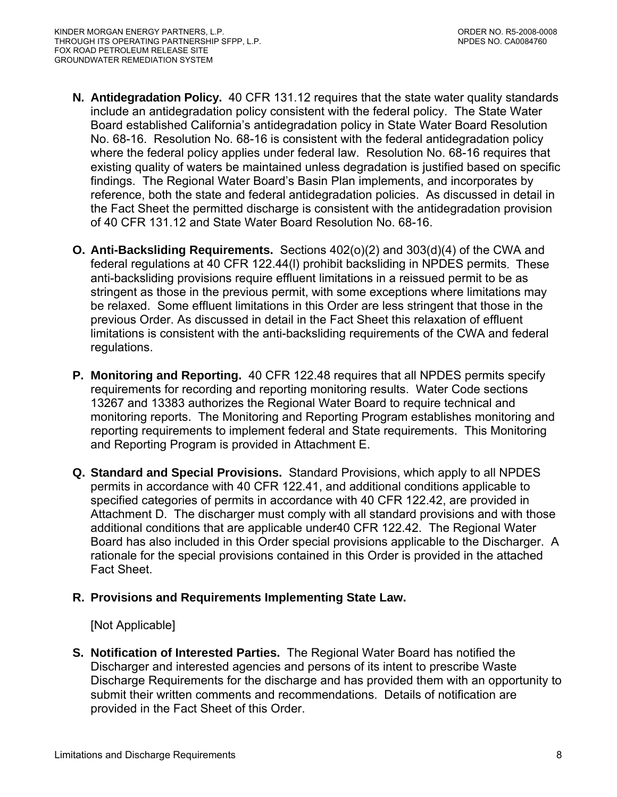- **N. Antidegradation Policy.** 40 CFR 131.12 requires that the state water quality standards include an antidegradation policy consistent with the federal policy. The State Water Board established California's antidegradation policy in State Water Board Resolution No. 68-16. Resolution No. 68-16 is consistent with the federal antidegradation policy where the federal policy applies under federal law. Resolution No. 68-16 requires that existing quality of waters be maintained unless degradation is justified based on specific findings. The Regional Water Board's Basin Plan implements, and incorporates by reference, both the state and federal antidegradation policies. As discussed in detail in the Fact Sheet the permitted discharge is consistent with the antidegradation provision of 40 CFR 131.12 and State Water Board Resolution No. 68-16.
- **O. Anti-Backsliding Requirements.** Sections 402(o)(2) and 303(d)(4) of the CWA and federal regulations at 40 CFR 122.44(l) prohibit backsliding in NPDES permits. These anti-backsliding provisions require effluent limitations in a reissued permit to be as stringent as those in the previous permit, with some exceptions where limitations may be relaxed. Some effluent limitations in this Order are less stringent that those in the previous Order. As discussed in detail in the Fact Sheet this relaxation of effluent limitations is consistent with the anti-backsliding requirements of the CWA and federal regulations.
- **P. Monitoring and Reporting.** 40 CFR 122.48 requires that all NPDES permits specify requirements for recording and reporting monitoring results. Water Code sections 13267 and 13383 authorizes the Regional Water Board to require technical and monitoring reports. The Monitoring and Reporting Program establishes monitoring and reporting requirements to implement federal and State requirements. This Monitoring and Reporting Program is provided in Attachment E.
- **Q. Standard and Special Provisions.** Standard Provisions, which apply to all NPDES permits in accordance with 40 CFR 122.41, and additional conditions applicable to specified categories of permits in accordance with 40 CFR 122.42, are provided in Attachment D. The discharger must comply with all standard provisions and with those additional conditions that are applicable under40 CFR 122.42. The Regional Water Board has also included in this Order special provisions applicable to the Discharger. A rationale for the special provisions contained in this Order is provided in the attached Fact Sheet.

## **R. Provisions and Requirements Implementing State Law.**

## [Not Applicable]

**S. Notification of Interested Parties.** The Regional Water Board has notified the Discharger and interested agencies and persons of its intent to prescribe Waste Discharge Requirements for the discharge and has provided them with an opportunity to submit their written comments and recommendations. Details of notification are provided in the Fact Sheet of this Order.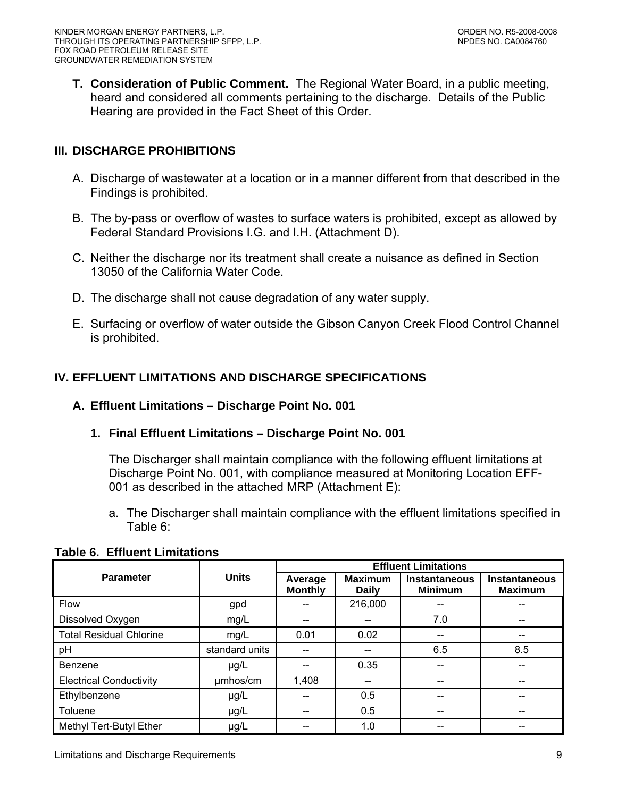<span id="page-8-0"></span>**T. Consideration of Public Comment.** The Regional Water Board, in a public meeting, heard and considered all comments pertaining to the discharge. Details of the Public Hearing are provided in the Fact Sheet of this Order.

## **III. DISCHARGE PROHIBITIONS**

- A. Discharge of wastewater at a location or in a manner different from that described in the Findings is prohibited.
- B. The by-pass or overflow of wastes to surface waters is prohibited, except as allowed by Federal Standard Provisions [I.G.](#page-29-0) and [I.H.](#page-30-0) (Attachment D).
- C. Neither the discharge nor its treatment shall create a nuisance as defined in Section 13050 of the California Water Code.
- D. The discharge shall not cause degradation of any water supply.
- E. Surfacing or overflow of water outside the Gibson Canyon Creek Flood Control Channel is prohibited.

# **IV. EFFLUENT LIMITATIONS AND DISCHARGE SPECIFICATIONS**

#### **A. Effluent Limitations – Discharge Point No. 001**

## **1. Final Effluent Limitations – Discharge Point No. 001**

The Discharger shall maintain compliance with the following effluent limitations at Discharge Point No. 001, with compliance measured at Monitoring Location EFF-001 as described in the attached MRP (Attachment E):

a. The Discharger shall maintain compliance with the effluent limitations specified in Table 6:

|                                |                | <b>Effluent Limitations</b> |                                |                                 |                                        |
|--------------------------------|----------------|-----------------------------|--------------------------------|---------------------------------|----------------------------------------|
| <b>Parameter</b>               | <b>Units</b>   | Average<br><b>Monthly</b>   | <b>Maximum</b><br><b>Daily</b> | Instantaneous<br><b>Minimum</b> | <b>Instantaneous</b><br><b>Maximum</b> |
| Flow                           | gpd            |                             | 216,000                        |                                 |                                        |
| Dissolved Oxygen               | mg/L           |                             |                                | 7.0                             |                                        |
| <b>Total Residual Chlorine</b> | mg/L           | 0.01                        | 0.02                           |                                 |                                        |
| pH                             | standard units |                             |                                | 6.5                             | 8.5                                    |
| <b>Benzene</b>                 | $\mu$ g/L      | --                          | 0.35                           |                                 | --                                     |
| <b>Electrical Conductivity</b> | umhos/cm       | 1,408                       | --                             |                                 |                                        |
| Ethylbenzene                   | $\mu$ g/L      | --                          | 0.5                            |                                 | --                                     |
| Toluene                        | $\mu$ g/L      | --                          | 0.5                            |                                 |                                        |
| Methyl Tert-Butyl Ether        | $\mu$ g/L      | --                          | 1.0                            |                                 | --                                     |

# **Table 6. Effluent Limitations**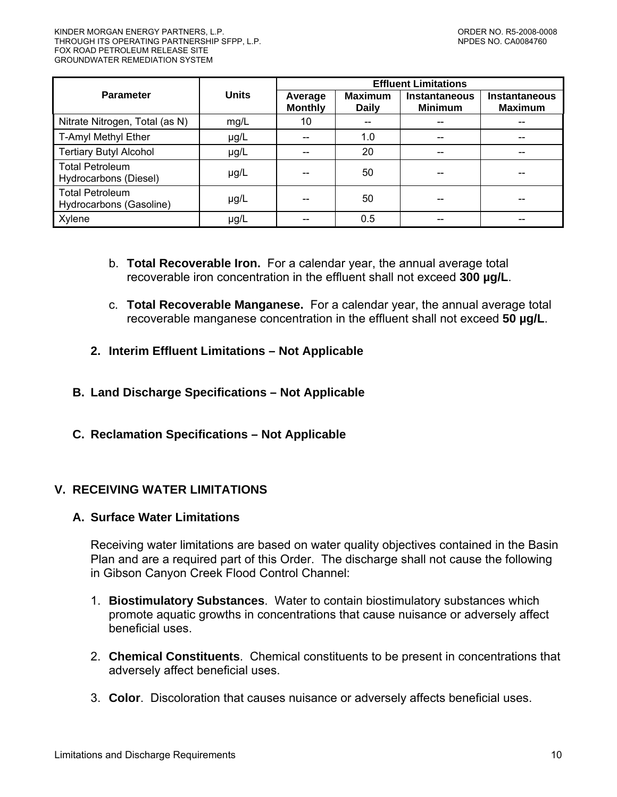<span id="page-9-0"></span>

|                                                   |              | <b>Effluent Limitations</b> |                                |                                        |                                        |
|---------------------------------------------------|--------------|-----------------------------|--------------------------------|----------------------------------------|----------------------------------------|
| <b>Parameter</b>                                  | <b>Units</b> | Average<br><b>Monthly</b>   | <b>Maximum</b><br><b>Daily</b> | <b>Instantaneous</b><br><b>Minimum</b> | <b>Instantaneous</b><br><b>Maximum</b> |
| Nitrate Nitrogen, Total (as N)                    | mg/L         | 10                          |                                | --                                     |                                        |
| T-Amyl Methyl Ether                               | µg/L         |                             | 1.0                            | --                                     |                                        |
| <b>Tertiary Butyl Alcohol</b>                     | µg/L         |                             | 20                             | $-$                                    | --                                     |
| <b>Total Petroleum</b><br>Hydrocarbons (Diesel)   | µg/L         |                             | 50                             |                                        |                                        |
| <b>Total Petroleum</b><br>Hydrocarbons (Gasoline) | $\mu$ g/L    |                             | 50                             |                                        |                                        |
| Xylene                                            | µg/L         |                             | 0.5                            |                                        |                                        |

- b. **Total Recoverable Iron.** For a calendar year, the annual average total recoverable iron concentration in the effluent shall not exceed **300 µg/L**.
- c. **Total Recoverable Manganese.** For a calendar year, the annual average total recoverable manganese concentration in the effluent shall not exceed **50 µg/L**.
- **2. Interim Effluent Limitations Not Applicable**
- **B. Land Discharge Specifications Not Applicable**
- **C. Reclamation Specifications Not Applicable**

## **V. RECEIVING WATER LIMITATIONS**

## **A. Surface Water Limitations**

Receiving water limitations are based on water quality objectives contained in the Basin Plan and are a required part of this Order. The discharge shall not cause the following in Gibson Canyon Creek Flood Control Channel:

- 1. **Biostimulatory Substances**. Water to contain biostimulatory substances which promote aquatic growths in concentrations that cause nuisance or adversely affect beneficial uses.
- 2. **Chemical Constituents**. Chemical constituents to be present in concentrations that adversely affect beneficial uses.
- 3. **Color**. Discoloration that causes nuisance or adversely affects beneficial uses.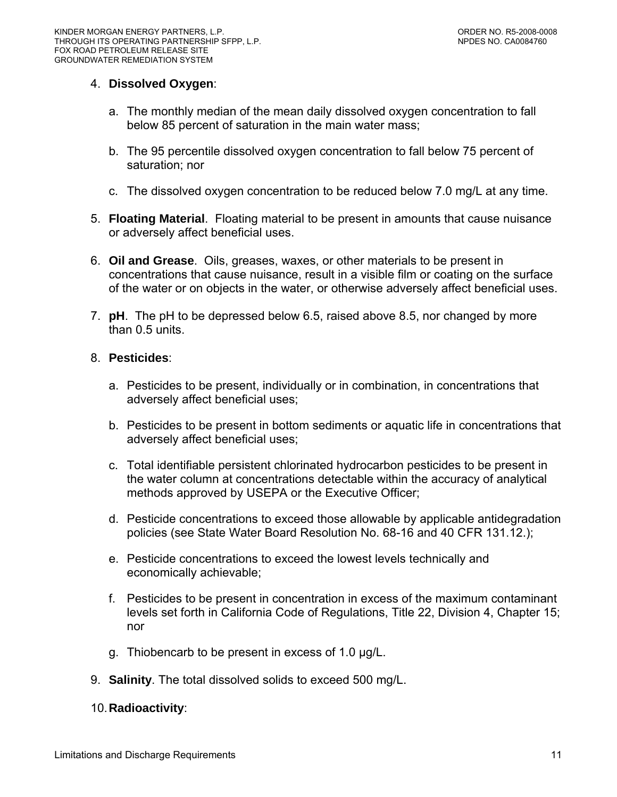#### 4. **Dissolved Oxygen**:

- a. The monthly median of the mean daily dissolved oxygen concentration to fall below 85 percent of saturation in the main water mass;
- b. The 95 percentile dissolved oxygen concentration to fall below 75 percent of saturation; nor
- c. The dissolved oxygen concentration to be reduced below 7.0 mg/L at any time.
- 5. **Floating Material**. Floating material to be present in amounts that cause nuisance or adversely affect beneficial uses.
- 6. **Oil and Grease**. Oils, greases, waxes, or other materials to be present in concentrations that cause nuisance, result in a visible film or coating on the surface of the water or on objects in the water, or otherwise adversely affect beneficial uses.
- 7. **pH**. The pH to be depressed below 6.5, raised above 8.5, nor changed by more than 0.5 units.

#### 8. **Pesticides**:

- a. Pesticides to be present, individually or in combination, in concentrations that adversely affect beneficial uses;
- b. Pesticides to be present in bottom sediments or aquatic life in concentrations that adversely affect beneficial uses;
- c. Total identifiable persistent chlorinated hydrocarbon pesticides to be present in the water column at concentrations detectable within the accuracy of analytical methods approved by USEPA or the Executive Officer;
- d. Pesticide concentrations to exceed those allowable by applicable antidegradation policies (see State Water Board Resolution No. 68-16 and 40 CFR 131.12.);
- e. Pesticide concentrations to exceed the lowest levels technically and economically achievable;
- f. Pesticides to be present in concentration in excess of the maximum contaminant levels set forth in California Code of Regulations, Title 22, Division 4, Chapter 15; nor
- g. Thiobencarb to be present in excess of 1.0 µg/L.
- 9. **Salinity**. The total dissolved solids to exceed 500 mg/L.

## 10. **Radioactivity**: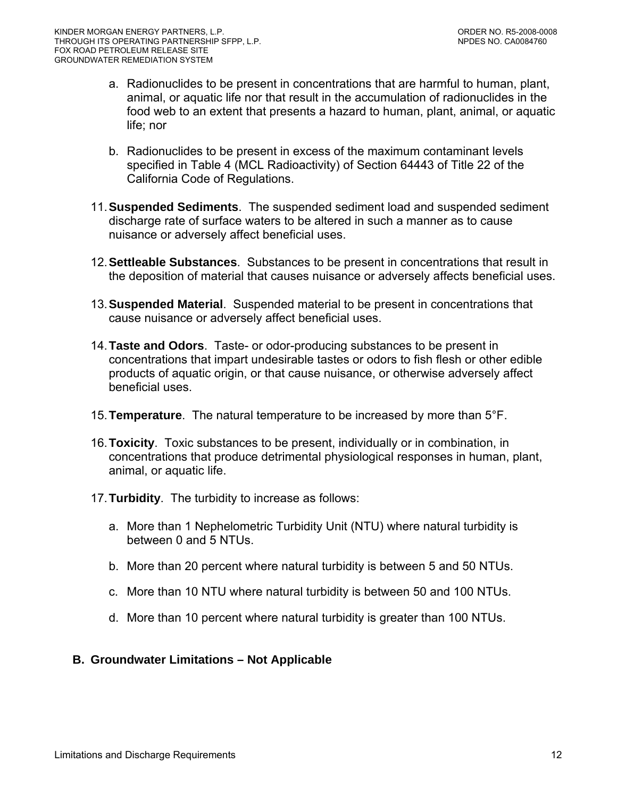- <span id="page-11-0"></span>a. Radionuclides to be present in concentrations that are harmful to human, plant, animal, or aquatic life nor that result in the accumulation of radionuclides in the food web to an extent that presents a hazard to human, plant, animal, or aquatic life; nor
- b. Radionuclides to be present in excess of the maximum contaminant levels specified in Table 4 (MCL Radioactivity) of Section 64443 of Title 22 of the California Code of Regulations.
- 11.**Suspended Sediments**. The suspended sediment load and suspended sediment discharge rate of surface waters to be altered in such a manner as to cause nuisance or adversely affect beneficial uses.
- 12.**Settleable Substances**. Substances to be present in concentrations that result in the deposition of material that causes nuisance or adversely affects beneficial uses.
- 13.**Suspended Material**. Suspended material to be present in concentrations that cause nuisance or adversely affect beneficial uses.
- 14.**Taste and Odors**. Taste- or odor-producing substances to be present in concentrations that impart undesirable tastes or odors to fish flesh or other edible products of aquatic origin, or that cause nuisance, or otherwise adversely affect beneficial uses.
- 15.**Temperature**. The natural temperature to be increased by more than 5°F.
- 16.**Toxicity**. Toxic substances to be present, individually or in combination, in concentrations that produce detrimental physiological responses in human, plant, animal, or aquatic life.
- 17. **Turbidity**. The turbidity to increase as follows:
	- a. More than 1 Nephelometric Turbidity Unit (NTU) where natural turbidity is between 0 and 5 NTUs.
	- b. More than 20 percent where natural turbidity is between 5 and 50 NTUs.
	- c. More than 10 NTU where natural turbidity is between 50 and 100 NTUs.
	- d. More than 10 percent where natural turbidity is greater than 100 NTUs.

## **B. Groundwater Limitations – Not Applicable**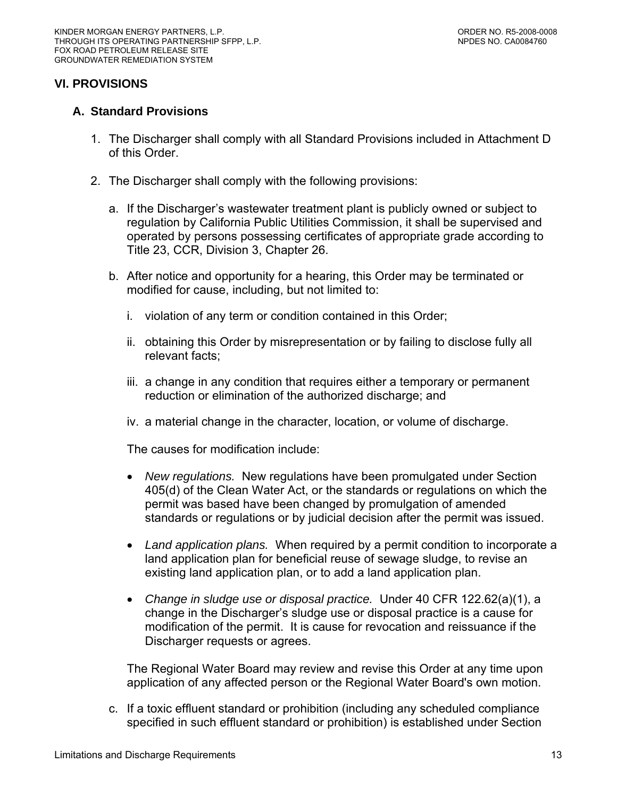# <span id="page-12-0"></span>**VI. PROVISIONS**

#### **A. Standard Provisions**

- 1. The Discharger shall comply with all Standard Provisions included in Attachment D of this Order.
- 2. The Discharger shall comply with the following provisions:
	- a. If the Discharger's wastewater treatment plant is publicly owned or subject to regulation by California Public Utilities Commission, it shall be supervised and operated by persons possessing certificates of appropriate grade according to Title 23, CCR, Division 3, Chapter 26.
	- b. After notice and opportunity for a hearing, this Order may be terminated or modified for cause, including, but not limited to:
		- i. violation of any term or condition contained in this Order;
		- ii. obtaining this Order by misrepresentation or by failing to disclose fully all relevant facts;
		- iii. a change in any condition that requires either a temporary or permanent reduction or elimination of the authorized discharge; and
		- iv. a material change in the character, location, or volume of discharge.

The causes for modification include:

- *New regulations.* New regulations have been promulgated under Section 405(d) of the Clean Water Act, or the standards or regulations on which the permit was based have been changed by promulgation of amended standards or regulations or by judicial decision after the permit was issued.
- *Land application plans.* When required by a permit condition to incorporate a land application plan for beneficial reuse of sewage sludge, to revise an existing land application plan, or to add a land application plan.
- *Change in sludge use or disposal practice.* Under 40 CFR 122.62(a)(1), a change in the Discharger's sludge use or disposal practice is a cause for modification of the permit. It is cause for revocation and reissuance if the Discharger requests or agrees.

The Regional Water Board may review and revise this Order at any time upon application of any affected person or the Regional Water Board's own motion.

c. If a toxic effluent standard or prohibition (including any scheduled compliance specified in such effluent standard or prohibition) is established under Section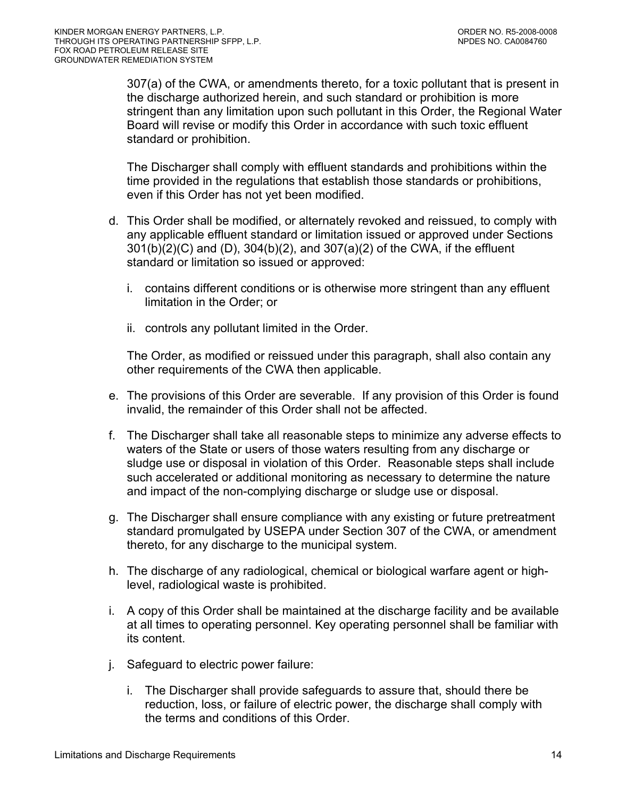307(a) of the CWA, or amendments thereto, for a toxic pollutant that is present in the discharge authorized herein, and such standard or prohibition is more stringent than any limitation upon such pollutant in this Order, the Regional Water Board will revise or modify this Order in accordance with such toxic effluent standard or prohibition.

The Discharger shall comply with effluent standards and prohibitions within the time provided in the regulations that establish those standards or prohibitions, even if this Order has not yet been modified.

- d. This Order shall be modified, or alternately revoked and reissued, to comply with any applicable effluent standard or limitation issued or approved under Sections 301(b)(2)(C) and (D), 304(b)(2), and 307(a)(2) of the CWA, if the effluent standard or limitation so issued or approved:
	- i. contains different conditions or is otherwise more stringent than any effluent limitation in the Order; or
	- ii. controls any pollutant limited in the Order.

The Order, as modified or reissued under this paragraph, shall also contain any other requirements of the CWA then applicable.

- e. The provisions of this Order are severable. If any provision of this Order is found invalid, the remainder of this Order shall not be affected.
- f. The Discharger shall take all reasonable steps to minimize any adverse effects to waters of the State or users of those waters resulting from any discharge or sludge use or disposal in violation of this Order. Reasonable steps shall include such accelerated or additional monitoring as necessary to determine the nature and impact of the non-complying discharge or sludge use or disposal.
- g. The Discharger shall ensure compliance with any existing or future pretreatment standard promulgated by USEPA under Section 307 of the CWA, or amendment thereto, for any discharge to the municipal system.
- h. The discharge of any radiological, chemical or biological warfare agent or highlevel, radiological waste is prohibited.
- i. A copy of this Order shall be maintained at the discharge facility and be available at all times to operating personnel. Key operating personnel shall be familiar with its content.
- j. Safeguard to electric power failure:
	- i. The Discharger shall provide safeguards to assure that, should there be reduction, loss, or failure of electric power, the discharge shall comply with the terms and conditions of this Order.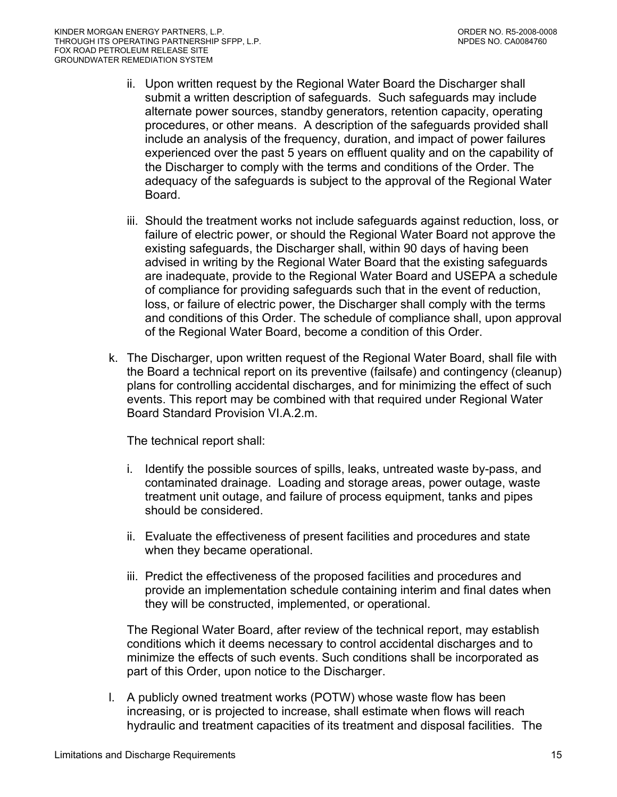- ii. Upon written request by the Regional Water Board the Discharger shall submit a written description of safeguards. Such safeguards may include alternate power sources, standby generators, retention capacity, operating procedures, or other means. A description of the safeguards provided shall include an analysis of the frequency, duration, and impact of power failures experienced over the past 5 years on effluent quality and on the capability of the Discharger to comply with the terms and conditions of the Order. The adequacy of the safeguards is subject to the approval of the Regional Water Board.
- iii. Should the treatment works not include safeguards against reduction, loss, or failure of electric power, or should the Regional Water Board not approve the existing safeguards, the Discharger shall, within 90 days of having been advised in writing by the Regional Water Board that the existing safeguards are inadequate, provide to the Regional Water Board and USEPA a schedule of compliance for providing safeguards such that in the event of reduction, loss, or failure of electric power, the Discharger shall comply with the terms and conditions of this Order. The schedule of compliance shall, upon approval of the Regional Water Board, become a condition of this Order.
- k. The Discharger, upon written request of the Regional Water Board, shall file with the Board a technical report on its preventive (failsafe) and contingency (cleanup) plans for controlling accidental discharges, and for minimizing the effect of such events. This report may be combined with that required under Regional Water Board Standard Provision VI.A.2.m.

The technical report shall:

- i. Identify the possible sources of spills, leaks, untreated waste by-pass, and contaminated drainage. Loading and storage areas, power outage, waste treatment unit outage, and failure of process equipment, tanks and pipes should be considered.
- ii. Evaluate the effectiveness of present facilities and procedures and state when they became operational.
- iii. Predict the effectiveness of the proposed facilities and procedures and provide an implementation schedule containing interim and final dates when they will be constructed, implemented, or operational.

The Regional Water Board, after review of the technical report, may establish conditions which it deems necessary to control accidental discharges and to minimize the effects of such events. Such conditions shall be incorporated as part of this Order, upon notice to the Discharger.

l. A publicly owned treatment works (POTW) whose waste flow has been increasing, or is projected to increase, shall estimate when flows will reach hydraulic and treatment capacities of its treatment and disposal facilities. The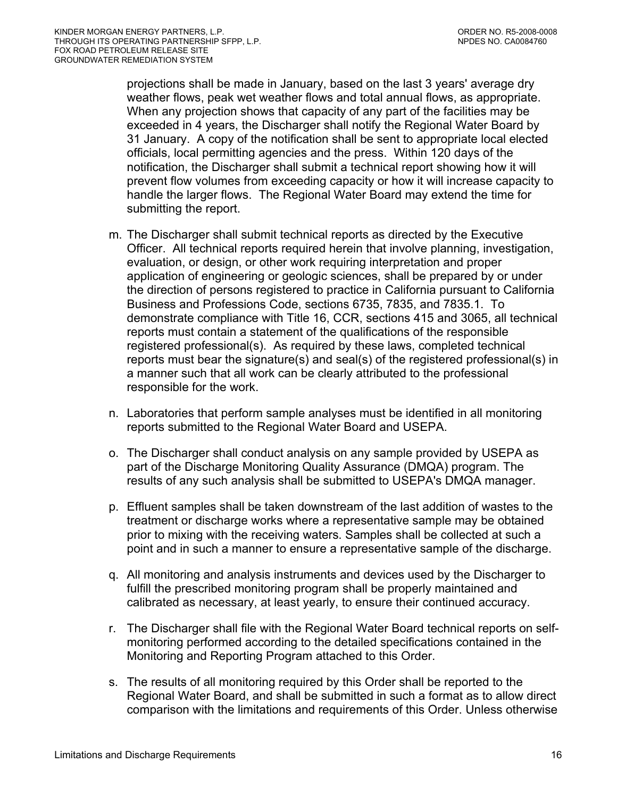projections shall be made in January, based on the last 3 years' average dry weather flows, peak wet weather flows and total annual flows, as appropriate. When any projection shows that capacity of any part of the facilities may be exceeded in 4 years, the Discharger shall notify the Regional Water Board by 31 January. A copy of the notification shall be sent to appropriate local elected officials, local permitting agencies and the press. Within 120 days of the notification, the Discharger shall submit a technical report showing how it will prevent flow volumes from exceeding capacity or how it will increase capacity to handle the larger flows. The Regional Water Board may extend the time for submitting the report.

- m. The Discharger shall submit technical reports as directed by the Executive Officer. All technical reports required herein that involve planning, investigation, evaluation, or design, or other work requiring interpretation and proper application of engineering or geologic sciences, shall be prepared by or under the direction of persons registered to practice in California pursuant to California Business and Professions Code, sections 6735, 7835, and 7835.1. To demonstrate compliance with Title 16, CCR, sections 415 and 3065, all technical reports must contain a statement of the qualifications of the responsible registered professional(s). As required by these laws, completed technical reports must bear the signature(s) and seal(s) of the registered professional(s) in a manner such that all work can be clearly attributed to the professional responsible for the work.
- n. Laboratories that perform sample analyses must be identified in all monitoring reports submitted to the Regional Water Board and USEPA.
- o. The Discharger shall conduct analysis on any sample provided by USEPA as part of the Discharge Monitoring Quality Assurance (DMQA) program. The results of any such analysis shall be submitted to USEPA's DMQA manager.
- p. Effluent samples shall be taken downstream of the last addition of wastes to the treatment or discharge works where a representative sample may be obtained prior to mixing with the receiving waters. Samples shall be collected at such a point and in such a manner to ensure a representative sample of the discharge.
- q. All monitoring and analysis instruments and devices used by the Discharger to fulfill the prescribed monitoring program shall be properly maintained and calibrated as necessary, at least yearly, to ensure their continued accuracy.
- r. The Discharger shall file with the Regional Water Board technical reports on selfmonitoring performed according to the detailed specifications contained in the Monitoring and Reporting Program attached to this Order.
- s. The results of all monitoring required by this Order shall be reported to the Regional Water Board, and shall be submitted in such a format as to allow direct comparison with the limitations and requirements of this Order. Unless otherwise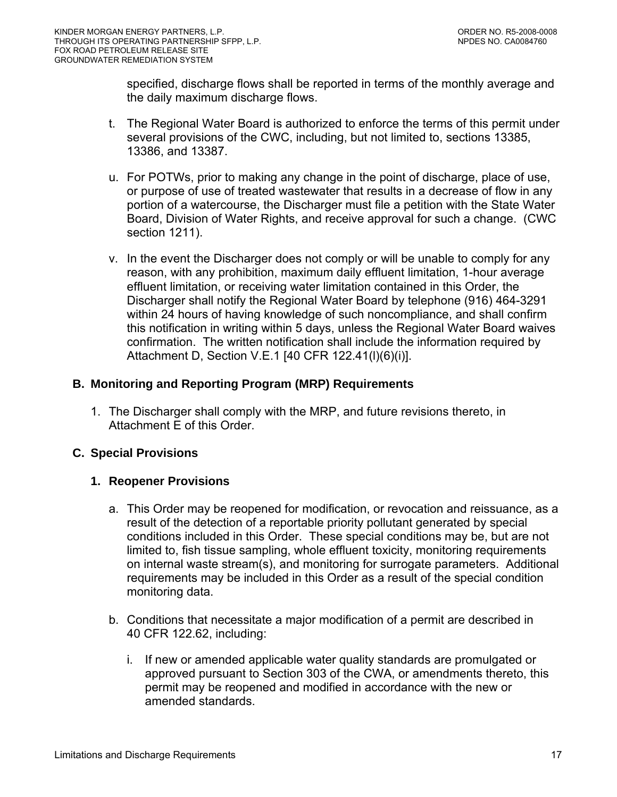<span id="page-16-0"></span>specified, discharge flows shall be reported in terms of the monthly average and the daily maximum discharge flows.

- t. The Regional Water Board is authorized to enforce the terms of this permit under several provisions of the CWC, including, but not limited to, sections 13385, 13386, and 13387.
- u. For POTWs, prior to making any change in the point of discharge, place of use, or purpose of use of treated wastewater that results in a decrease of flow in any portion of a watercourse, the Discharger must file a petition with the State Water Board, Division of Water Rights, and receive approval for such a change. (CWC section 1211).
- v. In the event the Discharger does not comply or will be unable to comply for any reason, with any prohibition, maximum daily effluent limitation, 1-hour average effluent limitation, or receiving water limitation contained in this Order, the Discharger shall notify the Regional Water Board by telephone (916) 464-3291 within 24 hours of having knowledge of such noncompliance, and shall confirm this notification in writing within 5 days, unless the Regional Water Board waives confirmation. The written notification shall include the information required by [Attachment D, Section V.E.1](#page-0-0) [40 CFR 122.41(l)(6)(i)].

## **B. Monitoring and Reporting Program (MRP) Requirements**

1. The Discharger shall comply with the MRP, and future revisions thereto, in Attachment E of this Order.

# **C. Special Provisions**

## **1. Reopener Provisions**

- a. This Order may be reopened for modification, or revocation and reissuance, as a result of the detection of a reportable priority pollutant generated by special conditions included in this Order. These special conditions may be, but are not limited to, fish tissue sampling, whole effluent toxicity, monitoring requirements on internal waste stream(s), and monitoring for surrogate parameters. Additional requirements may be included in this Order as a result of the special condition monitoring data.
- b. Conditions that necessitate a major modification of a permit are described in 40 CFR 122.62, including:
	- i. If new or amended applicable water quality standards are promulgated or approved pursuant to Section 303 of the CWA, or amendments thereto, this permit may be reopened and modified in accordance with the new or amended standards.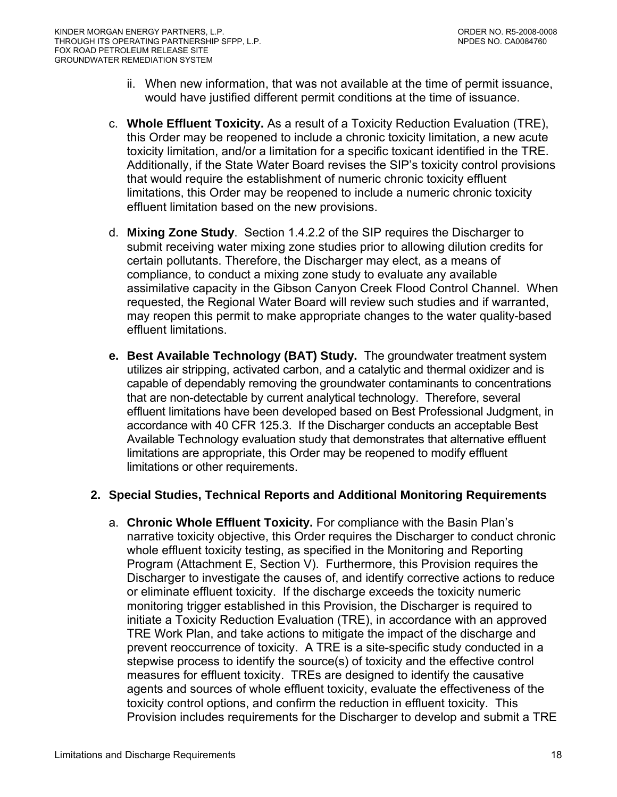- <span id="page-17-0"></span>ii. When new information, that was not available at the time of permit issuance, would have justified different permit conditions at the time of issuance.
- c. **Whole Effluent Toxicity.** As a result of a Toxicity Reduction Evaluation (TRE), this Order may be reopened to include a chronic toxicity limitation, a new acute toxicity limitation, and/or a limitation for a specific toxicant identified in the TRE. Additionally, if the State Water Board revises the SIP's toxicity control provisions that would require the establishment of numeric chronic toxicity effluent limitations, this Order may be reopened to include a numeric chronic toxicity effluent limitation based on the new provisions.
- d. **Mixing Zone Study**. Section 1.4.2.2 of the SIP requires the Discharger to submit receiving water mixing zone studies prior to allowing dilution credits for certain pollutants. Therefore, the Discharger may elect, as a means of compliance, to conduct a mixing zone study to evaluate any available assimilative capacity in the Gibson Canyon Creek Flood Control Channel. When requested, the Regional Water Board will review such studies and if warranted, may reopen this permit to make appropriate changes to the water quality-based effluent limitations.
- **e. Best Available Technology (BAT) Study.** The groundwater treatment system utilizes air stripping, activated carbon, and a catalytic and thermal oxidizer and is capable of dependably removing the groundwater contaminants to concentrations that are non-detectable by current analytical technology. Therefore, several effluent limitations have been developed based on Best Professional Judgment, in accordance with 40 CFR 125.3. If the Discharger conducts an acceptable Best Available Technology evaluation study that demonstrates that alternative effluent limitations are appropriate, this Order may be reopened to modify effluent limitations or other requirements.

## **2. Special Studies, Technical Reports and Additional Monitoring Requirements**

a. **Chronic Whole Effluent Toxicity.** For compliance with the Basin Plan's narrative toxicity objective, this Order requires the Discharger to conduct chronic whole effluent toxicity testing, as specified in the Monitoring and Reporting Program (Attachment E, Section V). Furthermore, this Provision requires the Discharger to investigate the causes of, and identify corrective actions to reduce or eliminate effluent toxicity. If the discharge exceeds the toxicity numeric monitoring trigger established in this Provision, the Discharger is required to initiate a Toxicity Reduction Evaluation (TRE), in accordance with an approved TRE Work Plan, and take actions to mitigate the impact of the discharge and prevent reoccurrence of toxicity. A TRE is a site-specific study conducted in a stepwise process to identify the source(s) of toxicity and the effective control measures for effluent toxicity. TREs are designed to identify the causative agents and sources of whole effluent toxicity, evaluate the effectiveness of the toxicity control options, and confirm the reduction in effluent toxicity. This Provision includes requirements for the Discharger to develop and submit a TRE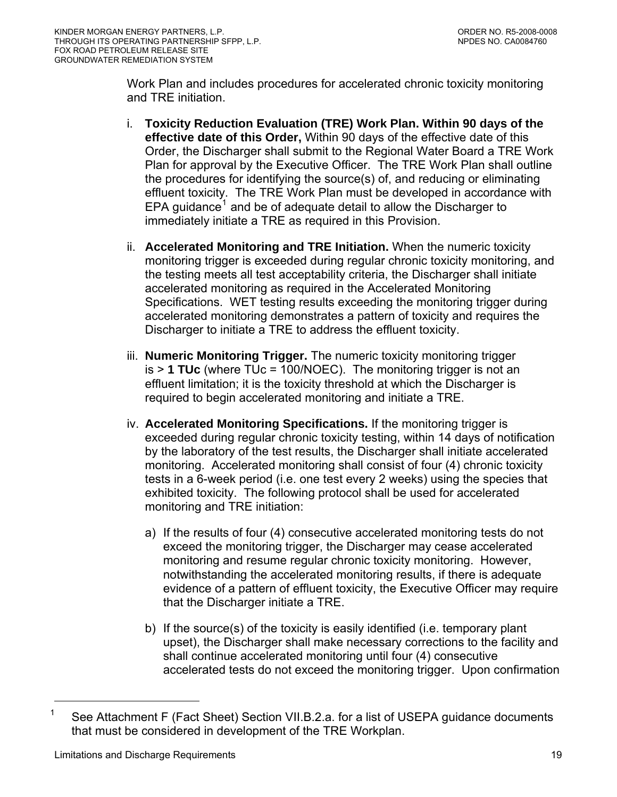<span id="page-18-0"></span>Work Plan and includes procedures for accelerated chronic toxicity monitoring and TRE initiation.

- i. **Toxicity Reduction Evaluation (TRE) Work Plan. Within 90 days of the effective date of this Order,** Within 90 days of the effective date of this Order, the Discharger shall submit to the Regional Water Board a TRE Work Plan for approval by the Executive Officer. The TRE Work Plan shall outline the procedures for identifying the source(s) of, and reducing or eliminating effluent toxicity. The TRE Work Plan must be developed in accordance with EPA guidance<sup>[1](#page-18-0)</sup> and be of adequate detail to allow the Discharger to immediately initiate a TRE as required in this Provision.
- ii. **Accelerated Monitoring and TRE Initiation.** When the numeric toxicity monitoring trigger is exceeded during regular chronic toxicity monitoring, and the testing meets all test acceptability criteria, the Discharger shall initiate accelerated monitoring as required in the Accelerated Monitoring Specifications. WET testing results exceeding the monitoring trigger during accelerated monitoring demonstrates a pattern of toxicity and requires the Discharger to initiate a TRE to address the effluent toxicity.
- iii. **Numeric Monitoring Trigger.** The numeric toxicity monitoring trigger is > **1 TUc** (where TUc = 100/NOEC). The monitoring trigger is not an effluent limitation; it is the toxicity threshold at which the Discharger is required to begin accelerated monitoring and initiate a TRE.
- iv. **Accelerated Monitoring Specifications.** If the monitoring trigger is exceeded during regular chronic toxicity testing, within 14 days of notification by the laboratory of the test results, the Discharger shall initiate accelerated monitoring. Accelerated monitoring shall consist of four (4) chronic toxicity tests in a 6-week period (i.e. one test every 2 weeks) using the species that exhibited toxicity. The following protocol shall be used for accelerated monitoring and TRE initiation:
	- a) If the results of four (4) consecutive accelerated monitoring tests do not exceed the monitoring trigger, the Discharger may cease accelerated monitoring and resume regular chronic toxicity monitoring. However, notwithstanding the accelerated monitoring results, if there is adequate evidence of a pattern of effluent toxicity, the Executive Officer may require that the Discharger initiate a TRE.
	- b) If the source(s) of the toxicity is easily identified (i.e. temporary plant upset), the Discharger shall make necessary corrections to the facility and shall continue accelerated monitoring until four (4) consecutive accelerated tests do not exceed the monitoring trigger. Upon confirmation

 $\overline{a}$ 

<sup>&</sup>lt;sup>1</sup> See Attachment F (Fact Sheet) Section VII.B.2.a. for a list of USEPA guidance documents that must be considered in development of the TRE Workplan.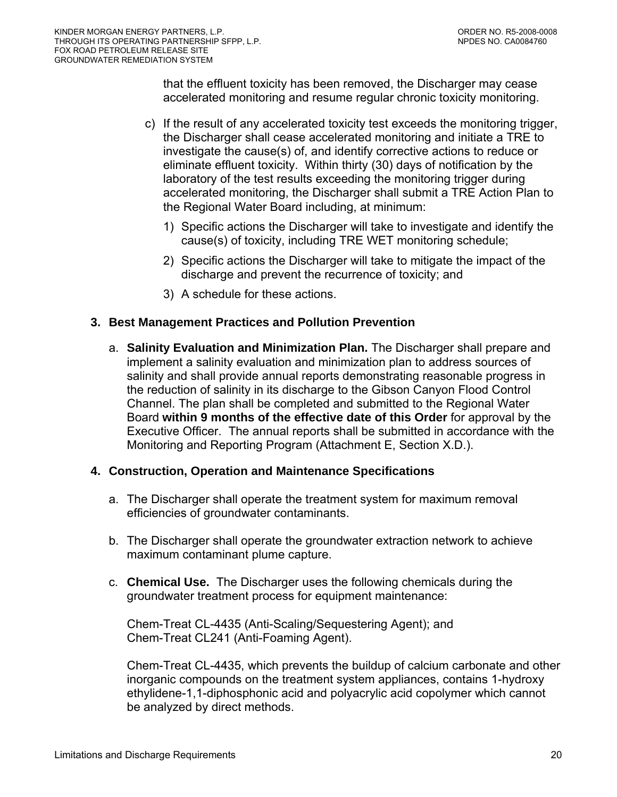<span id="page-19-0"></span>that the effluent toxicity has been removed, the Discharger may cease accelerated monitoring and resume regular chronic toxicity monitoring.

- c) If the result of any accelerated toxicity test exceeds the monitoring trigger, the Discharger shall cease accelerated monitoring and initiate a TRE to investigate the cause(s) of, and identify corrective actions to reduce or eliminate effluent toxicity. Within thirty (30) days of notification by the laboratory of the test results exceeding the monitoring trigger during accelerated monitoring, the Discharger shall submit a TRE Action Plan to the Regional Water Board including, at minimum:
	- 1) Specific actions the Discharger will take to investigate and identify the cause(s) of toxicity, including TRE WET monitoring schedule;
	- 2) Specific actions the Discharger will take to mitigate the impact of the discharge and prevent the recurrence of toxicity; and
	- 3) A schedule for these actions.

## **3. Best Management Practices and Pollution Prevention**

a. **Salinity Evaluation and Minimization Plan.** The Discharger shall prepare and implement a salinity evaluation and minimization plan to address sources of salinity and shall provide annual reports demonstrating reasonable progress in the reduction of salinity in its discharge to the Gibson Canyon Flood Control Channel. The plan shall be completed and submitted to the Regional Water Board **within 9 months of the effective date of this Order** for approval by the Executive Officer. The annual reports shall be submitted in accordance with the Monitoring and Reporting Program [\(Attachment E, Section X.D.\)](#page-50-0).

## **4. Construction, Operation and Maintenance Specifications**

- a. The Discharger shall operate the treatment system for maximum removal efficiencies of groundwater contaminants.
- b. The Discharger shall operate the groundwater extraction network to achieve maximum contaminant plume capture.
- c. **Chemical Use.** The Discharger uses the following chemicals during the groundwater treatment process for equipment maintenance:

Chem-Treat CL-4435 (Anti-Scaling/Sequestering Agent); and Chem-Treat CL241 (Anti-Foaming Agent).

Chem-Treat CL-4435, which prevents the buildup of calcium carbonate and other inorganic compounds on the treatment system appliances, contains 1-hydroxy ethylidene-1,1-diphosphonic acid and polyacrylic acid copolymer which cannot be analyzed by direct methods.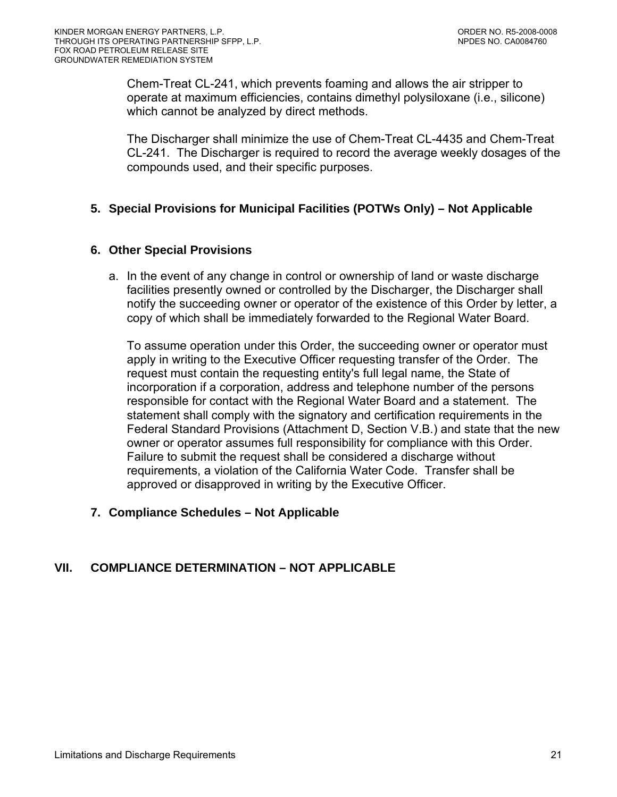<span id="page-20-0"></span>Chem-Treat CL-241, which prevents foaming and allows the air stripper to operate at maximum efficiencies, contains dimethyl polysiloxane (i.e., silicone) which cannot be analyzed by direct methods.

The Discharger shall minimize the use of Chem-Treat CL-4435 and Chem-Treat CL-241. The Discharger is required to record the average weekly dosages of the compounds used, and their specific purposes.

## **5. Special Provisions for Municipal Facilities (POTWs Only) – Not Applicable**

## **6. Other Special Provisions**

a. In the event of any change in control or ownership of land or waste discharge facilities presently owned or controlled by the Discharger, the Discharger shall notify the succeeding owner or operator of the existence of this Order by letter, a copy of which shall be immediately forwarded to the Regional Water Board.

To assume operation under this Order, the succeeding owner or operator must apply in writing to the Executive Officer requesting transfer of the Order. The request must contain the requesting entity's full legal name, the State of incorporation if a corporation, address and telephone number of the persons responsible for contact with the Regional Water Board and a statement. The statement shall comply with the signatory and certification requirements in the Federal Standard Provisions (Attachment D, Section V.B.) and state that the new owner or operator assumes full responsibility for compliance with this Order. Failure to submit the request shall be considered a discharge without requirements, a violation of the California Water Code. Transfer shall be approved or disapproved in writing by the Executive Officer.

## **7. Compliance Schedules – Not Applicable**

# **VII. COMPLIANCE DETERMINATION – NOT APPLICABLE**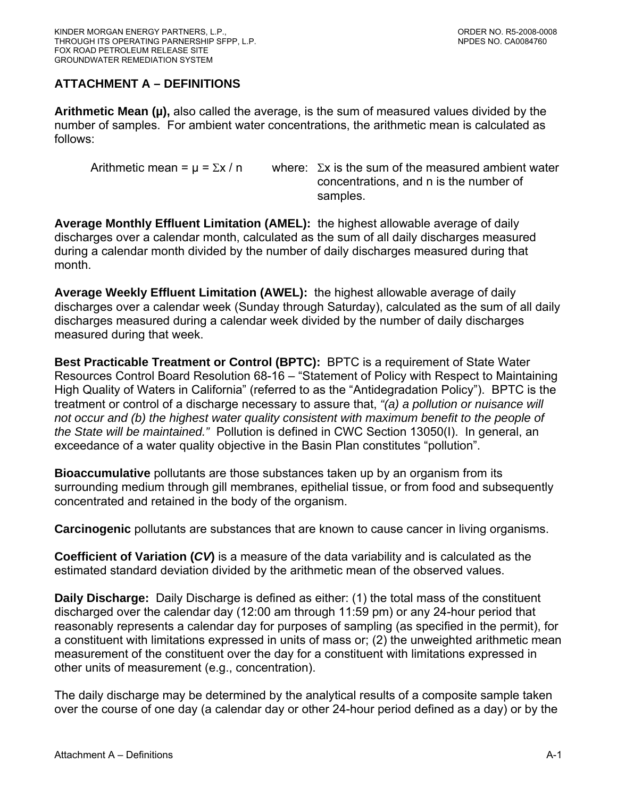# <span id="page-21-0"></span>**ATTACHMENT A – DEFINITIONS**

**Arithmetic Mean (µ),** also called the average, is the sum of measured values divided by the number of samples. For ambient water concentrations, the arithmetic mean is calculated as follows:

Arithmetic mean =  $\mu$  =  $\Sigma x / n$  where:  $\Sigma x$  is the sum of the measured ambient water concentrations, and n is the number of samples.

**Average Monthly Effluent Limitation (AMEL):** the highest allowable average of daily discharges over a calendar month, calculated as the sum of all daily discharges measured during a calendar month divided by the number of daily discharges measured during that month.

**Average Weekly Effluent Limitation (AWEL):** the highest allowable average of daily discharges over a calendar week (Sunday through Saturday), calculated as the sum of all daily discharges measured during a calendar week divided by the number of daily discharges measured during that week.

**Best Practicable Treatment or Control (BPTC):** BPTC is a requirement of State Water Resources Control Board Resolution 68-16 – "Statement of Policy with Respect to Maintaining High Quality of Waters in California" (referred to as the "Antidegradation Policy"). BPTC is the treatment or control of a discharge necessary to assure that, *"(a) a pollution or nuisance will not occur and (b) the highest water quality consistent with maximum benefit to the people of the State will be maintained."* Pollution is defined in CWC Section 13050(I). In general, an exceedance of a water quality objective in the Basin Plan constitutes "pollution".

**Bioaccumulative** pollutants are those substances taken up by an organism from its surrounding medium through gill membranes, epithelial tissue, or from food and subsequently concentrated and retained in the body of the organism.

**Carcinogenic** pollutants are substances that are known to cause cancer in living organisms.

**Coefficient of Variation (***CV***)** is a measure of the data variability and is calculated as the estimated standard deviation divided by the arithmetic mean of the observed values.

**Daily Discharge:** Daily Discharge is defined as either: (1) the total mass of the constituent discharged over the calendar day (12:00 am through 11:59 pm) or any 24-hour period that reasonably represents a calendar day for purposes of sampling (as specified in the permit), for a constituent with limitations expressed in units of mass or; (2) the unweighted arithmetic mean measurement of the constituent over the day for a constituent with limitations expressed in other units of measurement (e.g., concentration).

The daily discharge may be determined by the analytical results of a composite sample taken over the course of one day (a calendar day or other 24-hour period defined as a day) or by the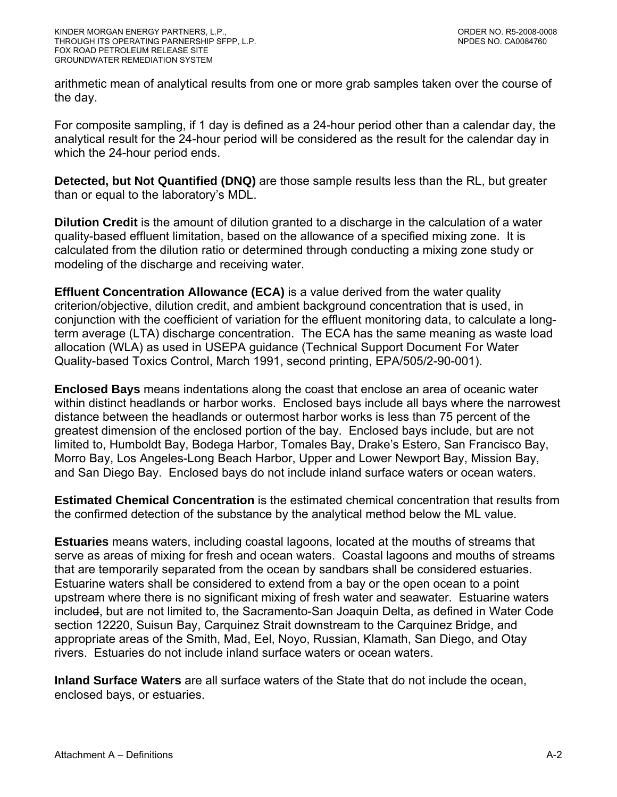arithmetic mean of analytical results from one or more grab samples taken over the course of the day.

For composite sampling, if 1 day is defined as a 24-hour period other than a calendar day, the analytical result for the 24-hour period will be considered as the result for the calendar day in which the 24-hour period ends.

**Detected, but Not Quantified (DNQ)** are those sample results less than the RL, but greater than or equal to the laboratory's MDL.

**Dilution Credit** is the amount of dilution granted to a discharge in the calculation of a water quality-based effluent limitation, based on the allowance of a specified mixing zone. It is calculated from the dilution ratio or determined through conducting a mixing zone study or modeling of the discharge and receiving water.

**Effluent Concentration Allowance (ECA)** is a value derived from the water quality criterion/objective, dilution credit, and ambient background concentration that is used, in conjunction with the coefficient of variation for the effluent monitoring data, to calculate a longterm average (LTA) discharge concentration. The ECA has the same meaning as waste load allocation (WLA) as used in USEPA guidance (Technical Support Document For Water Quality-based Toxics Control, March 1991, second printing, EPA/505/2-90-001).

**Enclosed Bays** means indentations along the coast that enclose an area of oceanic water within distinct headlands or harbor works. Enclosed bays include all bays where the narrowest distance between the headlands or outermost harbor works is less than 75 percent of the greatest dimension of the enclosed portion of the bay. Enclosed bays include, but are not limited to, Humboldt Bay, Bodega Harbor, Tomales Bay, Drake's Estero, San Francisco Bay, Morro Bay, Los Angeles-Long Beach Harbor, Upper and Lower Newport Bay, Mission Bay, and San Diego Bay. Enclosed bays do not include inland surface waters or ocean waters.

**Estimated Chemical Concentration** is the estimated chemical concentration that results from the confirmed detection of the substance by the analytical method below the ML value.

**Estuaries** means waters, including coastal lagoons, located at the mouths of streams that serve as areas of mixing for fresh and ocean waters. Coastal lagoons and mouths of streams that are temporarily separated from the ocean by sandbars shall be considered estuaries. Estuarine waters shall be considered to extend from a bay or the open ocean to a point upstream where there is no significant mixing of fresh water and seawater. Estuarine waters included, but are not limited to, the Sacramento-San Joaquin Delta, as defined in Water Code section 12220, Suisun Bay, Carquinez Strait downstream to the Carquinez Bridge, and appropriate areas of the Smith, Mad, Eel, Noyo, Russian, Klamath, San Diego, and Otay rivers. Estuaries do not include inland surface waters or ocean waters.

**Inland Surface Waters** are all surface waters of the State that do not include the ocean, enclosed bays, or estuaries.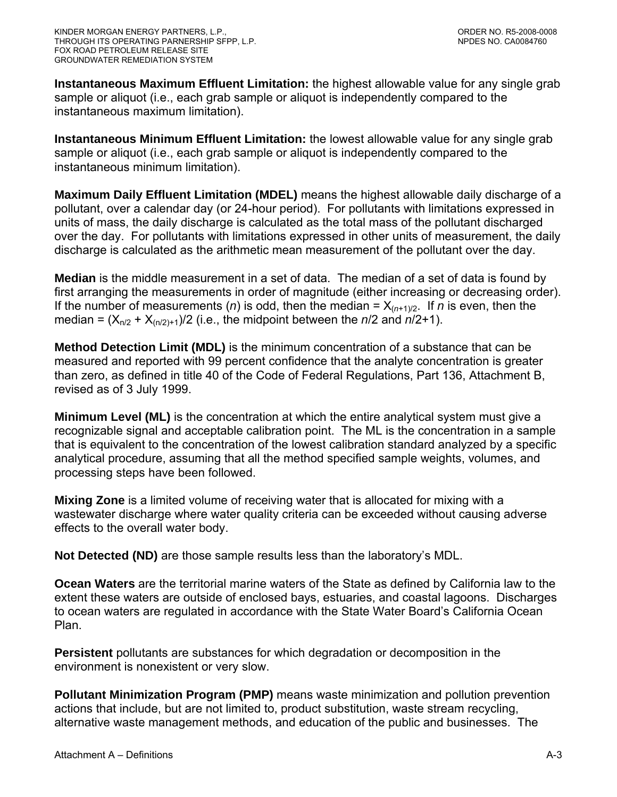**Instantaneous Maximum Effluent Limitation:** the highest allowable value for any single grab sample or aliquot (i.e., each grab sample or aliquot is independently compared to the instantaneous maximum limitation).

**Instantaneous Minimum Effluent Limitation:** the lowest allowable value for any single grab sample or aliquot (i.e., each grab sample or aliquot is independently compared to the instantaneous minimum limitation).

**Maximum Daily Effluent Limitation (MDEL)** means the highest allowable daily discharge of a pollutant, over a calendar day (or 24-hour period). For pollutants with limitations expressed in units of mass, the daily discharge is calculated as the total mass of the pollutant discharged over the day. For pollutants with limitations expressed in other units of measurement, the daily discharge is calculated as the arithmetic mean measurement of the pollutant over the day.

**Median** is the middle measurement in a set of data. The median of a set of data is found by first arranging the measurements in order of magnitude (either increasing or decreasing order). If the number of measurements (*n*) is odd, then the median =  $X_{(n+1)/2}$ . If *n* is even, then the median =  $(X_{n/2} + X_{(n/2)+1})/2$  (i.e., the midpoint between the *n*/2 and *n*/2+1).

**Method Detection Limit (MDL)** is the minimum concentration of a substance that can be measured and reported with 99 percent confidence that the analyte concentration is greater than zero, as defined in title 40 of the Code of Federal Regulations, Part 136, Attachment B, revised as of 3 July 1999.

**Minimum Level (ML)** is the concentration at which the entire analytical system must give a recognizable signal and acceptable calibration point. The ML is the concentration in a sample that is equivalent to the concentration of the lowest calibration standard analyzed by a specific analytical procedure, assuming that all the method specified sample weights, volumes, and processing steps have been followed.

**Mixing Zone** is a limited volume of receiving water that is allocated for mixing with a wastewater discharge where water quality criteria can be exceeded without causing adverse effects to the overall water body.

**Not Detected (ND)** are those sample results less than the laboratory's MDL.

**Ocean Waters** are the territorial marine waters of the State as defined by California law to the extent these waters are outside of enclosed bays, estuaries, and coastal lagoons. Discharges to ocean waters are regulated in accordance with the State Water Board's California Ocean Plan.

**Persistent** pollutants are substances for which degradation or decomposition in the environment is nonexistent or very slow.

**Pollutant Minimization Program (PMP)** means waste minimization and pollution prevention actions that include, but are not limited to, product substitution, waste stream recycling, alternative waste management methods, and education of the public and businesses. The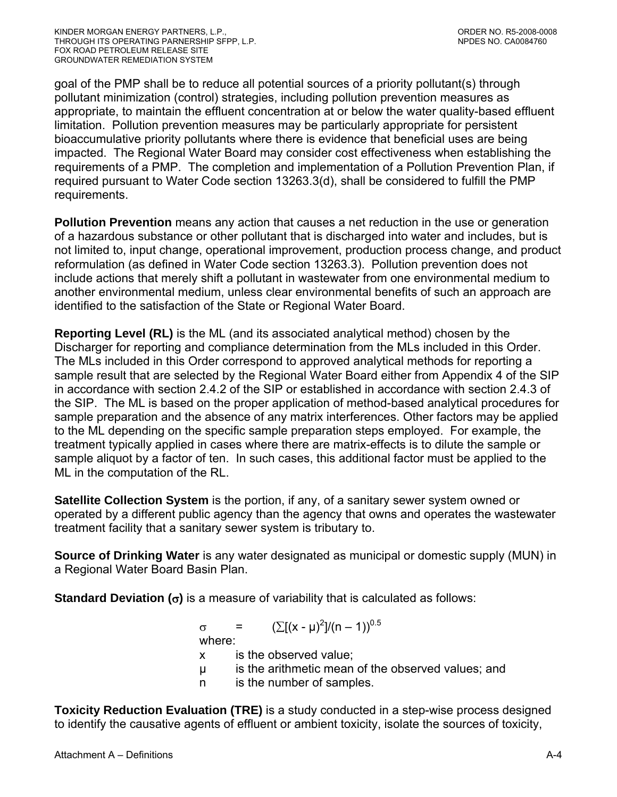goal of the PMP shall be to reduce all potential sources of a priority pollutant(s) through pollutant minimization (control) strategies, including pollution prevention measures as appropriate, to maintain the effluent concentration at or below the water quality-based effluent limitation. Pollution prevention measures may be particularly appropriate for persistent bioaccumulative priority pollutants where there is evidence that beneficial uses are being impacted. The Regional Water Board may consider cost effectiveness when establishing the requirements of a PMP. The completion and implementation of a Pollution Prevention Plan, if required pursuant to Water Code section 13263.3(d), shall be considered to fulfill the PMP requirements.

**Pollution Prevention** means any action that causes a net reduction in the use or generation of a hazardous substance or other pollutant that is discharged into water and includes, but is not limited to, input change, operational improvement, production process change, and product reformulation (as defined in Water Code section 13263.3). Pollution prevention does not include actions that merely shift a pollutant in wastewater from one environmental medium to another environmental medium, unless clear environmental benefits of such an approach are identified to the satisfaction of the State or Regional Water Board.

**Reporting Level (RL)** is the ML (and its associated analytical method) chosen by the Discharger for reporting and compliance determination from the MLs included in this Order. The MLs included in this Order correspond to approved analytical methods for reporting a sample result that are selected by the Regional Water Board either from Appendix 4 of the SIP in accordance with section 2.4.2 of the SIP or established in accordance with section 2.4.3 of the SIP. The ML is based on the proper application of method-based analytical procedures for sample preparation and the absence of any matrix interferences. Other factors may be applied to the ML depending on the specific sample preparation steps employed. For example, the treatment typically applied in cases where there are matrix-effects is to dilute the sample or sample aliquot by a factor of ten. In such cases, this additional factor must be applied to the ML in the computation of the RL.

**Satellite Collection System** is the portion, if any, of a sanitary sewer system owned or operated by a different public agency than the agency that owns and operates the wastewater treatment facility that a sanitary sewer system is tributary to.

**Source of Drinking Water** is any water designated as municipal or domestic supply (MUN) in a Regional Water Board Basin Plan.

**Standard Deviation (**σ**)** is a measure of variability that is calculated as follows:

 $\sigma = (\sum [(x - μ)^2]/(n - 1))^{0.5}$ 

where:

- x is the observed value;
- µ is the arithmetic mean of the observed values; and
- n is the number of samples.

**Toxicity Reduction Evaluation (TRE)** is a study conducted in a step-wise process designed to identify the causative agents of effluent or ambient toxicity, isolate the sources of toxicity,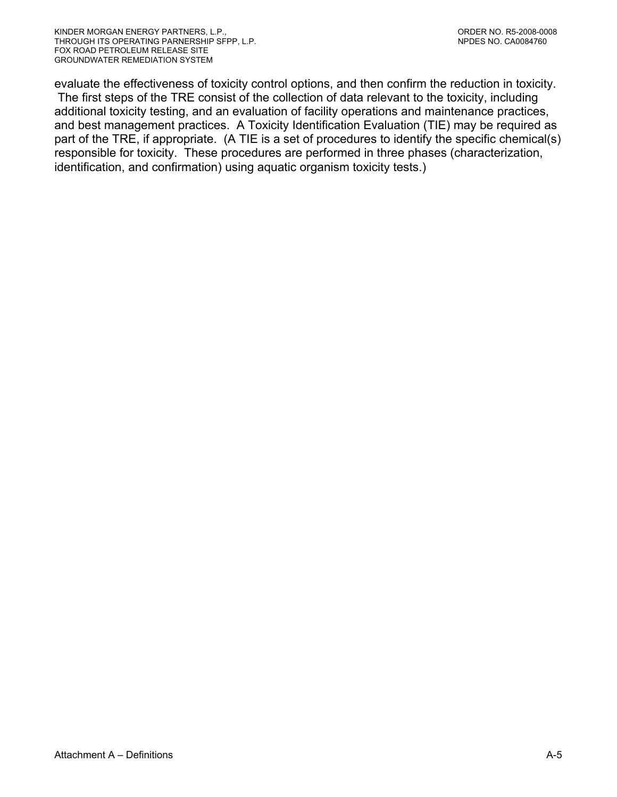evaluate the effectiveness of toxicity control options, and then confirm the reduction in toxicity. The first steps of the TRE consist of the collection of data relevant to the toxicity, including additional toxicity testing, and an evaluation of facility operations and maintenance practices, and best management practices. A Toxicity Identification Evaluation (TIE) may be required as part of the TRE, if appropriate. (A TIE is a set of procedures to identify the specific chemical(s) responsible for toxicity. These procedures are performed in three phases (characterization, identification, and confirmation) using aquatic organism toxicity tests.)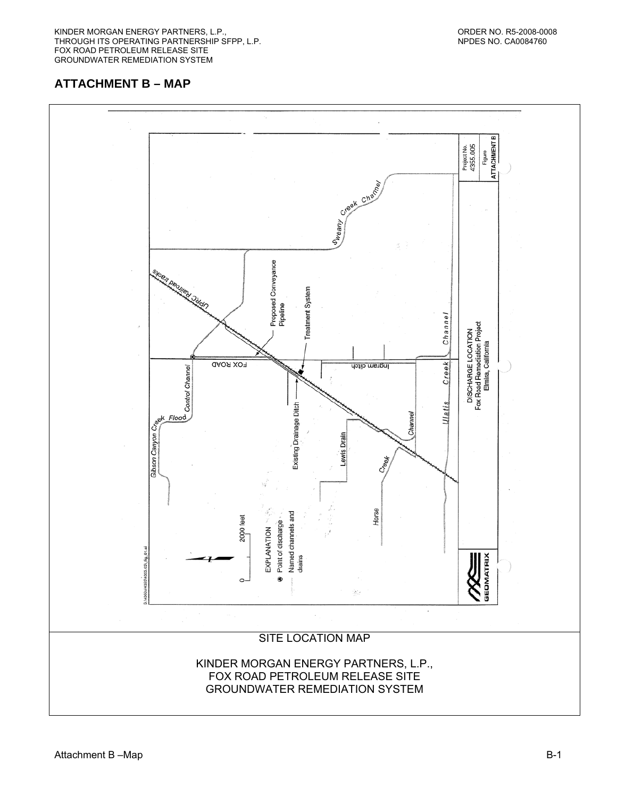<span id="page-26-0"></span>KINDER MORGAN ENERGY PARTNERS, L.P., ORDER NO. R5-2008-0008 THROUGH ITS OPERATING PARTNERSHIP SFPP, L.P. NEW AND THE SERVICE OF STATISTIC MEDICAL SERVICE OF STATISTIC MET FOX ROAD PETROLEUM RELEASE SITE GROUNDWATER REMEDIATION SYSTEM

## **ATTACHMENT B – MAP**

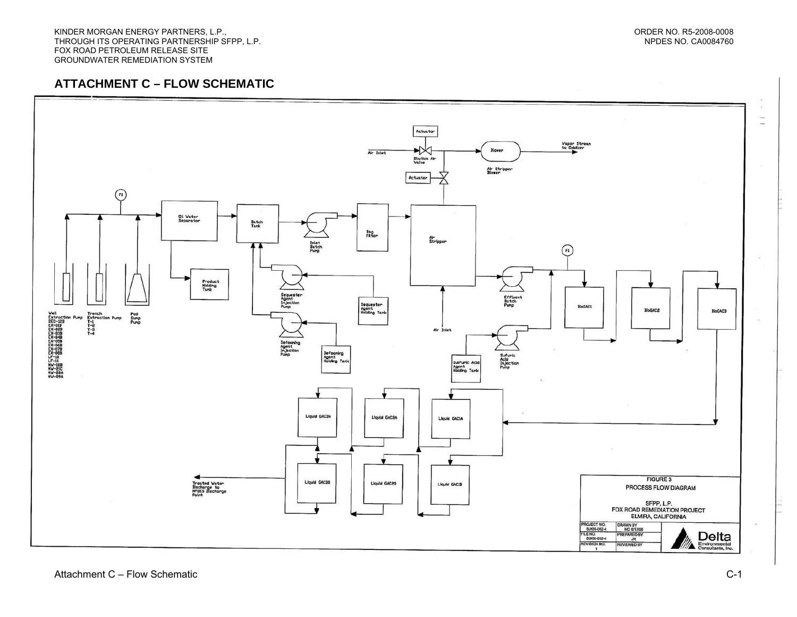#### **ATTACHMENT C – FLOW SCHEMATIC**

<span id="page-27-0"></span>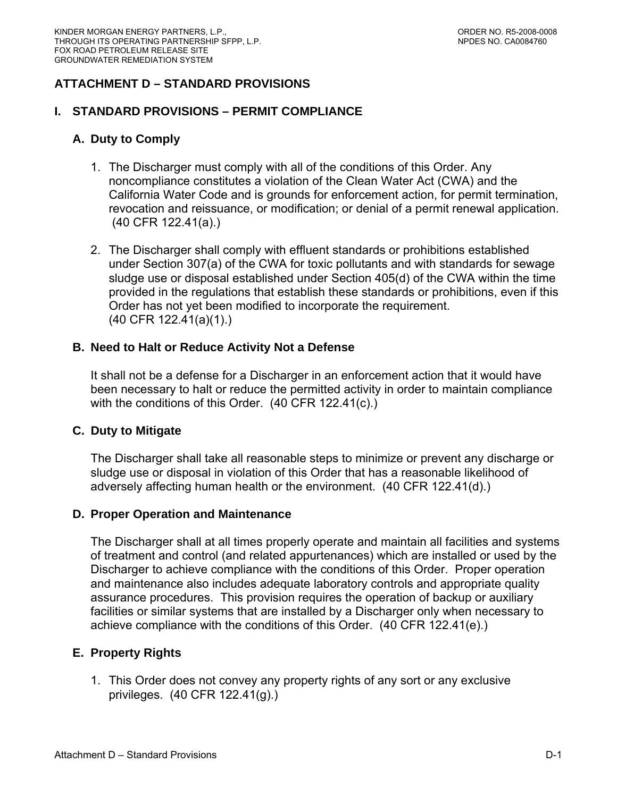# <span id="page-28-0"></span>**ATTACHMENT D – STANDARD PROVISIONS**

#### **I. STANDARD PROVISIONS – PERMIT COMPLIANCE**

#### **A. Duty to Comply**

- 1. The Discharger must comply with all of the conditions of this Order. Any noncompliance constitutes a violation of the Clean Water Act (CWA) and the California Water Code and is grounds for enforcement action, for permit termination, revocation and reissuance, or modification; or denial of a permit renewal application. (40 CFR 122.41(a).)
- 2. The Discharger shall comply with effluent standards or prohibitions established under Section 307(a) of the CWA for toxic pollutants and with standards for sewage sludge use or disposal established under Section 405(d) of the CWA within the time provided in the regulations that establish these standards or prohibitions, even if this Order has not yet been modified to incorporate the requirement. (40 CFR 122.41(a)(1).)

#### **B. Need to Halt or Reduce Activity Not a Defense**

It shall not be a defense for a Discharger in an enforcement action that it would have been necessary to halt or reduce the permitted activity in order to maintain compliance with the conditions of this Order. (40 CFR 122.41(c).)

#### **C. Duty to Mitigate**

The Discharger shall take all reasonable steps to minimize or prevent any discharge or sludge use or disposal in violation of this Order that has a reasonable likelihood of adversely affecting human health or the environment. (40 CFR 122.41(d).)

#### **D. Proper Operation and Maintenance**

The Discharger shall at all times properly operate and maintain all facilities and systems of treatment and control (and related appurtenances) which are installed or used by the Discharger to achieve compliance with the conditions of this Order. Proper operation and maintenance also includes adequate laboratory controls and appropriate quality assurance procedures. This provision requires the operation of backup or auxiliary facilities or similar systems that are installed by a Discharger only when necessary to achieve compliance with the conditions of this Order. (40 CFR 122.41(e).)

#### **E. Property Rights**

1. This Order does not convey any property rights of any sort or any exclusive privileges. (40 CFR 122.41(g).)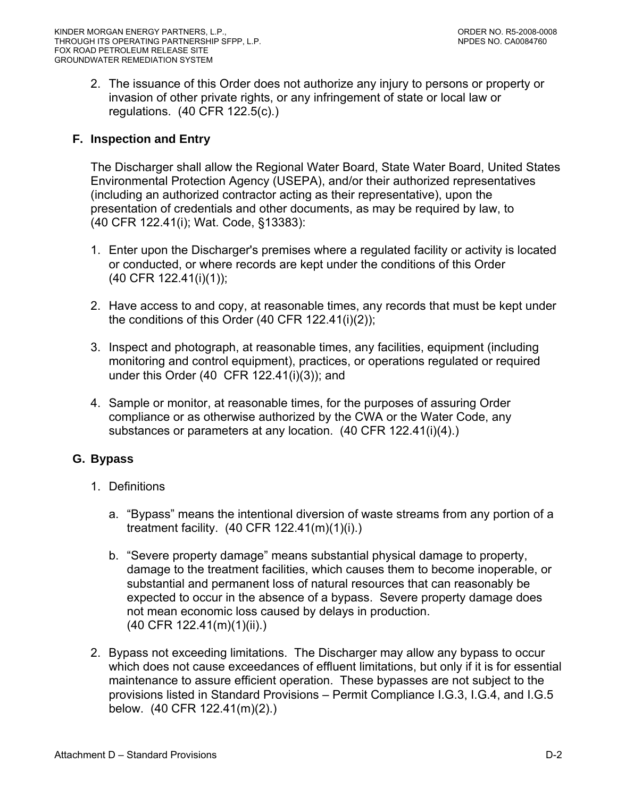<span id="page-29-0"></span>2. The issuance of this Order does not authorize any injury to persons or property or invasion of other private rights, or any infringement of state or local law or regulations. (40 CFR 122.5(c).)

# **F. Inspection and Entry**

The Discharger shall allow the Regional Water Board, State Water Board, United States Environmental Protection Agency (USEPA), and/or their authorized representatives (including an authorized contractor acting as their representative), upon the presentation of credentials and other documents, as may be required by law, to (40 CFR 122.41(i); Wat. Code, §13383):

- 1. Enter upon the Discharger's premises where a regulated facility or activity is located or conducted, or where records are kept under the conditions of this Order (40 CFR 122.41(i)(1));
- 2. Have access to and copy, at reasonable times, any records that must be kept under the conditions of this Order (40 CFR 122.41(i)(2));
- 3. Inspect and photograph, at reasonable times, any facilities, equipment (including monitoring and control equipment), practices, or operations regulated or required under this Order (40 CFR 122.41(i)(3)); and
- 4. Sample or monitor, at reasonable times, for the purposes of assuring Order compliance or as otherwise authorized by the CWA or the Water Code, any substances or parameters at any location. (40 CFR 122.41(i)(4).)

## **G. Bypass**

- 1. Definitions
	- a. "Bypass" means the intentional diversion of waste streams from any portion of a treatment facility. (40 CFR 122.41(m)(1)(i).)
	- b. "Severe property damage" means substantial physical damage to property, damage to the treatment facilities, which causes them to become inoperable, or substantial and permanent loss of natural resources that can reasonably be expected to occur in the absence of a bypass. Severe property damage does not mean economic loss caused by delays in production. (40 CFR 122.41(m)(1)(ii).)
- 2. Bypass not exceeding limitations. The Discharger may allow any bypass to occur which does not cause exceedances of effluent limitations, but only if it is for essential maintenance to assure efficient operation. These bypasses are not subject to the provisions listed in Standard Provisions – Permit Compliance I.G.3, I.G.4, and I.G.5 below. (40 CFR 122.41(m)(2).)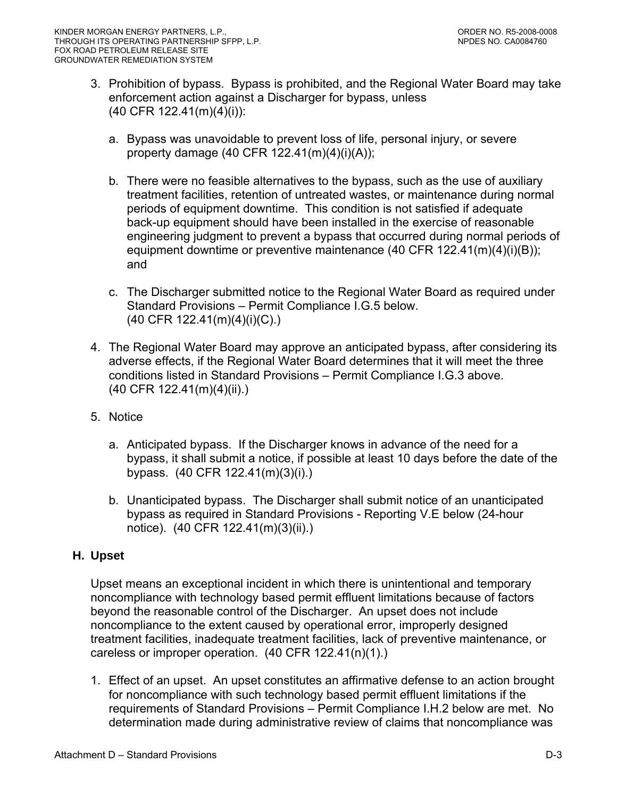- <span id="page-30-0"></span>3. Prohibition of bypass. Bypass is prohibited, and the Regional Water Board may take enforcement action against a Discharger for bypass, unless (40 CFR 122.41(m)(4)(i)):
	- a. Bypass was unavoidable to prevent loss of life, personal injury, or severe property damage (40 CFR 122.41(m)(4)(i)(A));
	- b. There were no feasible alternatives to the bypass, such as the use of auxiliary treatment facilities, retention of untreated wastes, or maintenance during normal periods of equipment downtime. This condition is not satisfied if adequate back-up equipment should have been installed in the exercise of reasonable engineering judgment to prevent a bypass that occurred during normal periods of equipment downtime or preventive maintenance (40 CFR 122.41(m)(4)(i)(B)); and
	- c. The Discharger submitted notice to the Regional Water Board as required under Standard Provisions – Permit Compliance I.G.5 below. (40 CFR 122.41(m)(4)(i)(C).)
- 4. The Regional Water Board may approve an anticipated bypass, after considering its adverse effects, if the Regional Water Board determines that it will meet the three conditions listed in Standard Provisions – Permit Compliance I.G.3 above. (40 CFR 122.41(m)(4)(ii).)
- 5. Notice
	- a. Anticipated bypass. If the Discharger knows in advance of the need for a bypass, it shall submit a notice, if possible at least 10 days before the date of the bypass. (40 CFR 122.41(m)(3)(i).)
	- b. Unanticipated bypass. The Discharger shall submit notice of an unanticipated bypass as required in Standard Provisions - Reporting V.E below (24-hour notice). (40 CFR 122.41(m)(3)(ii).)

## **H. Upset**

Upset means an exceptional incident in which there is unintentional and temporary noncompliance with technology based permit effluent limitations because of factors beyond the reasonable control of the Discharger. An upset does not include noncompliance to the extent caused by operational error, improperly designed treatment facilities, inadequate treatment facilities, lack of preventive maintenance, or careless or improper operation. (40 CFR 122.41(n)(1).)

1. Effect of an upset. An upset constitutes an affirmative defense to an action brought for noncompliance with such technology based permit effluent limitations if the requirements of Standard Provisions – Permit Compliance I.H.2 below are met. No determination made during administrative review of claims that noncompliance was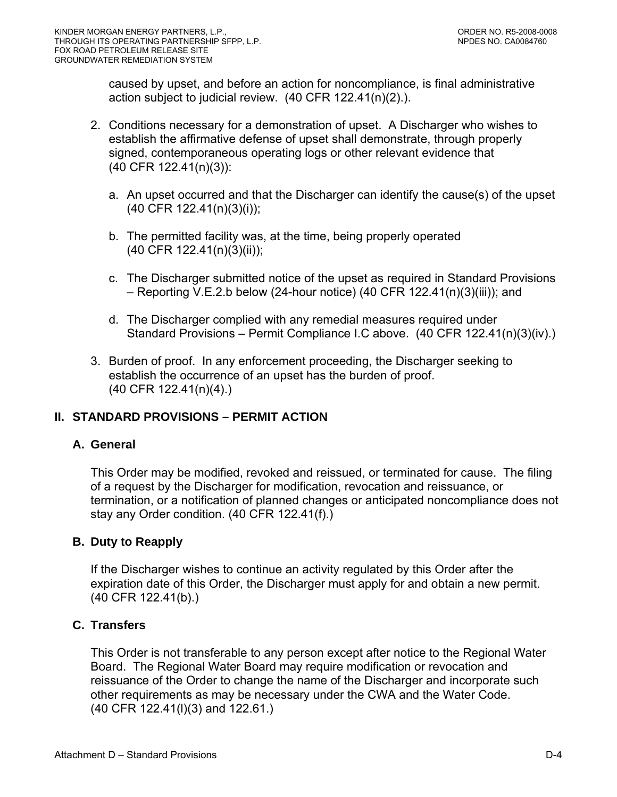caused by upset, and before an action for noncompliance, is final administrative action subject to judicial review. (40 CFR 122.41(n)(2).).

- 2. Conditions necessary for a demonstration of upset. A Discharger who wishes to establish the affirmative defense of upset shall demonstrate, through properly signed, contemporaneous operating logs or other relevant evidence that (40 CFR 122.41(n)(3)):
	- a. An upset occurred and that the Discharger can identify the cause(s) of the upset (40 CFR 122.41(n)(3)(i));
	- b. The permitted facility was, at the time, being properly operated (40 CFR 122.41(n)(3)(ii));
	- c. The Discharger submitted notice of the upset as required in Standard Provisions – Reporting V.E.2.b below (24-hour notice) (40 CFR 122.41(n)(3)(iii)); and
	- d. The Discharger complied with any remedial measures required under Standard Provisions – Permit Compliance I.C above. (40 CFR 122.41(n)(3)(iv).)
- 3. Burden of proof. In any enforcement proceeding, the Discharger seeking to establish the occurrence of an upset has the burden of proof. (40 CFR 122.41(n)(4).)

# **II. STANDARD PROVISIONS – PERMIT ACTION**

## **A. General**

This Order may be modified, revoked and reissued, or terminated for cause. The filing of a request by the Discharger for modification, revocation and reissuance, or termination, or a notification of planned changes or anticipated noncompliance does not stay any Order condition. (40 CFR 122.41(f).)

## **B. Duty to Reapply**

If the Discharger wishes to continue an activity regulated by this Order after the expiration date of this Order, the Discharger must apply for and obtain a new permit. (40 CFR 122.41(b).)

## **C. Transfers**

This Order is not transferable to any person except after notice to the Regional Water Board. The Regional Water Board may require modification or revocation and reissuance of the Order to change the name of the Discharger and incorporate such other requirements as may be necessary under the CWA and the Water Code. (40 CFR 122.41(l)(3) and 122.61.)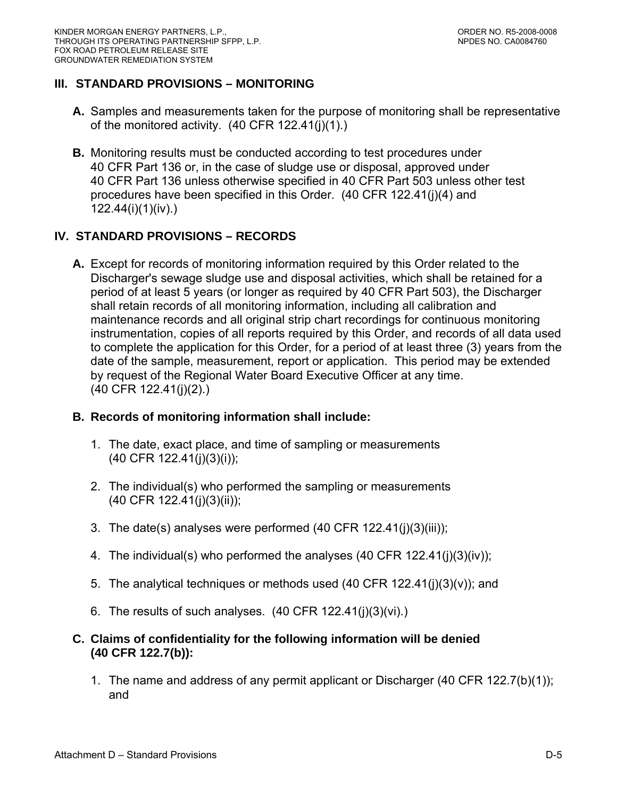# **III. STANDARD PROVISIONS – MONITORING**

- **A.** Samples and measurements taken for the purpose of monitoring shall be representative of the monitored activity. (40 CFR 122.41(j)(1).)
- **B.** Monitoring results must be conducted according to test procedures under 40 CFR Part 136 or, in the case of sludge use or disposal, approved under 40 CFR Part 136 unless otherwise specified in 40 CFR Part 503 unless other test procedures have been specified in this Order. (40 CFR 122.41(j)(4) and 122.44(i)(1)(iv).)

## **IV. STANDARD PROVISIONS – RECORDS**

**A.** Except for records of monitoring information required by this Order related to the Discharger's sewage sludge use and disposal activities, which shall be retained for a period of at least 5 years (or longer as required by 40 CFR Part 503), the Discharger shall retain records of all monitoring information, including all calibration and maintenance records and all original strip chart recordings for continuous monitoring instrumentation, copies of all reports required by this Order, and records of all data used to complete the application for this Order, for a period of at least three (3) years from the date of the sample, measurement, report or application. This period may be extended by request of the Regional Water Board Executive Officer at any time. (40 CFR 122.41(j)(2).)

## **B. Records of monitoring information shall include:**

- 1. The date, exact place, and time of sampling or measurements (40 CFR 122.41(j)(3)(i));
- 2. The individual(s) who performed the sampling or measurements (40 CFR 122.41(j)(3)(ii));
- 3. The date(s) analyses were performed (40 CFR 122.41(j)(3)(iii));
- 4. The individual(s) who performed the analyses  $(40 \text{ CFR } 122.41(j)(3)(iv))$ ;
- 5. The analytical techniques or methods used  $(40$  CFR 122.41(j) $(3)(v)$ ; and
- 6. The results of such analyses.  $(40 \text{ CFR } 122.41(i)(3)(vi))$

## **C. Claims of confidentiality for the following information will be denied (40 CFR 122.7(b)):**

1. The name and address of any permit applicant or Discharger (40 CFR 122.7(b)(1)); and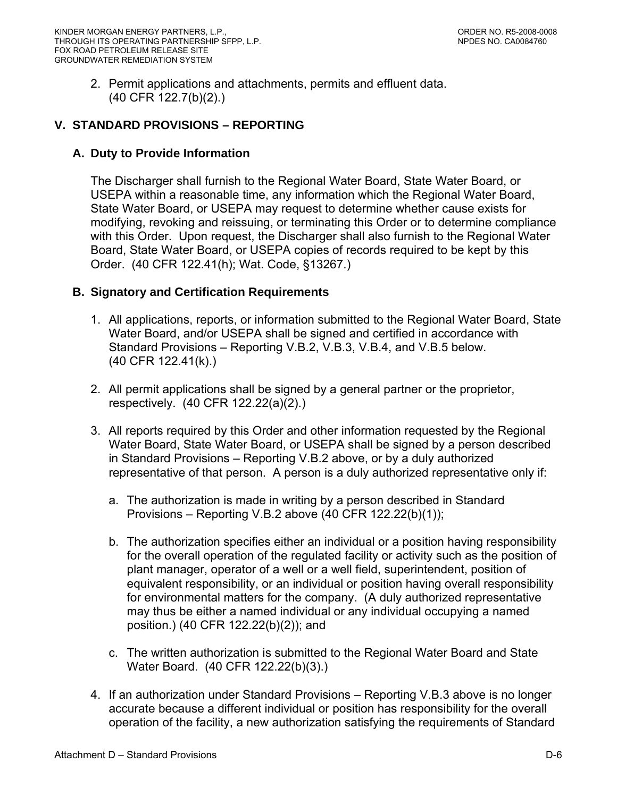2. Permit applications and attachments, permits and effluent data. (40 CFR 122.7(b)(2).)

# **V. STANDARD PROVISIONS – REPORTING**

## **A. Duty to Provide Information**

The Discharger shall furnish to the Regional Water Board, State Water Board, or USEPA within a reasonable time, any information which the Regional Water Board, State Water Board, or USEPA may request to determine whether cause exists for modifying, revoking and reissuing, or terminating this Order or to determine compliance with this Order. Upon request, the Discharger shall also furnish to the Regional Water Board, State Water Board, or USEPA copies of records required to be kept by this Order. (40 CFR 122.41(h); Wat. Code, §13267.)

## **B. Signatory and Certification Requirements**

- 1. All applications, reports, or information submitted to the Regional Water Board, State Water Board, and/or USEPA shall be signed and certified in accordance with Standard Provisions – Reporting V.B.2, V.B.3, V.B.4, and V.B.5 below. (40 CFR 122.41(k).)
- 2. All permit applications shall be signed by a general partner or the proprietor, respectively. (40 CFR 122.22(a)(2).)
- 3. All reports required by this Order and other information requested by the Regional Water Board, State Water Board, or USEPA shall be signed by a person described in Standard Provisions – Reporting V.B.2 above, or by a duly authorized representative of that person. A person is a duly authorized representative only if:
	- a. The authorization is made in writing by a person described in Standard Provisions – Reporting V.B.2 above (40 CFR 122.22(b)(1));
	- b. The authorization specifies either an individual or a position having responsibility for the overall operation of the regulated facility or activity such as the position of plant manager, operator of a well or a well field, superintendent, position of equivalent responsibility, or an individual or position having overall responsibility for environmental matters for the company. (A duly authorized representative may thus be either a named individual or any individual occupying a named position.) (40 CFR 122.22(b)(2)); and
	- c. The written authorization is submitted to the Regional Water Board and State Water Board. (40 CFR 122.22(b)(3).)
- 4. If an authorization under Standard Provisions Reporting V.B.3 above is no longer accurate because a different individual or position has responsibility for the overall operation of the facility, a new authorization satisfying the requirements of Standard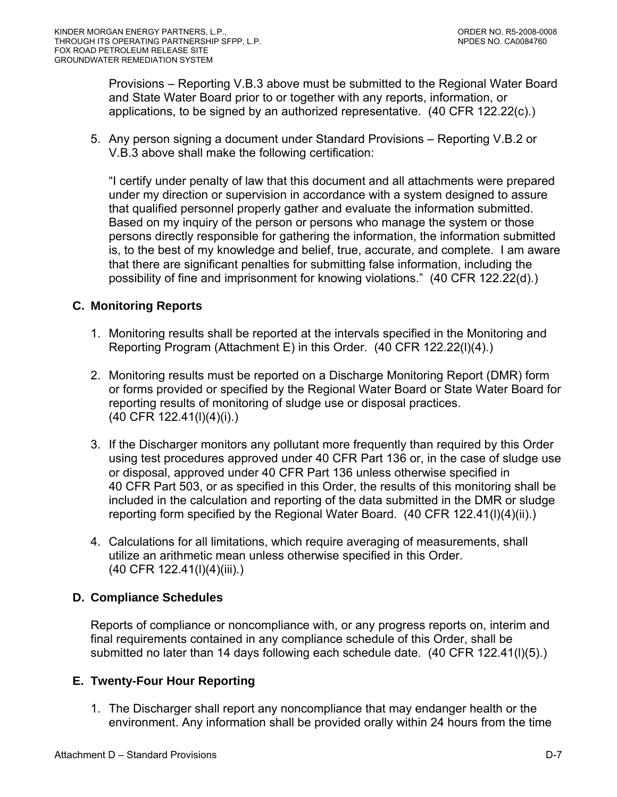Provisions – Reporting V.B.3 above must be submitted to the Regional Water Board and State Water Board prior to or together with any reports, information, or applications, to be signed by an authorized representative. (40 CFR 122.22(c).)

5. Any person signing a document under Standard Provisions – Reporting V.B.2 or V.B.3 above shall make the following certification:

"I certify under penalty of law that this document and all attachments were prepared under my direction or supervision in accordance with a system designed to assure that qualified personnel properly gather and evaluate the information submitted. Based on my inquiry of the person or persons who manage the system or those persons directly responsible for gathering the information, the information submitted is, to the best of my knowledge and belief, true, accurate, and complete. I am aware that there are significant penalties for submitting false information, including the possibility of fine and imprisonment for knowing violations." (40 CFR 122.22(d).)

## **C. Monitoring Reports**

- 1. Monitoring results shall be reported at the intervals specified in the Monitoring and Reporting Program (Attachment E) in this Order. (40 CFR 122.22(l)(4).)
- 2. Monitoring results must be reported on a Discharge Monitoring Report (DMR) form or forms provided or specified by the Regional Water Board or State Water Board for reporting results of monitoring of sludge use or disposal practices. (40 CFR 122.41(l)(4)(i).)
- 3. If the Discharger monitors any pollutant more frequently than required by this Order using test procedures approved under 40 CFR Part 136 or, in the case of sludge use or disposal, approved under 40 CFR Part 136 unless otherwise specified in 40 CFR Part 503, or as specified in this Order, the results of this monitoring shall be included in the calculation and reporting of the data submitted in the DMR or sludge reporting form specified by the Regional Water Board. (40 CFR 122.41(l)(4)(ii).)
- 4. Calculations for all limitations, which require averaging of measurements, shall utilize an arithmetic mean unless otherwise specified in this Order. (40 CFR 122.41(l)(4)(iii).)

## **D. Compliance Schedules**

Reports of compliance or noncompliance with, or any progress reports on, interim and final requirements contained in any compliance schedule of this Order, shall be submitted no later than 14 days following each schedule date. (40 CFR 122.41(l)(5).)

## **E. Twenty-Four Hour Reporting**

1. The Discharger shall report any noncompliance that may endanger health or the environment. Any information shall be provided orally within 24 hours from the time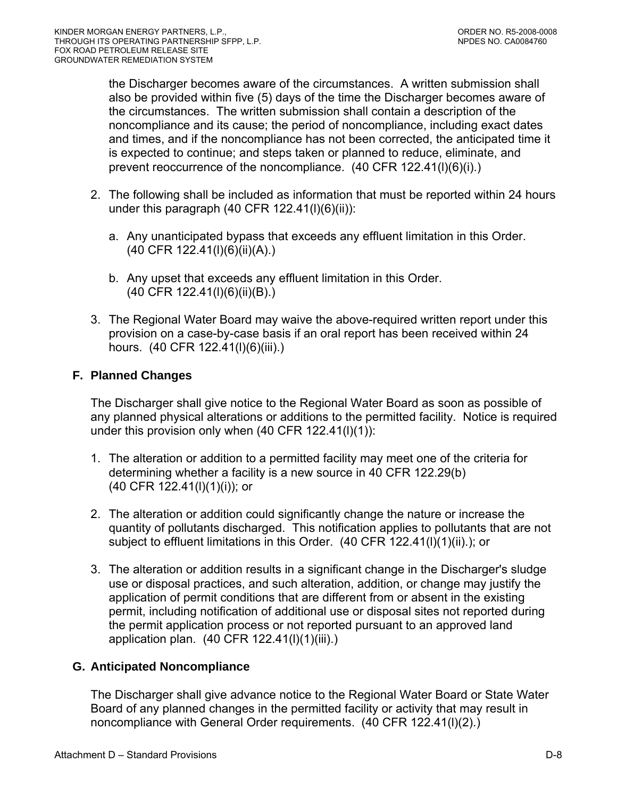the Discharger becomes aware of the circumstances. A written submission shall also be provided within five (5) days of the time the Discharger becomes aware of the circumstances. The written submission shall contain a description of the noncompliance and its cause; the period of noncompliance, including exact dates and times, and if the noncompliance has not been corrected, the anticipated time it is expected to continue; and steps taken or planned to reduce, eliminate, and prevent reoccurrence of the noncompliance. (40 CFR 122.41(l)(6)(i).)

- 2. The following shall be included as information that must be reported within 24 hours under this paragraph (40 CFR  $122.41(l)(6)(ii)$ ):
	- a. Any unanticipated bypass that exceeds any effluent limitation in this Order. (40 CFR 122.41(l)(6)(ii)(A).)
	- b. Any upset that exceeds any effluent limitation in this Order. (40 CFR 122.41(l)(6)(ii)(B).)
- 3. The Regional Water Board may waive the above-required written report under this provision on a case-by-case basis if an oral report has been received within 24 hours. (40 CFR 122.41(l)(6)(iii).)

# **F. Planned Changes**

The Discharger shall give notice to the Regional Water Board as soon as possible of any planned physical alterations or additions to the permitted facility. Notice is required under this provision only when (40 CFR 122.41(l)(1)):

- 1. The alteration or addition to a permitted facility may meet one of the criteria for determining whether a facility is a new source in 40 CFR 122.29(b) (40 CFR 122.41(l)(1)(i)); or
- 2. The alteration or addition could significantly change the nature or increase the quantity of pollutants discharged. This notification applies to pollutants that are not subject to effluent limitations in this Order. (40 CFR 122.41(I)(1)(ii).); or
- 3. The alteration or addition results in a significant change in the Discharger's sludge use or disposal practices, and such alteration, addition, or change may justify the application of permit conditions that are different from or absent in the existing permit, including notification of additional use or disposal sites not reported during the permit application process or not reported pursuant to an approved land application plan. (40 CFR 122.41(l)(1)(iii).)

# **G. Anticipated Noncompliance**

The Discharger shall give advance notice to the Regional Water Board or State Water Board of any planned changes in the permitted facility or activity that may result in noncompliance with General Order requirements. (40 CFR 122.41(l)(2).)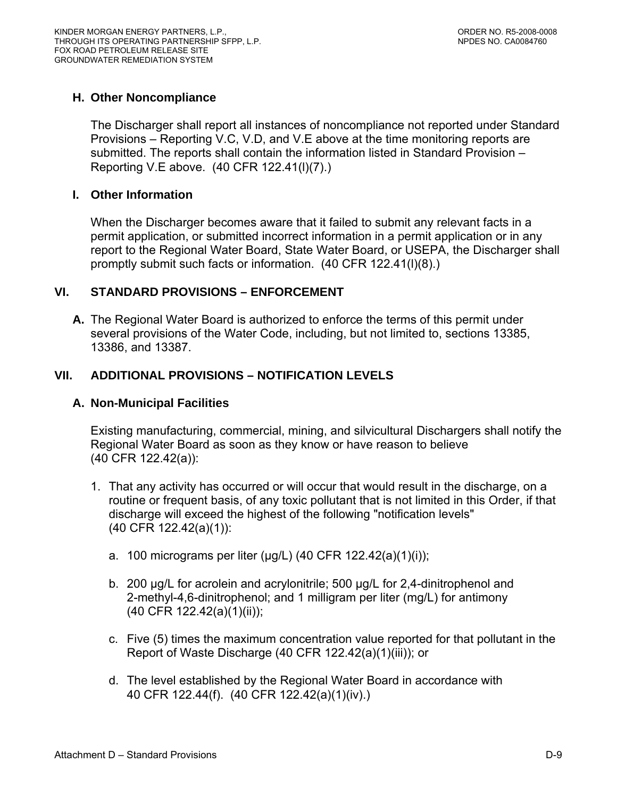### **H. Other Noncompliance**

The Discharger shall report all instances of noncompliance not reported under Standard Provisions – Reporting V.C, V.D, and V.E above at the time monitoring reports are submitted. The reports shall contain the information listed in Standard Provision – Reporting V.E above. (40 CFR 122.41(l)(7).)

#### **I. Other Information**

When the Discharger becomes aware that it failed to submit any relevant facts in a permit application, or submitted incorrect information in a permit application or in any report to the Regional Water Board, State Water Board, or USEPA, the Discharger shall promptly submit such facts or information. (40 CFR 122.41(l)(8).)

### **VI. STANDARD PROVISIONS – ENFORCEMENT**

**A.** The Regional Water Board is authorized to enforce the terms of this permit under several provisions of the Water Code, including, but not limited to, sections 13385, 13386, and 13387.

## **VII. ADDITIONAL PROVISIONS – NOTIFICATION LEVELS**

#### **A. Non-Municipal Facilities**

Existing manufacturing, commercial, mining, and silvicultural Dischargers shall notify the Regional Water Board as soon as they know or have reason to believe (40 CFR 122.42(a)):

- 1. That any activity has occurred or will occur that would result in the discharge, on a routine or frequent basis, of any toxic pollutant that is not limited in this Order, if that discharge will exceed the highest of the following "notification levels" (40 CFR 122.42(a)(1)):
	- a. 100 micrograms per liter ( $\mu$ g/L) (40 CFR 122.42(a)(1)(i));
	- b. 200 μg/L for acrolein and acrylonitrile; 500 μg/L for 2,4-dinitrophenol and 2-methyl-4,6-dinitrophenol; and 1 milligram per liter (mg/L) for antimony (40 CFR 122.42(a)(1)(ii));
	- c. Five (5) times the maximum concentration value reported for that pollutant in the Report of Waste Discharge (40 CFR 122.42(a)(1)(iii)); or
	- d. The level established by the Regional Water Board in accordance with 40 CFR 122.44(f). (40 CFR 122.42(a)(1)(iv).)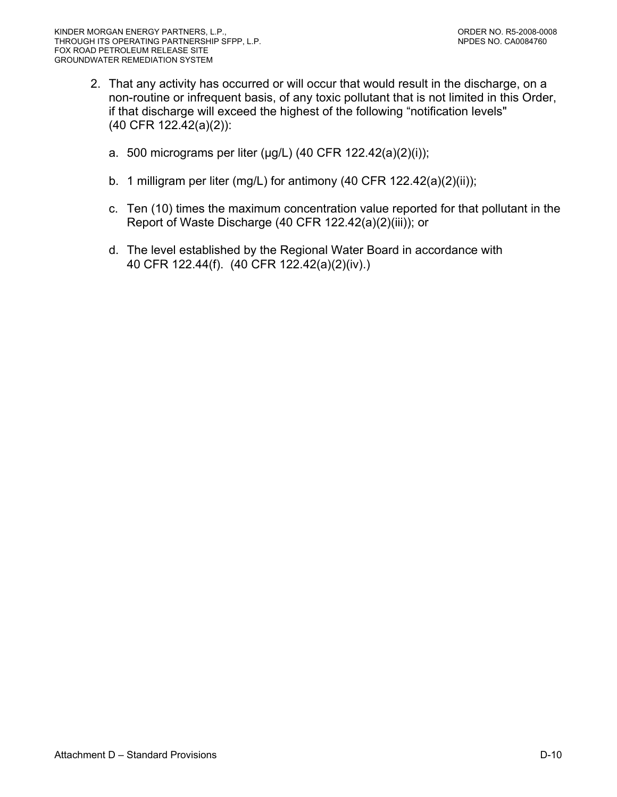- 2. That any activity has occurred or will occur that would result in the discharge, on a non-routine or infrequent basis, of any toxic pollutant that is not limited in this Order, if that discharge will exceed the highest of the following "notification levels" (40 CFR 122.42(a)(2)):
	- a. 500 micrograms per liter (μg/L) (40 CFR 122.42(a)(2)(i));
	- b. 1 milligram per liter (mg/L) for antimony (40 CFR 122.42(a)(2)(ii));
	- c. Ten (10) times the maximum concentration value reported for that pollutant in the Report of Waste Discharge (40 CFR 122.42(a)(2)(iii)); or
	- d. The level established by the Regional Water Board in accordance with 40 CFR 122.44(f). (40 CFR 122.42(a)(2)(iv).)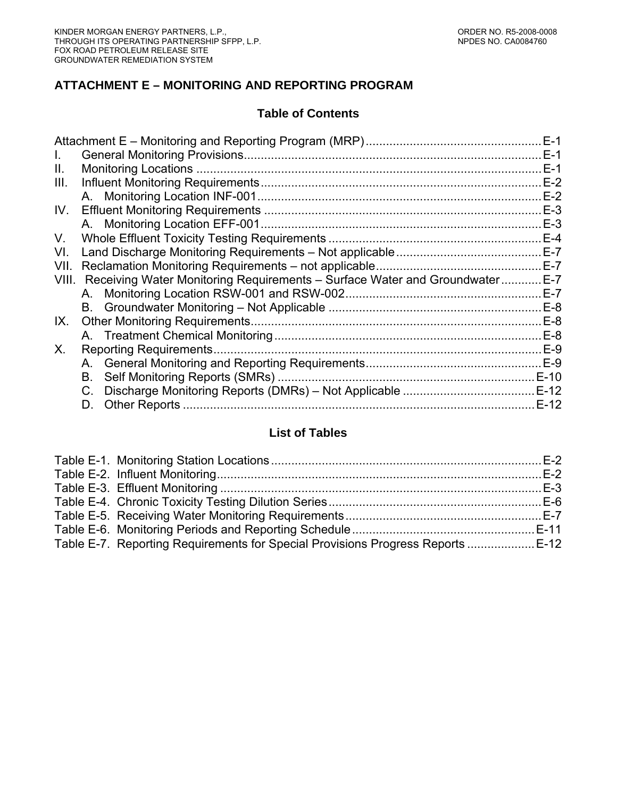# **ATTACHMENT E – MONITORING AND REPORTING PROGRAM**

# **Table of Contents**

|              |                                                                             | $E-1$  |
|--------------|-----------------------------------------------------------------------------|--------|
| $\mathbf{L}$ |                                                                             | $E-1$  |
| Ш.           |                                                                             | $E-1$  |
| III.         |                                                                             | $E-2$  |
|              |                                                                             | $E-2$  |
| IV.          |                                                                             | $E-3$  |
|              |                                                                             | $E-3$  |
| V.           |                                                                             | $E-4$  |
| VI.          |                                                                             | $E-7$  |
| VII.         | Reclamation Monitoring Requirements - not applicable                        | $E-7$  |
| VIII.        | Receiving Water Monitoring Requirements – Surface Water and Groundwater E-7 |        |
|              |                                                                             | $E-7$  |
|              |                                                                             | $E-8$  |
| IX.          |                                                                             | $E-8$  |
|              |                                                                             | $E-8$  |
| X.           | <b>Reporting Requirements.</b>                                              | $E-9$  |
|              |                                                                             |        |
|              | В.                                                                          |        |
|              |                                                                             |        |
|              | D.                                                                          | $E-12$ |
|              |                                                                             |        |

## **List of Tables**

| Table E-7. Reporting Requirements for Special Provisions Progress Reports  E-12 |  |
|---------------------------------------------------------------------------------|--|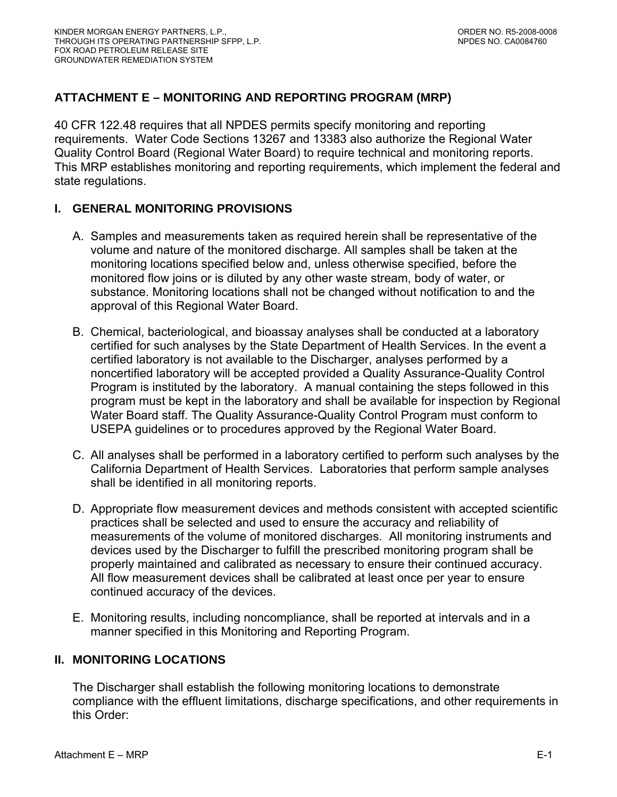# <span id="page-39-0"></span>**ATTACHMENT E – MONITORING AND REPORTING PROGRAM (MRP)**

40 CFR 122.48 requires that all NPDES permits specify monitoring and reporting requirements. Water Code Sections 13267 and 13383 also authorize the Regional Water Quality Control Board (Regional Water Board) to require technical and monitoring reports. This MRP establishes monitoring and reporting requirements, which implement the federal and state regulations.

### **I. GENERAL MONITORING PROVISIONS**

- A. Samples and measurements taken as required herein shall be representative of the volume and nature of the monitored discharge. All samples shall be taken at the monitoring locations specified below and, unless otherwise specified, before the monitored flow joins or is diluted by any other waste stream, body of water, or substance. Monitoring locations shall not be changed without notification to and the approval of this Regional Water Board.
- B. Chemical, bacteriological, and bioassay analyses shall be conducted at a laboratory certified for such analyses by the State Department of Health Services. In the event a certified laboratory is not available to the Discharger, analyses performed by a noncertified laboratory will be accepted provided a Quality Assurance-Quality Control Program is instituted by the laboratory. A manual containing the steps followed in this program must be kept in the laboratory and shall be available for inspection by Regional Water Board staff. The Quality Assurance-Quality Control Program must conform to USEPA guidelines or to procedures approved by the Regional Water Board.
- C. All analyses shall be performed in a laboratory certified to perform such analyses by the California Department of Health Services. Laboratories that perform sample analyses shall be identified in all monitoring reports.
- D. Appropriate flow measurement devices and methods consistent with accepted scientific practices shall be selected and used to ensure the accuracy and reliability of measurements of the volume of monitored discharges. All monitoring instruments and devices used by the Discharger to fulfill the prescribed monitoring program shall be properly maintained and calibrated as necessary to ensure their continued accuracy. All flow measurement devices shall be calibrated at least once per year to ensure continued accuracy of the devices.
- E. Monitoring results, including noncompliance, shall be reported at intervals and in a manner specified in this Monitoring and Reporting Program.

### **II. MONITORING LOCATIONS**

The Discharger shall establish the following monitoring locations to demonstrate compliance with the effluent limitations, discharge specifications, and other requirements in this Order: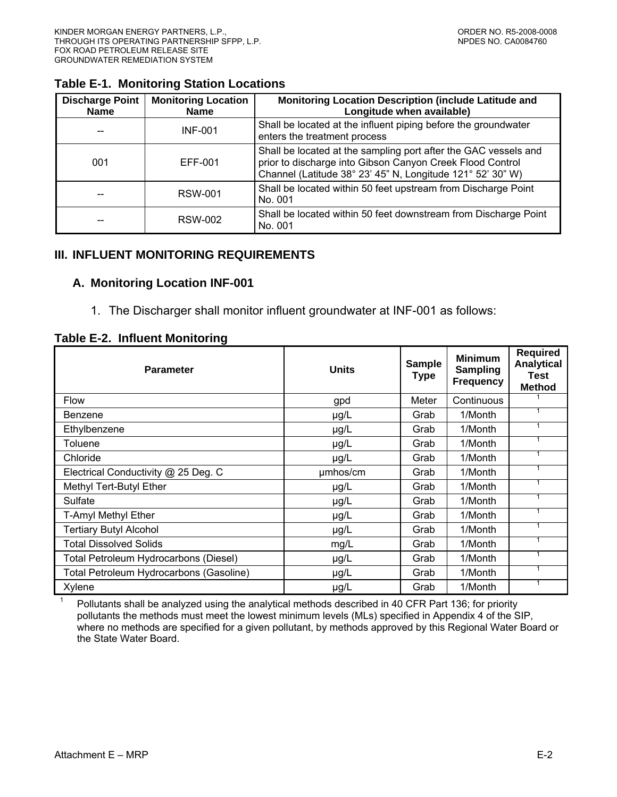#### <span id="page-40-0"></span>**Table E-1. Monitoring Station Locations**

| <b>Discharge Point</b><br><b>Name</b> | <b>Monitoring Location</b><br><b>Name</b> | Monitoring Location Description (include Latitude and<br>Longitude when available)                                                                                                         |
|---------------------------------------|-------------------------------------------|--------------------------------------------------------------------------------------------------------------------------------------------------------------------------------------------|
|                                       | <b>INF-001</b>                            | Shall be located at the influent piping before the groundwater<br>enters the treatment process                                                                                             |
| 001                                   | EFF-001                                   | Shall be located at the sampling port after the GAC vessels and<br>prior to discharge into Gibson Canyon Creek Flood Control<br>Channel (Latitude 38° 23' 45" N, Longitude 121° 52' 30" W) |
|                                       | <b>RSW-001</b>                            | Shall be located within 50 feet upstream from Discharge Point<br>No. 001                                                                                                                   |
|                                       | RSW-002                                   | Shall be located within 50 feet downstream from Discharge Point<br>No. 001                                                                                                                 |

#### **III. INFLUENT MONITORING REQUIREMENTS**

#### **A. Monitoring Location INF-001**

1. The Discharger shall monitor influent groundwater at INF-001 as follows:

#### **Table E-2. Influent Monitoring**

| <b>Parameter</b>                        | <b>Units</b> | <b>Sample</b><br><b>Type</b> | <b>Minimum</b><br><b>Sampling</b><br><b>Frequency</b> | <b>Required</b><br><b>Analytical</b><br><b>Test</b><br><b>Method</b> |
|-----------------------------------------|--------------|------------------------------|-------------------------------------------------------|----------------------------------------------------------------------|
| <b>Flow</b>                             | gpd          | Meter                        | Continuous                                            |                                                                      |
| <b>Benzene</b>                          | $\mu$ g/L    | Grab                         | 1/Month                                               |                                                                      |
| Ethylbenzene                            | $\mu$ g/L    | Grab                         | 1/Month                                               | 1                                                                    |
| Toluene                                 | $\mu$ g/L    | Grab                         | 1/Month                                               | 1                                                                    |
| Chloride                                | $\mu$ g/L    | Grab                         | 1/Month                                               |                                                                      |
| Electrical Conductivity @ 25 Deg. C     | umhos/cm     | Grab                         | 1/Month                                               | 1                                                                    |
| Methyl Tert-Butyl Ether                 | $\mu$ g/L    | Grab                         | 1/Month                                               | 1                                                                    |
| Sulfate                                 | $\mu$ g/L    | Grab                         | 1/Month                                               |                                                                      |
| T-Amyl Methyl Ether                     | µg/L         | Grab                         | 1/Month                                               | 1                                                                    |
| <b>Tertiary Butyl Alcohol</b>           | $\mu$ g/L    | Grab                         | 1/Month                                               | $\mathbf{1}$                                                         |
| <b>Total Dissolved Solids</b>           | mg/L         | Grab                         | 1/Month                                               |                                                                      |
| Total Petroleum Hydrocarbons (Diesel)   | $\mu$ g/L    | Grab                         | 1/Month                                               |                                                                      |
| Total Petroleum Hydrocarbons (Gasoline) | $\mu$ g/L    | Grab                         | 1/Month                                               | 1                                                                    |
| Xylene                                  | $\mu$ g/L    | Grab                         | 1/Month                                               |                                                                      |

 Pollutants shall be analyzed using the analytical methods described in 40 CFR Part 136; for priority pollutants the methods must meet the lowest minimum levels (MLs) specified in Appendix 4 of the SIP, where no methods are specified for a given pollutant, by methods approved by this Regional Water Board or the State Water Board.

1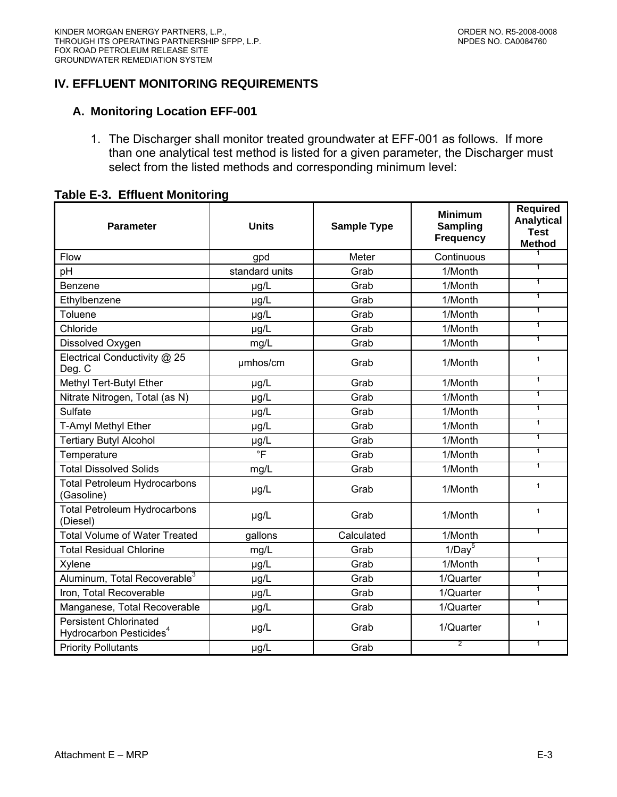## <span id="page-41-0"></span>**IV. EFFLUENT MONITORING REQUIREMENTS**

### **A. Monitoring Location EFF-001**

1. The Discharger shall monitor treated groundwater at EFF-001 as follows. If more than one analytical test method is listed for a given parameter, the Discharger must select from the listed methods and corresponding minimum level:

#### **Table E-3. Effluent Monitoring**

| <b>Parameter</b>                                                     | <b>Units</b>   | <b>Sample Type</b> | <b>Minimum</b><br><b>Sampling</b><br><b>Frequency</b> | <b>Required</b><br><b>Analytical</b><br><b>Test</b><br><b>Method</b> |
|----------------------------------------------------------------------|----------------|--------------------|-------------------------------------------------------|----------------------------------------------------------------------|
| Flow                                                                 | gpd            | Meter              | Continuous                                            | 1                                                                    |
| pH                                                                   | standard units | Grab               | 1/Month                                               | $\overline{1}$                                                       |
| Benzene                                                              | µg/L           | Grab               | 1/Month                                               | $\overline{1}$                                                       |
| Ethylbenzene                                                         | µg/L           | Grab               | 1/Month                                               | $\overline{1}$                                                       |
| Toluene                                                              | µg/L           | Grab               | 1/Month                                               | $\overline{1}$                                                       |
| Chloride                                                             | µg/L           | Grab               | 1/Month                                               | $\overline{1}$                                                       |
| Dissolved Oxygen                                                     | mg/L           | Grab               | 1/Month                                               | $\overline{1}$                                                       |
| Electrical Conductivity @ 25<br>Deg. C                               | µmhos/cm       | Grab               | 1/Month                                               | $\mathbf{1}$                                                         |
| Methyl Tert-Butyl Ether                                              | µg/L           | Grab               | 1/Month                                               | $\mathbf{1}$                                                         |
| Nitrate Nitrogen, Total (as N)                                       | µg/L           | Grab               | 1/Month                                               | $\overline{1}$                                                       |
| Sulfate                                                              | µg/L           | Grab               | 1/Month                                               | $\mathbf{1}$                                                         |
| T-Amyl Methyl Ether                                                  | µg/L           | Grab               | 1/Month                                               | $\overline{1}$                                                       |
| <b>Tertiary Butyl Alcohol</b>                                        | µg/L           | Grab               | 1/Month                                               | $\overline{1}$                                                       |
| Temperature                                                          | $\overline{F}$ | Grab               | 1/Month                                               | $\overline{1}$                                                       |
| <b>Total Dissolved Solids</b>                                        | mg/L           | Grab               | 1/Month                                               | $\overline{1}$                                                       |
| <b>Total Petroleum Hydrocarbons</b><br>(Gasoline)                    | µg/L           | Grab               | 1/Month                                               | $\mathbf{1}$                                                         |
| <b>Total Petroleum Hydrocarbons</b><br>(Diesel)                      | µg/L           | Grab               | 1/Month                                               | $\mathbf{1}$                                                         |
| <b>Total Volume of Water Treated</b>                                 | gallons        | Calculated         | 1/Month                                               | $\overline{1}$                                                       |
| <b>Total Residual Chlorine</b>                                       | mg/L           | Grab               | $1/Day^5$                                             |                                                                      |
| Xylene                                                               | µg/L           | Grab               | 1/Month                                               | $\overline{1}$                                                       |
| Aluminum, Total Recoverable <sup>3</sup>                             | µg/L           | Grab               | 1/Quarter                                             | 1                                                                    |
| Iron, Total Recoverable                                              | µg/L           | Grab               | 1/Quarter                                             | $\overline{1}$                                                       |
| Manganese, Total Recoverable                                         | µg/L           | Grab               | 1/Quarter                                             | $\overline{1}$                                                       |
| <b>Persistent Chlorinated</b><br>Hydrocarbon Pesticides <sup>4</sup> | µg/L           | Grab               | 1/Quarter                                             | $\mathbf{1}$                                                         |
| <b>Priority Pollutants</b>                                           | µg/L           | Grab               | $\overline{2}$                                        | $\mathbf{1}$                                                         |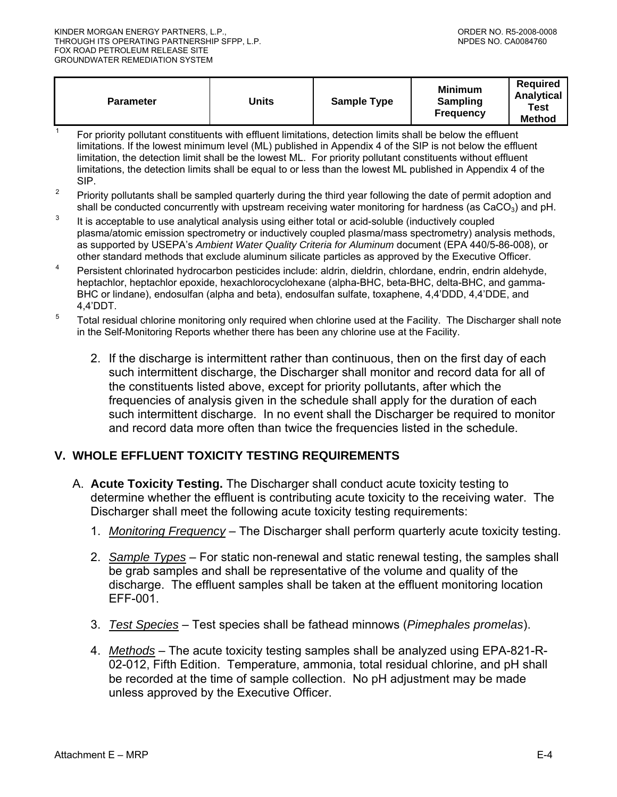<span id="page-42-0"></span>

| <b>Parameter</b> | Jnits | <b>Sample Type</b> | <b>Minimum</b><br><b>Sampling</b><br><b>Frequency</b> | <b>Required</b><br>Analytical<br>Test<br><b>Method</b> |
|------------------|-------|--------------------|-------------------------------------------------------|--------------------------------------------------------|
|------------------|-------|--------------------|-------------------------------------------------------|--------------------------------------------------------|

- 1 For priority pollutant constituents with effluent limitations, detection limits shall be below the effluent limitations. If the lowest minimum level (ML) published in Appendix 4 of the SIP is not below the effluent limitation, the detection limit shall be the lowest ML. For priority pollutant constituents without effluent limitations, the detection limits shall be equal to or less than the lowest ML published in Appendix 4 of the SIP.
- <sup>2</sup> Priority pollutants shall be sampled quarterly during the third year following the date of permit adoption and shall be conducted concurrently with upstream receiving water monitoring for hardness (as  $CaCO<sub>3</sub>$ ) and pH.
- $3$  It is acceptable to use analytical analysis using either total or acid-soluble (inductively coupled plasma/atomic emission spectrometry or inductively coupled plasma/mass spectrometry) analysis methods, as supported by USEPA's *Ambient Water Quality Criteria for Aluminum* document (EPA 440/5-86-008), or other standard methods that exclude aluminum silicate particles as approved by the Executive Officer.
- <sup>4</sup> Persistent chlorinated hydrocarbon pesticides include: aldrin, dieldrin, chlordane, endrin, endrin aldehyde, heptachlor, heptachlor epoxide, hexachlorocyclohexane (alpha-BHC, beta-BHC, delta-BHC, and gamma-BHC or lindane), endosulfan (alpha and beta), endosulfan sulfate, toxaphene, 4,4'DDD, 4,4'DDE, and 4,4'DDT.
- <sup>5</sup> Total residual chlorine monitoring only required when chlorine used at the Facility. The Discharger shall note in the Self-Monitoring Reports whether there has been any chlorine use at the Facility.
	- 2. If the discharge is intermittent rather than continuous, then on the first day of each such intermittent discharge, the Discharger shall monitor and record data for all of the constituents listed above, except for priority pollutants, after which the frequencies of analysis given in the schedule shall apply for the duration of each such intermittent discharge. In no event shall the Discharger be required to monitor and record data more often than twice the frequencies listed in the schedule.

# **V. WHOLE EFFLUENT TOXICITY TESTING REQUIREMENTS**

- A. **Acute Toxicity Testing.** The Discharger shall conduct acute toxicity testing to determine whether the effluent is contributing acute toxicity to the receiving water. The Discharger shall meet the following acute toxicity testing requirements:
	- 1. *Monitoring Frequency* The Discharger shall perform quarterly acute toxicity testing.
	- 2. *Sample Types* For static non-renewal and static renewal testing, the samples shall be grab samples and shall be representative of the volume and quality of the discharge. The effluent samples shall be taken at the effluent monitoring location EFF-001.
	- 3. *Test Species* Test species shall be fathead minnows (*Pimephales promelas*).
	- 4. *Methods* The acute toxicity testing samples shall be analyzed using EPA-821-R-02-012, Fifth Edition. Temperature, ammonia, total residual chlorine, and pH shall be recorded at the time of sample collection. No pH adjustment may be made unless approved by the Executive Officer.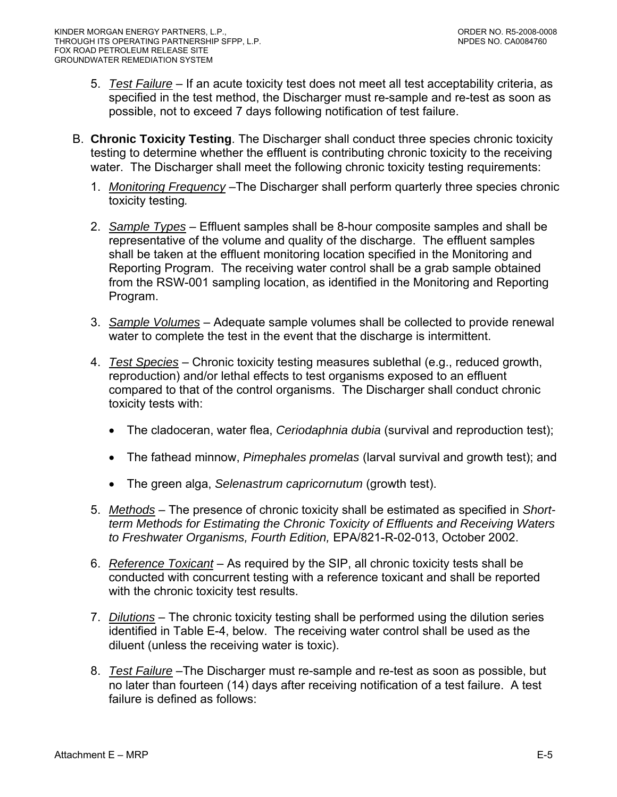- 5. *Test Failure* If an acute toxicity test does not meet all test acceptability criteria, as specified in the test method, the Discharger must re-sample and re-test as soon as possible, not to exceed 7 days following notification of test failure.
- B. **Chronic Toxicity Testing**. The Discharger shall conduct three species chronic toxicity testing to determine whether the effluent is contributing chronic toxicity to the receiving water. The Discharger shall meet the following chronic toxicity testing requirements:
	- 1. *Monitoring Frequency* –The Discharger shall perform quarterly three species chronic toxicity testing*.*
	- 2. *Sample Types* Effluent samples shall be 8-hour composite samples and shall be representative of the volume and quality of the discharge. The effluent samples shall be taken at the effluent monitoring location specified in the Monitoring and Reporting Program. The receiving water control shall be a grab sample obtained from the RSW-001 sampling location, as identified in the Monitoring and Reporting Program.
	- 3. *Sample Volumes* Adequate sample volumes shall be collected to provide renewal water to complete the test in the event that the discharge is intermittent.
	- 4. *Test Species* Chronic toxicity testing measures sublethal (e.g., reduced growth, reproduction) and/or lethal effects to test organisms exposed to an effluent compared to that of the control organisms. The Discharger shall conduct chronic toxicity tests with:
		- The cladoceran, water flea, *Ceriodaphnia dubia* (survival and reproduction test);
		- The fathead minnow, *Pimephales promelas* (larval survival and growth test); and
		- The green alga, *Selenastrum capricornutum* (growth test).
	- 5. *Methods* The presence of chronic toxicity shall be estimated as specified in *Shortterm Methods for Estimating the Chronic Toxicity of Effluents and Receiving Waters to Freshwater Organisms, Fourth Edition,* EPA/821-R-02-013, October 2002.
	- 6. *Reference Toxicant* As required by the SIP, all chronic toxicity tests shall be conducted with concurrent testing with a reference toxicant and shall be reported with the chronic toxicity test results.
	- 7. *Dilutions* The chronic toxicity testing shall be performed using the dilution series identified in Table E-4, below. The receiving water control shall be used as the diluent (unless the receiving water is toxic).
	- 8. *Test Failure* –The Discharger must re-sample and re-test as soon as possible, but no later than fourteen (14) days after receiving notification of a test failure. A test failure is defined as follows: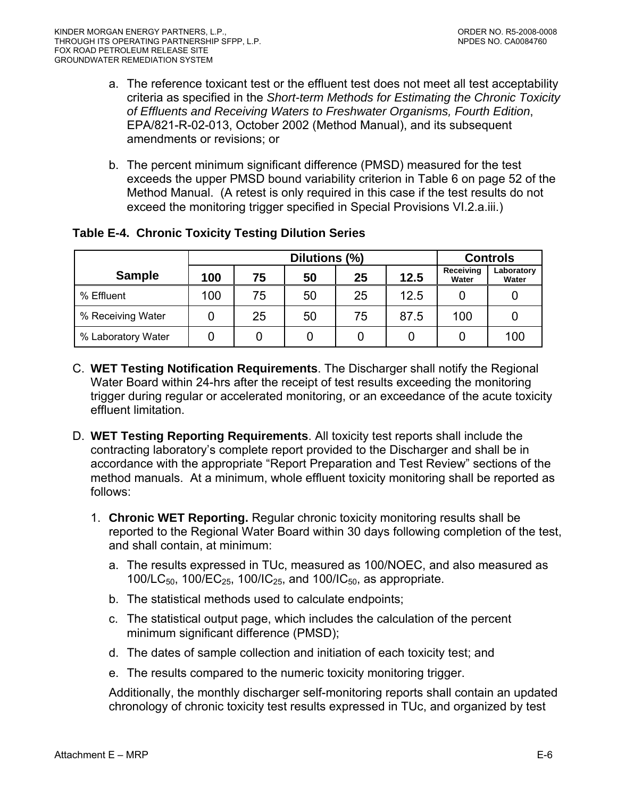- <span id="page-44-0"></span>a. The reference toxicant test or the effluent test does not meet all test acceptability criteria as specified in the *Short-term Methods for Estimating the Chronic Toxicity of Effluents and Receiving Waters to Freshwater Organisms, Fourth Edition*, EPA/821-R-02-013, October 2002 (Method Manual), and its subsequent amendments or revisions; or
- b. The percent minimum significant difference (PMSD) measured for the test exceeds the upper PMSD bound variability criterion in Table 6 on page 52 of the Method Manual. (A retest is only required in this case if the test results do not exceed the monitoring trigger specified in Special Provisions VI.2.a.iii.)

|                    | Dilutions (%) |    |    |    |      |                    | <b>Controls</b>     |
|--------------------|---------------|----|----|----|------|--------------------|---------------------|
| <b>Sample</b>      | 100           | 75 | 50 | 25 | 12.5 | Receiving<br>Water | Laboratory<br>Water |
| % Effluent         | 100           | 75 | 50 | 25 | 12.5 |                    |                     |
| % Receiving Water  |               | 25 | 50 | 75 | 87.5 | 100                |                     |
| % Laboratory Water |               |    |    |    |      |                    | 100                 |

# **Table E-4. Chronic Toxicity Testing Dilution Series**

- C. **WET Testing Notification Requirements**. The Discharger shall notify the Regional Water Board within 24-hrs after the receipt of test results exceeding the monitoring trigger during regular or accelerated monitoring, or an exceedance of the acute toxicity effluent limitation.
- D. **WET Testing Reporting Requirements**. All toxicity test reports shall include the contracting laboratory's complete report provided to the Discharger and shall be in accordance with the appropriate "Report Preparation and Test Review" sections of the method manuals. At a minimum, whole effluent toxicity monitoring shall be reported as follows:
	- 1. **Chronic WET Reporting.** Regular chronic toxicity monitoring results shall be reported to the Regional Water Board within 30 days following completion of the test, and shall contain, at minimum:
		- a. The results expressed in TUc, measured as 100/NOEC, and also measured as 100/LC<sub>50</sub>, 100/EC<sub>25</sub>, 100/IC<sub>25</sub>, and 100/IC<sub>50</sub>, as appropriate.
		- b. The statistical methods used to calculate endpoints;
		- c. The statistical output page, which includes the calculation of the percent minimum significant difference (PMSD);
		- d. The dates of sample collection and initiation of each toxicity test; and
		- e. The results compared to the numeric toxicity monitoring trigger.

Additionally, the monthly discharger self-monitoring reports shall contain an updated chronology of chronic toxicity test results expressed in TUc, and organized by test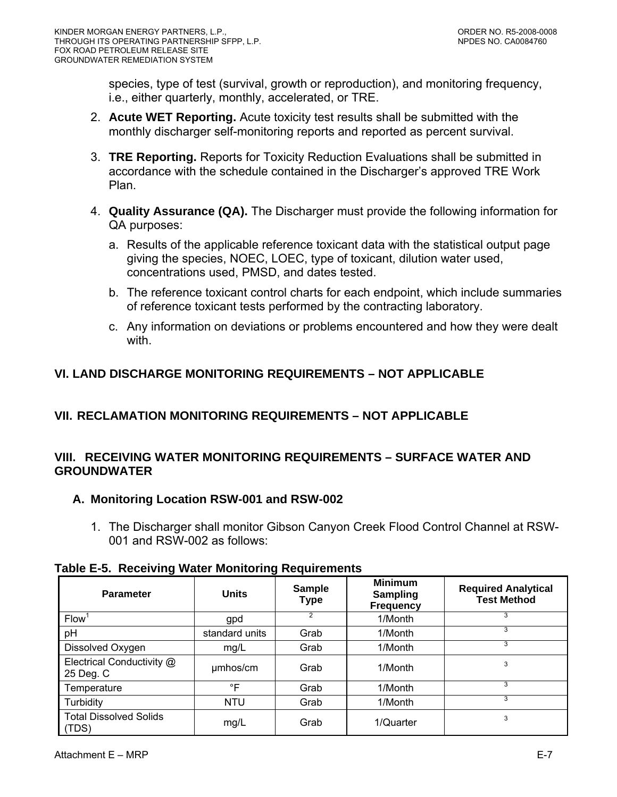<span id="page-45-0"></span>species, type of test (survival, growth or reproduction), and monitoring frequency, i.e., either quarterly, monthly, accelerated, or TRE.

- 2. **Acute WET Reporting.** Acute toxicity test results shall be submitted with the monthly discharger self-monitoring reports and reported as percent survival.
- 3. **TRE Reporting.** Reports for Toxicity Reduction Evaluations shall be submitted in accordance with the schedule contained in the Discharger's approved TRE Work Plan.
- 4. **Quality Assurance (QA).** The Discharger must provide the following information for QA purposes:
	- a. Results of the applicable reference toxicant data with the statistical output page giving the species, NOEC, LOEC, type of toxicant, dilution water used, concentrations used, PMSD, and dates tested.
	- b. The reference toxicant control charts for each endpoint, which include summaries of reference toxicant tests performed by the contracting laboratory.
	- c. Any information on deviations or problems encountered and how they were dealt with.

# **VI. LAND DISCHARGE MONITORING REQUIREMENTS – NOT APPLICABLE**

# **VII. RECLAMATION MONITORING REQUIREMENTS – NOT APPLICABLE**

## **VIII. RECEIVING WATER MONITORING REQUIREMENTS – SURFACE WATER AND GROUNDWATER**

# **A. Monitoring Location RSW-001 and RSW-002**

1. The Discharger shall monitor Gibson Canyon Creek Flood Control Channel at RSW-001 and RSW-002 as follows:

|  |  |  |  | <b>Table E-5. Receiving Water Monitoring Requirements</b> |
|--|--|--|--|-----------------------------------------------------------|
|--|--|--|--|-----------------------------------------------------------|

| <b>Parameter</b>                       | <b>Units</b>   | <b>Sample</b><br><b>Type</b> | <b>Minimum</b><br><b>Sampling</b><br><b>Frequency</b> | <b>Required Analytical</b><br><b>Test Method</b> |
|----------------------------------------|----------------|------------------------------|-------------------------------------------------------|--------------------------------------------------|
| <b>Flow</b>                            | gpd            |                              | 1/Month                                               | 3                                                |
| pH                                     | standard units | Grab                         | 1/Month                                               | 3                                                |
| Dissolved Oxygen                       | mg/L           | Grab                         | 1/Month                                               | 3                                                |
| Electrical Conductivity @<br>25 Deg. C | umhos/cm       | Grab                         | 1/Month                                               | 3                                                |
| Temperature                            | $\circ$ F      | Grab                         | 1/Month                                               | 3                                                |
| Turbidity                              | <b>NTU</b>     | Grab                         | 1/Month                                               | 3                                                |
| <b>Total Dissolved Solids</b><br>(TDS) | mg/L           | Grab                         | 1/Quarter                                             | 3                                                |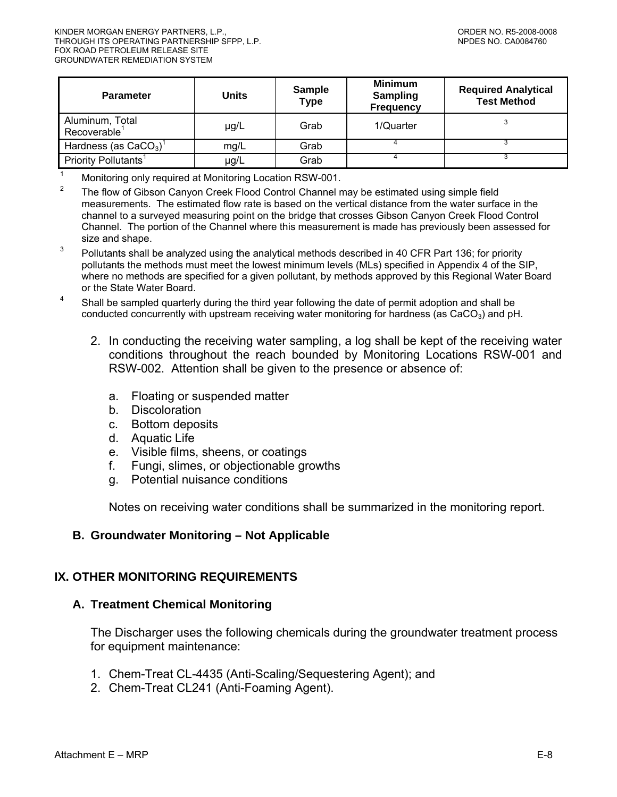<span id="page-46-0"></span>

| <b>Parameter</b>                            | Units | <b>Sample</b><br><b>Type</b> | <b>Minimum</b><br><b>Sampling</b><br><b>Frequency</b> | <b>Required Analytical</b><br><b>Test Method</b> |
|---------------------------------------------|-------|------------------------------|-------------------------------------------------------|--------------------------------------------------|
| Aluminum, Total<br>Recoverable <sup>1</sup> | µg/L  | Grab                         | 1/Quarter                                             |                                                  |
| Hardness (as $CaCO3$ ) <sup>1</sup>         | mq/L  | Grab                         |                                                       |                                                  |
| Priority Pollutants <sup>1</sup>            | µg/L  | Grab                         |                                                       |                                                  |

<sup>1</sup> Monitoring only required at Monitoring Location RSW-001.

<sup>2</sup> The flow of Gibson Canyon Creek Flood Control Channel may be estimated using simple field measurements. The estimated flow rate is based on the vertical distance from the water surface in the channel to a surveyed measuring point on the bridge that crosses Gibson Canyon Creek Flood Control Channel. The portion of the Channel where this measurement is made has previously been assessed for size and shape.

3 Pollutants shall be analyzed using the analytical methods described in 40 CFR Part 136; for priority pollutants the methods must meet the lowest minimum levels (MLs) specified in Appendix 4 of the SIP, where no methods are specified for a given pollutant, by methods approved by this Regional Water Board or the State Water Board.

4 Shall be sampled quarterly during the third year following the date of permit adoption and shall be conducted concurrently with upstream receiving water monitoring for hardness (as  $CaCO<sub>3</sub>$ ) and pH.

- 2. In conducting the receiving water sampling, a log shall be kept of the receiving water conditions throughout the reach bounded by Monitoring Locations RSW-001 and RSW-002. Attention shall be given to the presence or absence of:
	- a. Floating or suspended matter
	- b. Discoloration
	- c. Bottom deposits
	- d. Aquatic Life
	- e. Visible films, sheens, or coatings
	- f. Fungi, slimes, or objectionable growths
	- g. Potential nuisance conditions

Notes on receiving water conditions shall be summarized in the monitoring report.

#### **B. Groundwater Monitoring – Not Applicable**

#### **IX. OTHER MONITORING REQUIREMENTS**

#### **A. Treatment Chemical Monitoring**

The Discharger uses the following chemicals during the groundwater treatment process for equipment maintenance:

- 1. Chem-Treat CL-4435 (Anti-Scaling/Sequestering Agent); and
- 2. Chem-Treat CL241 (Anti-Foaming Agent).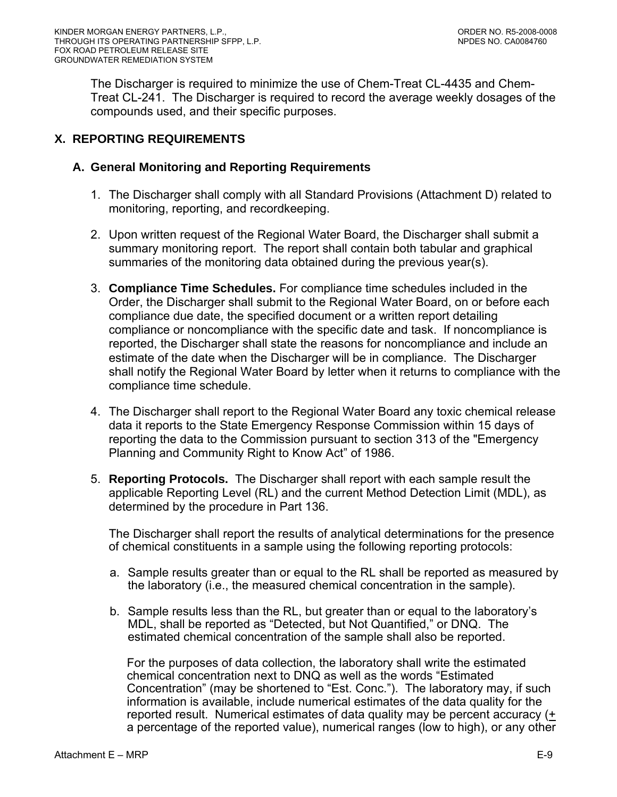<span id="page-47-0"></span>The Discharger is required to minimize the use of Chem-Treat CL-4435 and Chem-Treat CL-241. The Discharger is required to record the average weekly dosages of the compounds used, and their specific purposes.

# **X. REPORTING REQUIREMENTS**

#### **A. General Monitoring and Reporting Requirements**

- 1. The Discharger shall comply with all Standard Provisions (Attachment D) related to monitoring, reporting, and recordkeeping.
- 2. Upon written request of the Regional Water Board, the Discharger shall submit a summary monitoring report. The report shall contain both tabular and graphical summaries of the monitoring data obtained during the previous year(s).
- 3. **Compliance Time Schedules.** For compliance time schedules included in the Order, the Discharger shall submit to the Regional Water Board, on or before each compliance due date, the specified document or a written report detailing compliance or noncompliance with the specific date and task. If noncompliance is reported, the Discharger shall state the reasons for noncompliance and include an estimate of the date when the Discharger will be in compliance. The Discharger shall notify the Regional Water Board by letter when it returns to compliance with the compliance time schedule.
- 4. The Discharger shall report to the Regional Water Board any toxic chemical release data it reports to the State Emergency Response Commission within 15 days of reporting the data to the Commission pursuant to section 313 of the "Emergency Planning and Community Right to Know Act" of 1986.
- 5. **Reporting Protocols.** The Discharger shall report with each sample result the applicable Reporting Level (RL) and the current Method Detection Limit (MDL), as determined by the procedure in Part 136.

The Discharger shall report the results of analytical determinations for the presence of chemical constituents in a sample using the following reporting protocols:

- a. Sample results greater than or equal to the RL shall be reported as measured by the laboratory (i.e., the measured chemical concentration in the sample).
- b. Sample results less than the RL, but greater than or equal to the laboratory's MDL, shall be reported as "Detected, but Not Quantified," or DNQ. The estimated chemical concentration of the sample shall also be reported.

For the purposes of data collection, the laboratory shall write the estimated chemical concentration next to DNQ as well as the words "Estimated Concentration" (may be shortened to "Est. Conc."). The laboratory may, if such information is available, include numerical estimates of the data quality for the reported result. Numerical estimates of data quality may be percent accuracy (+ a percentage of the reported value), numerical ranges (low to high), or any other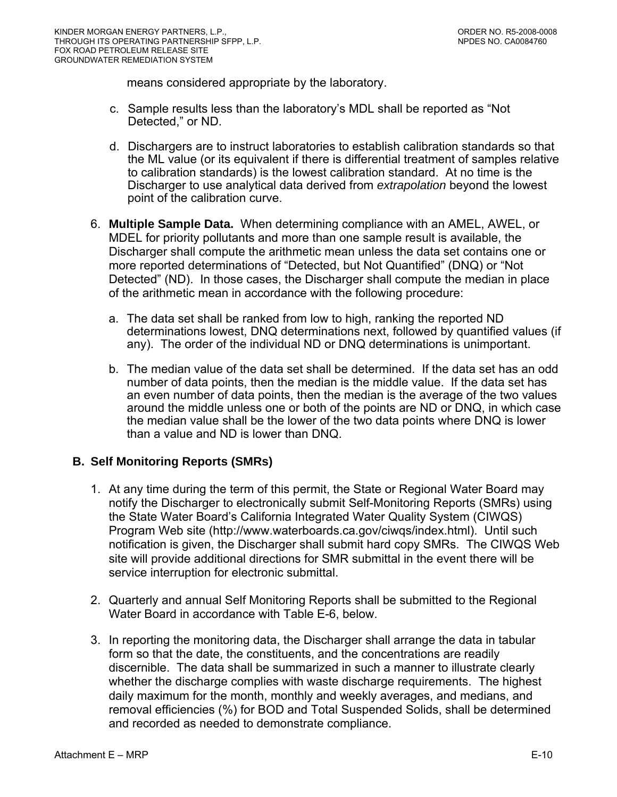<span id="page-48-0"></span>means considered appropriate by the laboratory.

- c. Sample results less than the laboratory's MDL shall be reported as "Not Detected," or ND.
- d. Dischargers are to instruct laboratories to establish calibration standards so that the ML value (or its equivalent if there is differential treatment of samples relative to calibration standards) is the lowest calibration standard. At no time is the Discharger to use analytical data derived from *extrapolation* beyond the lowest point of the calibration curve.
- 6. **Multiple Sample Data.** When determining compliance with an AMEL, AWEL, or MDEL for priority pollutants and more than one sample result is available, the Discharger shall compute the arithmetic mean unless the data set contains one or more reported determinations of "Detected, but Not Quantified" (DNQ) or "Not Detected" (ND). In those cases, the Discharger shall compute the median in place of the arithmetic mean in accordance with the following procedure:
	- a. The data set shall be ranked from low to high, ranking the reported ND determinations lowest, DNQ determinations next, followed by quantified values (if any). The order of the individual ND or DNQ determinations is unimportant.
	- b. The median value of the data set shall be determined. If the data set has an odd number of data points, then the median is the middle value. If the data set has an even number of data points, then the median is the average of the two values around the middle unless one or both of the points are ND or DNQ, in which case the median value shall be the lower of the two data points where DNQ is lower than a value and ND is lower than DNQ.

### **B. Self Monitoring Reports (SMRs)**

- 1. At any time during the term of this permit, the State or Regional Water Board may notify the Discharger to electronically submit Self-Monitoring Reports (SMRs) using the State Water Board's California Integrated Water Quality System (CIWQS) Program Web site (http://www.waterboards.ca.gov/ciwqs/index.html). Until such notification is given, the Discharger shall submit hard copy SMRs. The CIWQS Web site will provide additional directions for SMR submittal in the event there will be service interruption for electronic submittal.
- 2. Quarterly and annual Self Monitoring Reports shall be submitted to the Regional Water Board in accordance with Table E-6, below.
- 3. In reporting the monitoring data, the Discharger shall arrange the data in tabular form so that the date, the constituents, and the concentrations are readily discernible. The data shall be summarized in such a manner to illustrate clearly whether the discharge complies with waste discharge requirements. The highest daily maximum for the month, monthly and weekly averages, and medians, and removal efficiencies (%) for BOD and Total Suspended Solids, shall be determined and recorded as needed to demonstrate compliance.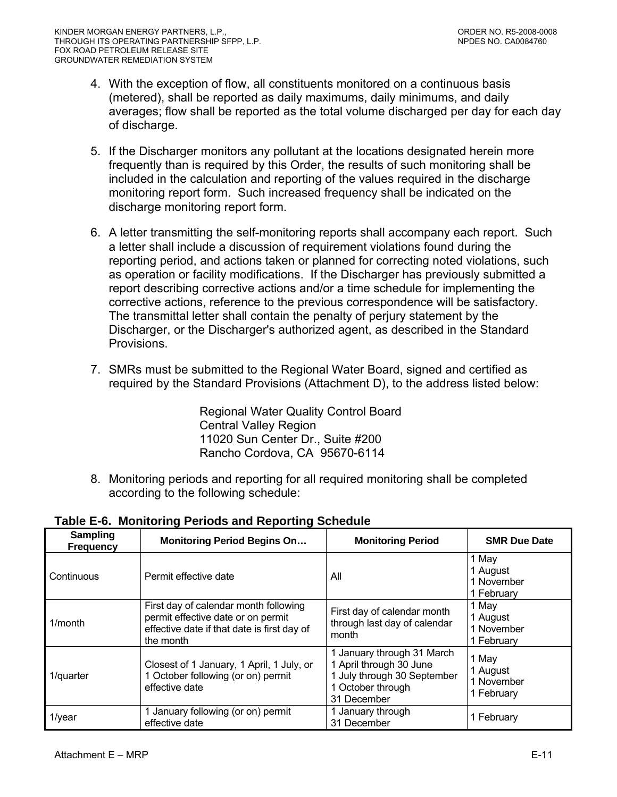- <span id="page-49-0"></span>4. With the exception of flow, all constituents monitored on a continuous basis (metered), shall be reported as daily maximums, daily minimums, and daily averages; flow shall be reported as the total volume discharged per day for each day of discharge.
- 5. If the Discharger monitors any pollutant at the locations designated herein more frequently than is required by this Order, the results of such monitoring shall be included in the calculation and reporting of the values required in the discharge monitoring report form. Such increased frequency shall be indicated on the discharge monitoring report form.
- 6. A letter transmitting the self-monitoring reports shall accompany each report. Such a letter shall include a discussion of requirement violations found during the reporting period, and actions taken or planned for correcting noted violations, such as operation or facility modifications. If the Discharger has previously submitted a report describing corrective actions and/or a time schedule for implementing the corrective actions, reference to the previous correspondence will be satisfactory. The transmittal letter shall contain the penalty of perjury statement by the Discharger, or the Discharger's authorized agent, as described in the Standard Provisions.
- 7. SMRs must be submitted to the Regional Water Board, signed and certified as required by the Standard Provisions (Attachment D), to the address listed below:

Regional Water Quality Control Board Central Valley Region 11020 Sun Center Dr., Suite #200 Rancho Cordova, CA 95670-6114

8. Monitoring periods and reporting for all required monitoring shall be completed according to the following schedule:

| Sampling<br>Frequency | <b>Monitoring Period Begins On</b>                                                                                                      | <b>Monitoring Period</b>                                                                                                 | <b>SMR Due Date</b>                           |
|-----------------------|-----------------------------------------------------------------------------------------------------------------------------------------|--------------------------------------------------------------------------------------------------------------------------|-----------------------------------------------|
| Continuous            | Permit effective date                                                                                                                   | All                                                                                                                      | 1 May<br>1 August<br>1 November<br>1 February |
| $1/m$ onth            | First day of calendar month following<br>permit effective date or on permit<br>effective date if that date is first day of<br>the month | First day of calendar month<br>through last day of calendar<br>month                                                     | 1 May<br>1 August<br>1 November<br>1 February |
| 1/quarter             | Closest of 1 January, 1 April, 1 July, or<br>1 October following (or on) permit<br>effective date                                       | 1 January through 31 March<br>1 April through 30 June<br>1 July through 30 September<br>1 October through<br>31 December | 1 May<br>1 August<br>1 November<br>1 February |
| $1$ /year             | 1 January following (or on) permit<br>effective date                                                                                    | 1 January through<br>31 December                                                                                         | 1 February                                    |

**Table E-6. Monitoring Periods and Reporting Schedule**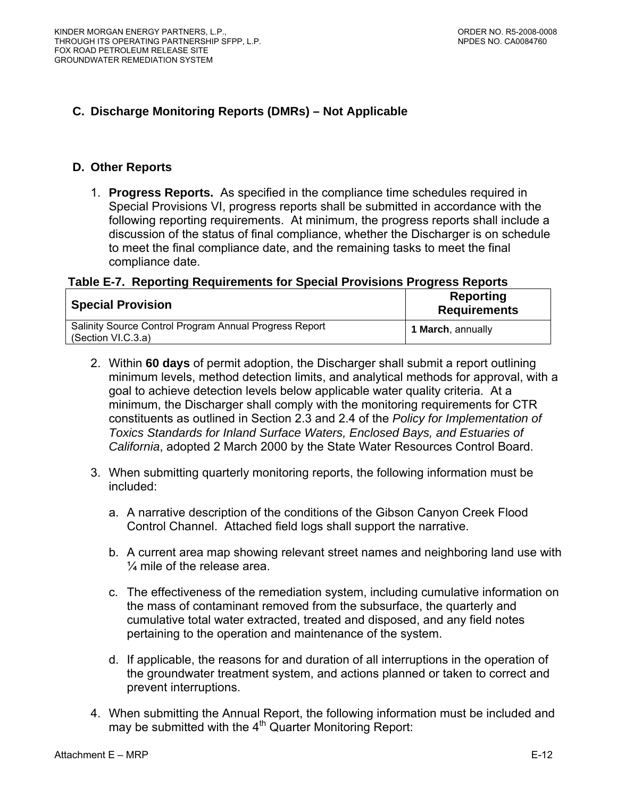# <span id="page-50-0"></span>**C. Discharge Monitoring Reports (DMRs) – Not Applicable**

#### **D. Other Reports**

1. **Progress Reports.** As specified in the compliance time schedules required in Special Provisions VI, progress reports shall be submitted in accordance with the following reporting requirements. At minimum, the progress reports shall include a discussion of the status of final compliance, whether the Discharger is on schedule to meet the final compliance date, and the remaining tasks to meet the final compliance date.

#### **Table E-7. Reporting Requirements for Special Provisions Progress Reports**

| <b>Special Provision</b>                                                     | <b>Reporting</b><br><b>Requirements</b> |
|------------------------------------------------------------------------------|-----------------------------------------|
| Salinity Source Control Program Annual Progress Report<br>(Section VI.C.3.a) | <b>1 March, annually</b>                |

- 2. Within **60 days** of permit adoption, the Discharger shall submit a report outlining minimum levels, method detection limits, and analytical methods for approval, with a goal to achieve detection levels below applicable water quality criteria. At a minimum, the Discharger shall comply with the monitoring requirements for CTR constituents as outlined in Section 2.3 and 2.4 of the *Policy for Implementation of Toxics Standards for Inland Surface Waters, Enclosed Bays, and Estuaries of California*, adopted 2 March 2000 by the State Water Resources Control Board.
- 3. When submitting quarterly monitoring reports, the following information must be included:
	- a. A narrative description of the conditions of the Gibson Canyon Creek Flood Control Channel. Attached field logs shall support the narrative.
	- b. A current area map showing relevant street names and neighboring land use with ¼ mile of the release area.
	- c. The effectiveness of the remediation system, including cumulative information on the mass of contaminant removed from the subsurface, the quarterly and cumulative total water extracted, treated and disposed, and any field notes pertaining to the operation and maintenance of the system.
	- d. If applicable, the reasons for and duration of all interruptions in the operation of the groundwater treatment system, and actions planned or taken to correct and prevent interruptions.
- 4. When submitting the Annual Report, the following information must be included and may be submitted with the  $4<sup>th</sup>$  Quarter Monitoring Report: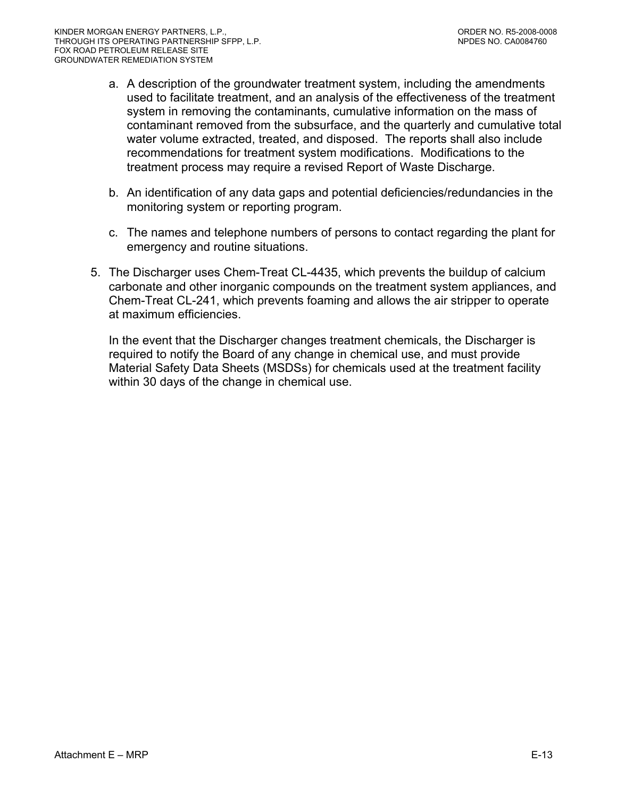- a. A description of the groundwater treatment system, including the amendments used to facilitate treatment, and an analysis of the effectiveness of the treatment system in removing the contaminants, cumulative information on the mass of contaminant removed from the subsurface, and the quarterly and cumulative total water volume extracted, treated, and disposed. The reports shall also include recommendations for treatment system modifications. Modifications to the treatment process may require a revised Report of Waste Discharge.
- b. An identification of any data gaps and potential deficiencies/redundancies in the monitoring system or reporting program.
- c. The names and telephone numbers of persons to contact regarding the plant for emergency and routine situations.
- 5. The Discharger uses Chem-Treat CL-4435, which prevents the buildup of calcium carbonate and other inorganic compounds on the treatment system appliances, and Chem-Treat CL-241, which prevents foaming and allows the air stripper to operate at maximum efficiencies.

In the event that the Discharger changes treatment chemicals, the Discharger is required to notify the Board of any change in chemical use, and must provide Material Safety Data Sheets (MSDSs) for chemicals used at the treatment facility within 30 days of the change in chemical use.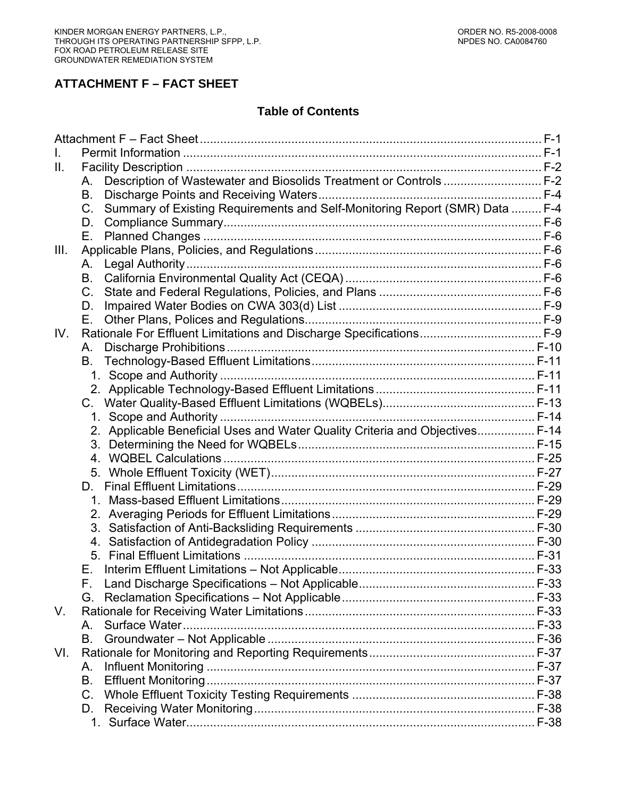# **ATTACHMENT F – FACT SHEET**

#### **Table of Contents**

| Ш.   |                                                                                        |  |
|------|----------------------------------------------------------------------------------------|--|
|      | Description of Wastewater and Biosolids Treatment or Controls  F-2<br>Α.               |  |
|      | В.                                                                                     |  |
|      | Summary of Existing Requirements and Self-Monitoring Report (SMR) Data  F-4<br>$C_{1}$ |  |
|      | D.                                                                                     |  |
|      | Е.                                                                                     |  |
| III. |                                                                                        |  |
|      | А.                                                                                     |  |
|      | B.                                                                                     |  |
|      | $C_{1}$                                                                                |  |
|      | D.                                                                                     |  |
|      | Е.                                                                                     |  |
| IV.  |                                                                                        |  |
|      | А.                                                                                     |  |
|      | В.                                                                                     |  |
|      |                                                                                        |  |
|      |                                                                                        |  |
|      |                                                                                        |  |
|      |                                                                                        |  |
|      | 2. Applicable Beneficial Uses and Water Quality Criteria and Objectives F-14           |  |
|      |                                                                                        |  |
|      |                                                                                        |  |
|      |                                                                                        |  |
|      | D.                                                                                     |  |
|      |                                                                                        |  |
|      |                                                                                        |  |
|      |                                                                                        |  |
|      | 4.                                                                                     |  |
|      |                                                                                        |  |
|      | Е.                                                                                     |  |
|      |                                                                                        |  |
|      | G.                                                                                     |  |
| V.   |                                                                                        |  |
|      | Α.                                                                                     |  |
|      | B.                                                                                     |  |
| VI.  |                                                                                        |  |
|      | А.                                                                                     |  |
|      | В.                                                                                     |  |
|      | $C_{\cdot}$                                                                            |  |
|      | D.                                                                                     |  |
|      |                                                                                        |  |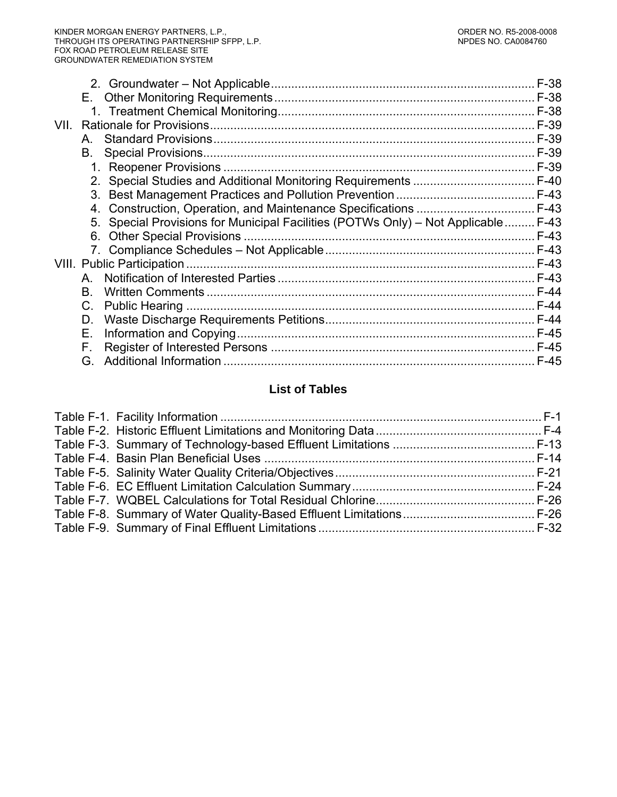|      |    |                                                                                    | $F-38$ |
|------|----|------------------------------------------------------------------------------------|--------|
|      |    |                                                                                    |        |
|      |    |                                                                                    |        |
| VII. |    |                                                                                    |        |
|      | A. |                                                                                    | F-39   |
|      | В. |                                                                                    |        |
|      |    |                                                                                    |        |
|      |    |                                                                                    |        |
|      |    |                                                                                    |        |
|      |    |                                                                                    |        |
|      |    | 5. Special Provisions for Municipal Facilities (POTWs Only) - Not Applicable  F-43 |        |
|      |    |                                                                                    |        |
|      |    |                                                                                    |        |
|      |    |                                                                                    |        |
|      | A  |                                                                                    |        |
|      | В. |                                                                                    | $F-44$ |
|      | C. |                                                                                    |        |
|      | D. |                                                                                    |        |
|      | Е. |                                                                                    |        |
|      | F. |                                                                                    |        |
|      | G. |                                                                                    | $F-45$ |
|      |    |                                                                                    |        |

# **List of Tables**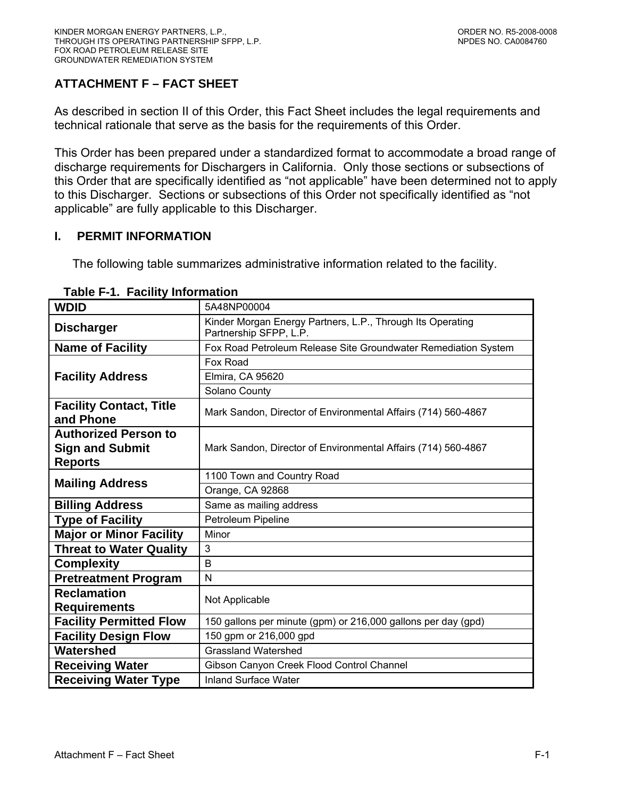# <span id="page-54-0"></span>**ATTACHMENT F – FACT SHEET**

As described in section II of this Order, this Fact Sheet includes the legal requirements and technical rationale that serve as the basis for the requirements of this Order.

This Order has been prepared under a standardized format to accommodate a broad range of discharge requirements for Dischargers in California. Only those sections or subsections of this Order that are specifically identified as "not applicable" have been determined not to apply to this Discharger. Sections or subsections of this Order not specifically identified as "not applicable" are fully applicable to this Discharger.

## **I. PERMIT INFORMATION**

The following table summarizes administrative information related to the facility.

| <b>WDID</b>                                 | 5A48NP00004                                                                          |  |  |
|---------------------------------------------|--------------------------------------------------------------------------------------|--|--|
| <b>Discharger</b>                           | Kinder Morgan Energy Partners, L.P., Through Its Operating<br>Partnership SFPP, L.P. |  |  |
| <b>Name of Facility</b>                     | Fox Road Petroleum Release Site Groundwater Remediation System                       |  |  |
|                                             | Fox Road                                                                             |  |  |
| <b>Facility Address</b>                     | Elmira, CA 95620                                                                     |  |  |
|                                             | Solano County                                                                        |  |  |
| <b>Facility Contact, Title</b><br>and Phone | Mark Sandon, Director of Environmental Affairs (714) 560-4867                        |  |  |
| <b>Authorized Person to</b>                 |                                                                                      |  |  |
| <b>Sign and Submit</b>                      | Mark Sandon, Director of Environmental Affairs (714) 560-4867                        |  |  |
| <b>Reports</b>                              |                                                                                      |  |  |
| <b>Mailing Address</b>                      | 1100 Town and Country Road                                                           |  |  |
|                                             | Orange, CA 92868                                                                     |  |  |
| <b>Billing Address</b>                      | Same as mailing address                                                              |  |  |
| <b>Type of Facility</b>                     | Petroleum Pipeline                                                                   |  |  |
| <b>Major or Minor Facility</b>              | Minor                                                                                |  |  |
| <b>Threat to Water Quality</b>              | 3                                                                                    |  |  |
| <b>Complexity</b>                           | B                                                                                    |  |  |
| <b>Pretreatment Program</b>                 | N                                                                                    |  |  |
| <b>Reclamation</b>                          | Not Applicable                                                                       |  |  |
| <b>Requirements</b>                         |                                                                                      |  |  |
| <b>Facility Permitted Flow</b>              | 150 gallons per minute (gpm) or 216,000 gallons per day (gpd)                        |  |  |
| <b>Facility Design Flow</b>                 | 150 gpm or 216,000 gpd                                                               |  |  |
| Watershed                                   | <b>Grassland Watershed</b>                                                           |  |  |
| <b>Receiving Water</b>                      | Gibson Canyon Creek Flood Control Channel                                            |  |  |
| <b>Receiving Water Type</b>                 | <b>Inland Surface Water</b>                                                          |  |  |

#### **Table F-1. Facility Information**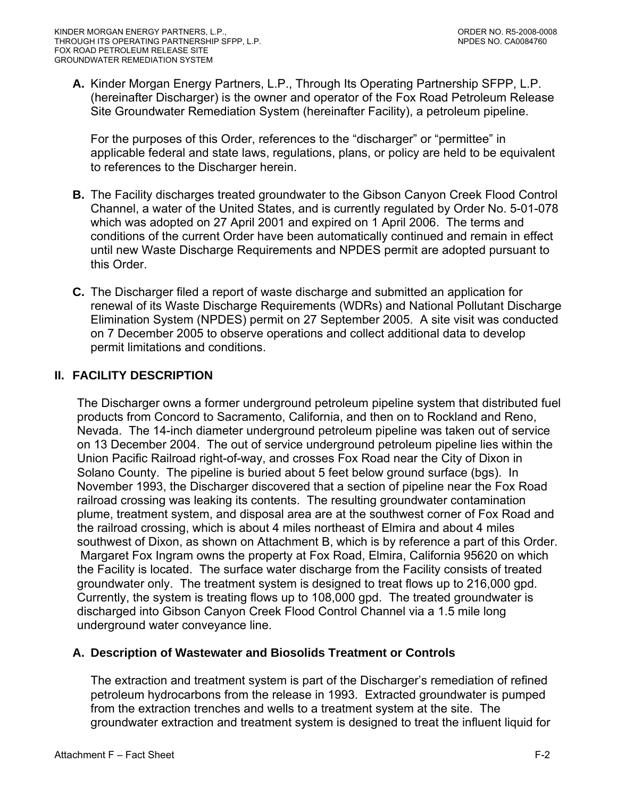<span id="page-55-0"></span>**A.** Kinder Morgan Energy Partners, L.P., Through Its Operating Partnership SFPP, L.P. (hereinafter Discharger) is the owner and operator of the Fox Road Petroleum Release Site Groundwater Remediation System (hereinafter Facility), a petroleum pipeline.

For the purposes of this Order, references to the "discharger" or "permittee" in applicable federal and state laws, regulations, plans, or policy are held to be equivalent to references to the Discharger herein.

- **B.** The Facility discharges treated groundwater to the Gibson Canyon Creek Flood Control Channel, a water of the United States, and is currently regulated by Order No. 5-01-078 which was adopted on 27 April 2001 and expired on 1 April 2006. The terms and conditions of the current Order have been automatically continued and remain in effect until new Waste Discharge Requirements and NPDES permit are adopted pursuant to this Order.
- **C.** The Discharger filed a report of waste discharge and submitted an application for renewal of its Waste Discharge Requirements (WDRs) and National Pollutant Discharge Elimination System (NPDES) permit on 27 September 2005. A site visit was conducted on 7 December 2005 to observe operations and collect additional data to develop permit limitations and conditions.

# **II. FACILITY DESCRIPTION**

The Discharger owns a former underground petroleum pipeline system that distributed fuel products from Concord to Sacramento, California, and then on to Rockland and Reno, Nevada. The 14-inch diameter underground petroleum pipeline was taken out of service on 13 December 2004. The out of service underground petroleum pipeline lies within the Union Pacific Railroad right-of-way, and crosses Fox Road near the City of Dixon in Solano County. The pipeline is buried about 5 feet below ground surface (bgs). In November 1993, the Discharger discovered that a section of pipeline near the Fox Road railroad crossing was leaking its contents. The resulting groundwater contamination plume, treatment system, and disposal area are at the southwest corner of Fox Road and the railroad crossing, which is about 4 miles northeast of Elmira and about 4 miles southwest of Dixon, as shown on Attachment B, which is by reference a part of this Order. Margaret Fox Ingram owns the property at Fox Road, Elmira, California 95620 on which the Facility is located. The surface water discharge from the Facility consists of treated groundwater only. The treatment system is designed to treat flows up to 216,000 gpd. Currently, the system is treating flows up to 108,000 gpd. The treated groundwater is discharged into Gibson Canyon Creek Flood Control Channel via a 1.5 mile long underground water conveyance line.

# **A. Description of Wastewater and Biosolids Treatment or Controls**

The extraction and treatment system is part of the Discharger's remediation of refined petroleum hydrocarbons from the release in 1993. Extracted groundwater is pumped from the extraction trenches and wells to a treatment system at the site. The groundwater extraction and treatment system is designed to treat the influent liquid for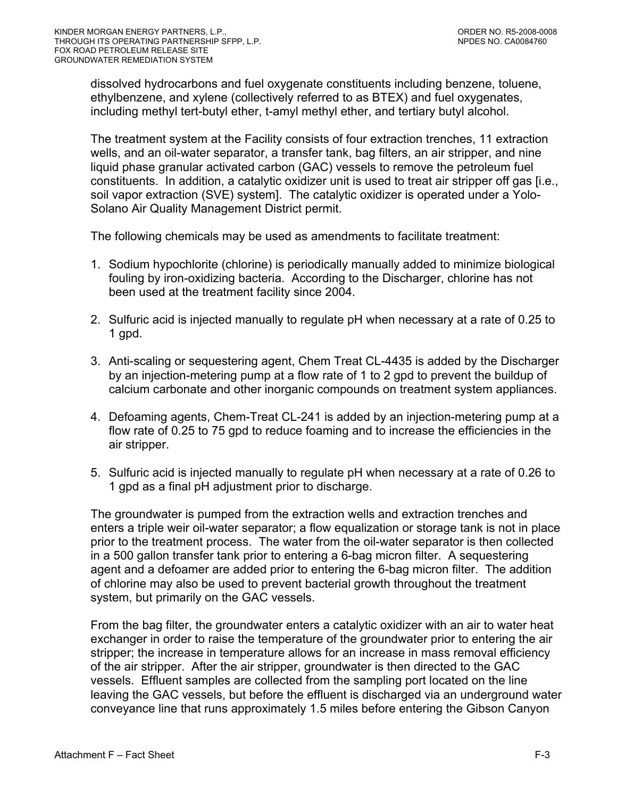dissolved hydrocarbons and fuel oxygenate constituents including benzene, toluene, ethylbenzene, and xylene (collectively referred to as BTEX) and fuel oxygenates, including methyl tert-butyl ether, t-amyl methyl ether, and tertiary butyl alcohol.

The treatment system at the Facility consists of four extraction trenches, 11 extraction wells, and an oil-water separator, a transfer tank, bag filters, an air stripper, and nine liquid phase granular activated carbon (GAC) vessels to remove the petroleum fuel constituents. In addition, a catalytic oxidizer unit is used to treat air stripper off gas [i.e., soil vapor extraction (SVE) system]. The catalytic oxidizer is operated under a Yolo-Solano Air Quality Management District permit.

The following chemicals may be used as amendments to facilitate treatment:

- 1. Sodium hypochlorite (chlorine) is periodically manually added to minimize biological fouling by iron-oxidizing bacteria. According to the Discharger, chlorine has not been used at the treatment facility since 2004.
- 2. Sulfuric acid is injected manually to regulate pH when necessary at a rate of 0.25 to 1 gpd.
- 3. Anti-scaling or sequestering agent, Chem Treat CL-4435 is added by the Discharger by an injection-metering pump at a flow rate of 1 to 2 gpd to prevent the buildup of calcium carbonate and other inorganic compounds on treatment system appliances.
- 4. Defoaming agents, Chem-Treat CL-241 is added by an injection-metering pump at a flow rate of 0.25 to 75 gpd to reduce foaming and to increase the efficiencies in the air stripper.
- 5. Sulfuric acid is injected manually to regulate pH when necessary at a rate of 0.26 to 1 gpd as a final pH adjustment prior to discharge.

The groundwater is pumped from the extraction wells and extraction trenches and enters a triple weir oil-water separator; a flow equalization or storage tank is not in place prior to the treatment process. The water from the oil-water separator is then collected in a 500 gallon transfer tank prior to entering a 6-bag micron filter. A sequestering agent and a defoamer are added prior to entering the 6-bag micron filter. The addition of chlorine may also be used to prevent bacterial growth throughout the treatment system, but primarily on the GAC vessels.

From the bag filter, the groundwater enters a catalytic oxidizer with an air to water heat exchanger in order to raise the temperature of the groundwater prior to entering the air stripper; the increase in temperature allows for an increase in mass removal efficiency of the air stripper. After the air stripper, groundwater is then directed to the GAC vessels. Effluent samples are collected from the sampling port located on the line leaving the GAC vessels, but before the effluent is discharged via an underground water conveyance line that runs approximately 1.5 miles before entering the Gibson Canyon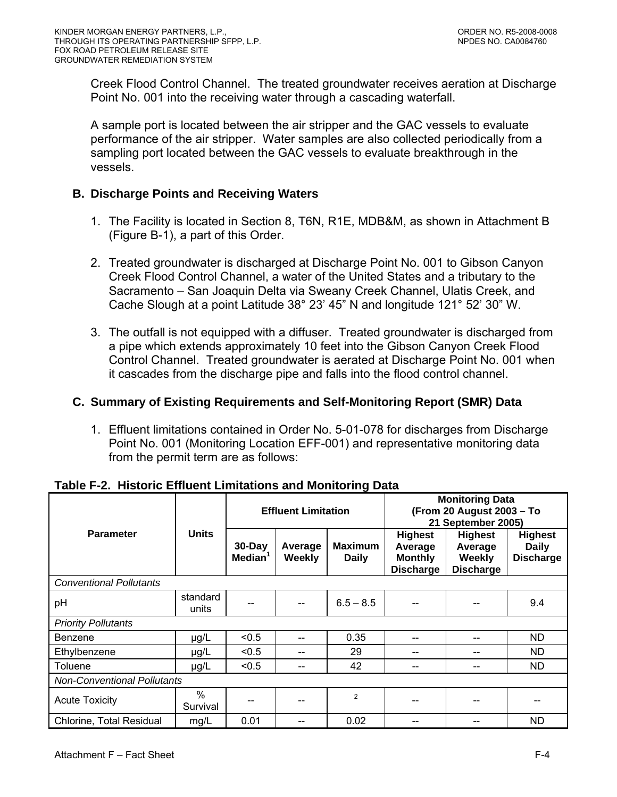<span id="page-57-0"></span>Creek Flood Control Channel. The treated groundwater receives aeration at Discharge Point No. 001 into the receiving water through a cascading waterfall.

A sample port is located between the air stripper and the GAC vessels to evaluate performance of the air stripper. Water samples are also collected periodically from a sampling port located between the GAC vessels to evaluate breakthrough in the vessels.

## **B. Discharge Points and Receiving Waters**

- 1. The Facility is located in Section 8, T6N, R1E, MDB&M, as shown in Attachment B (Figure B-1), a part of this Order.
- 2. Treated groundwater is discharged at Discharge Point No. 001 to Gibson Canyon Creek Flood Control Channel, a water of the United States and a tributary to the Sacramento – San Joaquin Delta via Sweany Creek Channel, Ulatis Creek, and Cache Slough at a point Latitude 38° 23' 45" N and longitude 121° 52' 30" W.
- 3. The outfall is not equipped with a diffuser. Treated groundwater is discharged from a pipe which extends approximately 10 feet into the Gibson Canyon Creek Flood Control Channel. Treated groundwater is aerated at Discharge Point No. 001 when it cascades from the discharge pipe and falls into the flood control channel.

# **C. Summary of Existing Requirements and Self-Monitoring Report (SMR) Data**

1. Effluent limitations contained in Order No. 5-01-078 for discharges from Discharge Point No. 001 (Monitoring Location EFF-001) and representative monitoring data from the permit term are as follows:

|                                    |                   |                               | <b>Effluent Limitation</b> |                                |                                                                 | <b>Monitoring Data</b><br>(From 20 August 2003 - To<br>21 September 2005) |                                             |
|------------------------------------|-------------------|-------------------------------|----------------------------|--------------------------------|-----------------------------------------------------------------|---------------------------------------------------------------------------|---------------------------------------------|
| <b>Parameter</b>                   | <b>Units</b>      | 30-Day<br>Median <sup>1</sup> | Average<br>Weekly          | <b>Maximum</b><br><b>Daily</b> | <b>Highest</b><br>Average<br><b>Monthly</b><br><b>Discharge</b> | <b>Highest</b><br>Average<br>Weekly<br><b>Discharge</b>                   | Highest<br><b>Daily</b><br><b>Discharge</b> |
| <b>Conventional Pollutants</b>     |                   |                               |                            |                                |                                                                 |                                                                           |                                             |
| pH                                 | standard<br>units |                               | --                         | $6.5 - 8.5$                    |                                                                 |                                                                           | 9.4                                         |
| <b>Priority Pollutants</b>         |                   |                               |                            |                                |                                                                 |                                                                           |                                             |
| Benzene                            | $\mu$ g/L         | < 0.5                         | --                         | 0.35                           | --                                                              |                                                                           | ND.                                         |
| Ethylbenzene                       | $\mu$ g/L         | < 0.5                         | --                         | 29                             | --                                                              |                                                                           | ND.                                         |
| Toluene                            | $\mu$ g/L         | < 0.5                         | --                         | 42                             |                                                                 |                                                                           | ND.                                         |
| <b>Non-Conventional Pollutants</b> |                   |                               |                            |                                |                                                                 |                                                                           |                                             |
| <b>Acute Toxicity</b>              | $\%$<br>Survival  |                               |                            | $\overline{2}$                 |                                                                 |                                                                           |                                             |
| Chlorine, Total Residual           | mg/L              | 0.01                          |                            | 0.02                           | --                                                              |                                                                           | <b>ND</b>                                   |

### **Table F-2. Historic Effluent Limitations and Monitoring Data**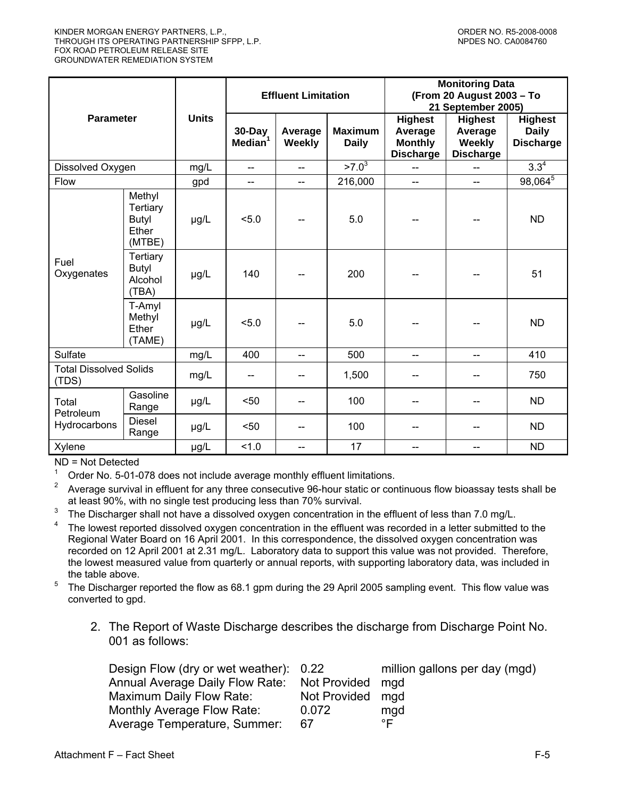|                                        |                                                       |              | <b>Effluent Limitation</b>        |                          |                                | <b>Monitoring Data</b><br>(From 20 August 2003 - To<br>21 September 2005) |                                                                |                                                    |
|----------------------------------------|-------------------------------------------------------|--------------|-----------------------------------|--------------------------|--------------------------------|---------------------------------------------------------------------------|----------------------------------------------------------------|----------------------------------------------------|
| <b>Parameter</b>                       |                                                       | <b>Units</b> | $30 - Day$<br>Median <sup>1</sup> | Average<br>Weekly        | <b>Maximum</b><br><b>Daily</b> | <b>Highest</b><br>Average<br><b>Monthly</b><br><b>Discharge</b>           | <b>Highest</b><br>Average<br><b>Weekly</b><br><b>Discharge</b> | <b>Highest</b><br><b>Daily</b><br><b>Discharge</b> |
| Dissolved Oxygen                       |                                                       | mg/L         | $\sim$                            | $\overline{a}$           | $>7.0^{3}$                     |                                                                           |                                                                | $3.3^{4}$                                          |
| Flow                                   |                                                       | gpd          | $-$                               | $\overline{\phantom{m}}$ | 216,000                        | $-$                                                                       | $-$                                                            | $98,064^{5}$                                       |
|                                        | Methyl<br>Tertiary<br><b>Butyl</b><br>Ether<br>(MTBE) | µg/L         | 5.0                               |                          | 5.0                            |                                                                           |                                                                | <b>ND</b>                                          |
| Fuel<br>Oxygenates                     | Tertiary<br><b>Butyl</b><br>Alcohol<br>(TBA)          | µg/L         | 140                               |                          | 200                            |                                                                           |                                                                | 51                                                 |
|                                        | T-Amyl<br>Methyl<br>Ether<br>(TAME)                   | µg/L         | < 5.0                             |                          | 5.0                            |                                                                           |                                                                | <b>ND</b>                                          |
| Sulfate                                |                                                       | mg/L         | 400                               | $\overline{a}$           | 500                            | --                                                                        | $\overline{a}$                                                 | 410                                                |
| <b>Total Dissolved Solids</b><br>(TDS) |                                                       | mg/L         |                                   |                          | 1,500                          |                                                                           |                                                                | 750                                                |
| Total<br>Petroleum                     | Gasoline<br>Range                                     | µg/L         | $50$                              | --                       | 100                            | --                                                                        | --                                                             | <b>ND</b>                                          |
| Hydrocarbons                           | <b>Diesel</b><br>Range                                | µg/L         | $50$                              | --                       | 100                            | --                                                                        |                                                                | <b>ND</b>                                          |
| Xylene                                 |                                                       | µg/L         | 1.0                               | --                       | 17                             | --                                                                        | --                                                             | <b>ND</b>                                          |

ND = Not Detected

1  $\frac{1}{2}$  Order No. 5-01-078 does not include average monthly effluent limitations.

2 Average survival in effluent for any three consecutive 96-hour static or continuous flow bioassay tests shall be at least 90%, with no single test producing less than 70% survival.

3 The Discharger shall not have a dissolved oxygen concentration in the effluent of less than 7.0 mg/L.

- 4 The lowest reported dissolved oxygen concentration in the effluent was recorded in a letter submitted to the Regional Water Board on 16 April 2001. In this correspondence, the dissolved oxygen concentration was recorded on 12 April 2001 at 2.31 mg/L. Laboratory data to support this value was not provided. Therefore, the lowest measured value from quarterly or annual reports, with supporting laboratory data, was included in the table above.
- $5$  The Discharger reported the flow as 68.1 gpm during the 29 April 2005 sampling event. This flow value was converted to gpd.
	- 2. The Report of Waste Discharge describes the discharge from Discharge Point No. 001 as follows:

| Design Flow (dry or wet weather): 0.22       |                  | million gallons per day (mgd) |
|----------------------------------------------|------------------|-------------------------------|
| Annual Average Daily Flow Rate: Not Provided |                  | mad                           |
| <b>Maximum Daily Flow Rate:</b>              | Not Provided mgd |                               |
| Monthly Average Flow Rate:                   | 0.072            | mgd                           |
| Average Temperature, Summer:                 | 67               | °F                            |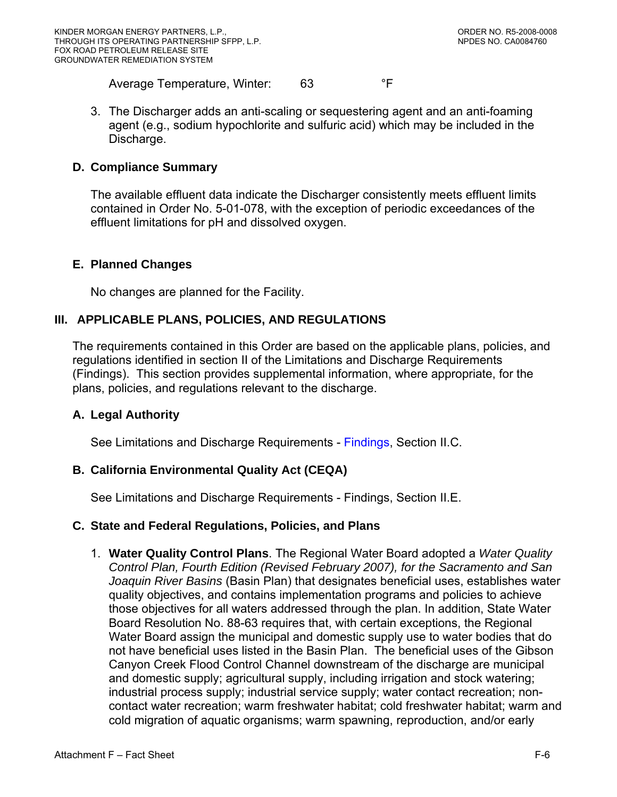<span id="page-59-0"></span>Average Temperature, Winter: 63 F

3. The Discharger adds an anti-scaling or sequestering agent and an anti-foaming agent (e.g., sodium hypochlorite and sulfuric acid) which may be included in the Discharge.

#### **D. Compliance Summary**

The available effluent data indicate the Discharger consistently meets effluent limits contained in Order No. 5-01-078, with the exception of periodic exceedances of the effluent limitations for pH and dissolved oxygen.

#### **E. Planned Changes**

No changes are planned for the Facility.

### **III. APPLICABLE PLANS, POLICIES, AND REGULATIONS**

The requirements contained in this Order are based on the applicable plans, policies, and regulations identified in section II of the Limitations and Discharge Requirements ([Findings](#page-2-0)). This section provides supplemental information, where appropriate, for the plans, policies, and regulations relevant to the discharge.

### **A. Legal Authority**

See Limitations and Discharge Requirements - [Findings, Section II.C.](#page-3-0) 

### **B. California Environmental Quality Act (CEQA)**

See Limitations and Discharge Requirements - [Findings, Section II.E.](#page-3-0)

#### **C. State and Federal Regulations, Policies, and Plans**

1. **Water Quality Control Plans**. The Regional Water Board adopted a *Water Quality Control Plan, Fourth Edition (Revised February 2007), for the Sacramento and San Joaquin River Basins* (Basin Plan) that designates beneficial uses, establishes water quality objectives, and contains implementation programs and policies to achieve those objectives for all waters addressed through the plan. In addition, State Water Board Resolution No. 88-63 requires that, with certain exceptions, the Regional Water Board assign the municipal and domestic supply use to water bodies that do not have beneficial uses listed in the Basin Plan. The beneficial uses of the Gibson Canyon Creek Flood Control Channel downstream of the discharge are municipal and domestic supply; agricultural supply, including irrigation and stock watering; industrial process supply; industrial service supply; water contact recreation; noncontact water recreation; warm freshwater habitat; cold freshwater habitat; warm and cold migration of aquatic organisms; warm spawning, reproduction, and/or early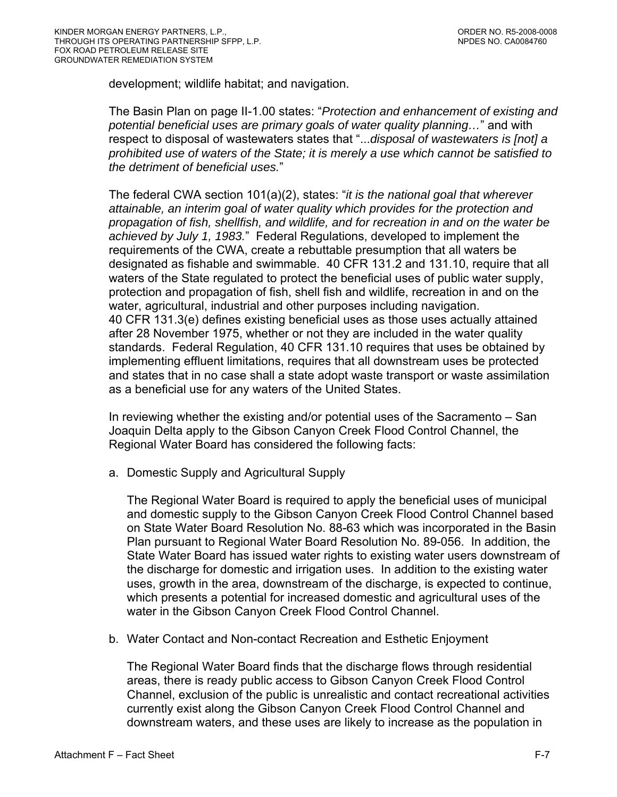development; wildlife habitat; and navigation.

The Basin Plan on page II-1.00 states: "*Protection and enhancement of existing and potential beneficial uses are primary goals of water quality planning…*" and with respect to disposal of wastewaters states that "...*disposal of wastewaters is [not] a prohibited use of waters of the State; it is merely a use which cannot be satisfied to the detriment of beneficial uses.*"

The federal CWA section 101(a)(2), states: "*it is the national goal that wherever attainable, an interim goal of water quality which provides for the protection and propagation of fish, shellfish, and wildlife, and for recreation in and on the water be achieved by July 1, 1983.*" Federal Regulations, developed to implement the requirements of the CWA, create a rebuttable presumption that all waters be designated as fishable and swimmable. 40 CFR 131.2 and 131.10, require that all waters of the State regulated to protect the beneficial uses of public water supply, protection and propagation of fish, shell fish and wildlife, recreation in and on the water, agricultural, industrial and other purposes including navigation. 40 CFR 131.3(e) defines existing beneficial uses as those uses actually attained after 28 November 1975, whether or not they are included in the water quality standards. Federal Regulation, 40 CFR 131.10 requires that uses be obtained by implementing effluent limitations, requires that all downstream uses be protected and states that in no case shall a state adopt waste transport or waste assimilation as a beneficial use for any waters of the United States.

In reviewing whether the existing and/or potential uses of the Sacramento – San Joaquin Delta apply to the Gibson Canyon Creek Flood Control Channel, the Regional Water Board has considered the following facts:

a. Domestic Supply and Agricultural Supply

The Regional Water Board is required to apply the beneficial uses of municipal and domestic supply to the Gibson Canyon Creek Flood Control Channel based on State Water Board Resolution No. 88-63 which was incorporated in the Basin Plan pursuant to Regional Water Board Resolution No. 89-056. In addition, the State Water Board has issued water rights to existing water users downstream of the discharge for domestic and irrigation uses. In addition to the existing water uses, growth in the area, downstream of the discharge, is expected to continue, which presents a potential for increased domestic and agricultural uses of the water in the Gibson Canyon Creek Flood Control Channel.

b. Water Contact and Non-contact Recreation and Esthetic Enjoyment

The Regional Water Board finds that the discharge flows through residential areas, there is ready public access to Gibson Canyon Creek Flood Control Channel, exclusion of the public is unrealistic and contact recreational activities currently exist along the Gibson Canyon Creek Flood Control Channel and downstream waters, and these uses are likely to increase as the population in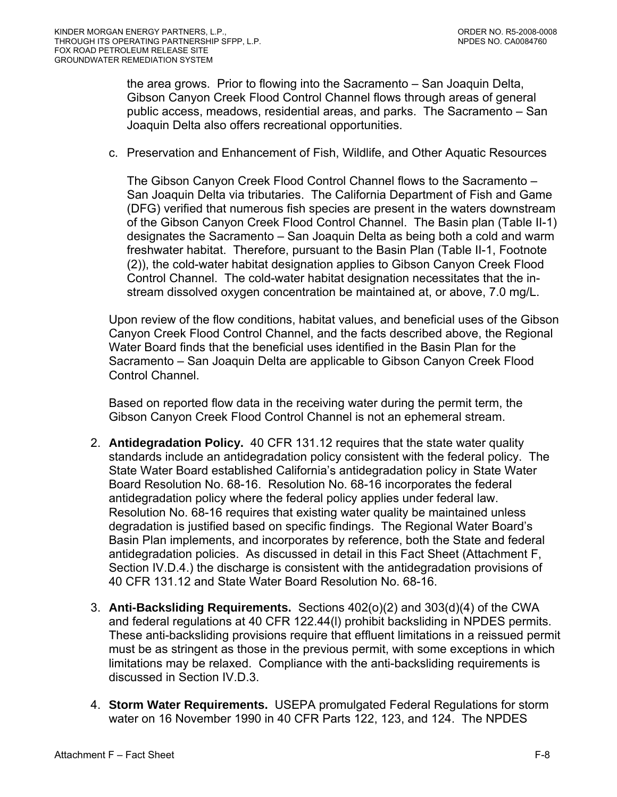the area grows. Prior to flowing into the Sacramento – San Joaquin Delta, Gibson Canyon Creek Flood Control Channel flows through areas of general public access, meadows, residential areas, and parks. The Sacramento – San Joaquin Delta also offers recreational opportunities.

c. Preservation and Enhancement of Fish, Wildlife, and Other Aquatic Resources

The Gibson Canyon Creek Flood Control Channel flows to the Sacramento – San Joaquin Delta via tributaries. The California Department of Fish and Game (DFG) verified that numerous fish species are present in the waters downstream of the Gibson Canyon Creek Flood Control Channel. The Basin plan (Table II-1) designates the Sacramento – San Joaquin Delta as being both a cold and warm freshwater habitat. Therefore, pursuant to the Basin Plan (Table II-1, Footnote (2)), the cold-water habitat designation applies to Gibson Canyon Creek Flood Control Channel. The cold-water habitat designation necessitates that the instream dissolved oxygen concentration be maintained at, or above, 7.0 mg/L.

Upon review of the flow conditions, habitat values, and beneficial uses of the Gibson Canyon Creek Flood Control Channel, and the facts described above, the Regional Water Board finds that the beneficial uses identified in the Basin Plan for the Sacramento – San Joaquin Delta are applicable to Gibson Canyon Creek Flood Control Channel.

Based on reported flow data in the receiving water during the permit term, the Gibson Canyon Creek Flood Control Channel is not an ephemeral stream.

- 2. **Antidegradation Policy.** 40 CFR 131.12 requires that the state water quality standards include an antidegradation policy consistent with the federal policy. The State Water Board established California's antidegradation policy in State Water Board Resolution No. 68-16. Resolution No. 68-16 incorporates the federal antidegradation policy where the federal policy applies under federal law. Resolution No. 68-16 requires that existing water quality be maintained unless degradation is justified based on specific findings. The Regional Water Board's Basin Plan implements, and incorporates by reference, both the State and federal antidegradation policies. As discussed in detail in this Fact Sheet ([Attachment F,](#page-83-0)  [Section IV.D.4.](#page-83-0)) the discharge is consistent with the antidegradation provisions of 40 CFR 131.12 and State Water Board Resolution No. 68-16.
- 3. **Anti-Backsliding Requirements.** Sections 402(o)(2) and 303(d)(4) of the CWA and federal regulations at 40 CFR 122.44(l) prohibit backsliding in NPDES permits. These anti-backsliding provisions require that effluent limitations in a reissued permit must be as stringent as those in the previous permit, with some exceptions in which limitations may be relaxed. Compliance with the anti-backsliding requirements is discussed in [Section IV.D.3.](#page-83-0)
- 4. **Storm Water Requirements.** USEPA promulgated Federal Regulations for storm water on 16 November 1990 in 40 CFR Parts 122, 123, and 124. The NPDES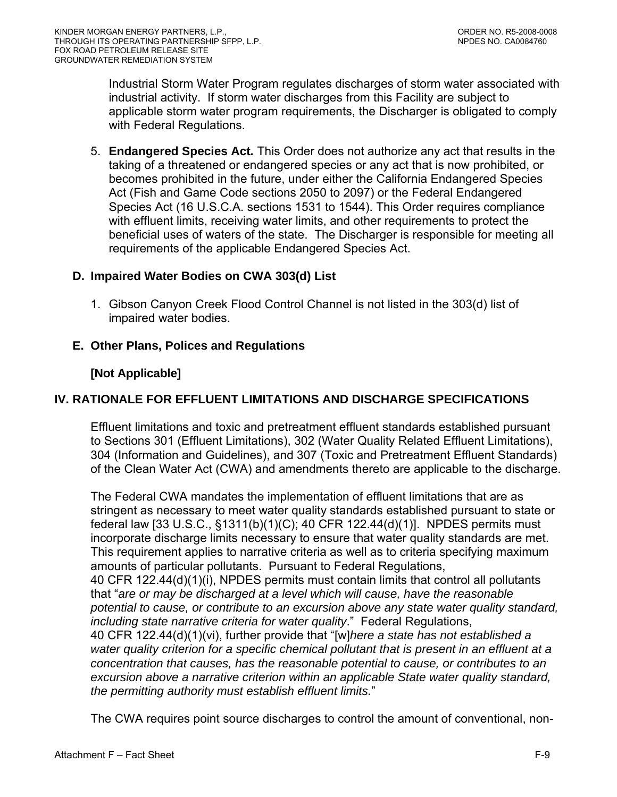<span id="page-62-0"></span>Industrial Storm Water Program regulates discharges of storm water associated with industrial activity. If storm water discharges from this Facility are subject to applicable storm water program requirements, the Discharger is obligated to comply with Federal Regulations.

5. **Endangered Species Act***.* This Order does not authorize any act that results in the taking of a threatened or endangered species or any act that is now prohibited, or becomes prohibited in the future, under either the California Endangered Species Act (Fish and Game Code sections 2050 to 2097) or the Federal Endangered Species Act (16 U.S.C.A. sections 1531 to 1544). This Order requires compliance with effluent limits, receiving water limits, and other requirements to protect the beneficial uses of waters of the state. The Discharger is responsible for meeting all requirements of the applicable Endangered Species Act.

### **D. Impaired Water Bodies on CWA 303(d) List**

1. Gibson Canyon Creek Flood Control Channel is not listed in the 303(d) list of impaired water bodies.

## **E. Other Plans, Polices and Regulations**

## **[Not Applicable]**

# **IV. RATIONALE FOR EFFLUENT LIMITATIONS AND DISCHARGE SPECIFICATIONS**

Effluent limitations and toxic and pretreatment effluent standards established pursuant to Sections 301 (Effluent Limitations), 302 (Water Quality Related Effluent Limitations), 304 (Information and Guidelines), and 307 (Toxic and Pretreatment Effluent Standards) of the Clean Water Act (CWA) and amendments thereto are applicable to the discharge.

The Federal CWA mandates the implementation of effluent limitations that are as stringent as necessary to meet water quality standards established pursuant to state or federal law [33 U.S.C., §1311(b)(1)(C); 40 CFR 122.44(d)(1)]. NPDES permits must incorporate discharge limits necessary to ensure that water quality standards are met. This requirement applies to narrative criteria as well as to criteria specifying maximum amounts of particular pollutants. Pursuant to Federal Regulations, 40 CFR 122.44(d)(1)(i), NPDES permits must contain limits that control all pollutants that "*are or may be discharged at a level which will cause, have the reasonable potential to cause, or contribute to an excursion above any state water quality standard, including state narrative criteria for water quality*." Federal Regulations, 40 CFR 122.44(d)(1)(vi), further provide that "[w]*here a state has not established a water quality criterion for a specific chemical pollutant that is present in an effluent at a concentration that causes, has the reasonable potential to cause, or contributes to an excursion above a narrative criterion within an applicable State water quality standard, the permitting authority must establish effluent limits.*"

The CWA requires point source discharges to control the amount of conventional, non-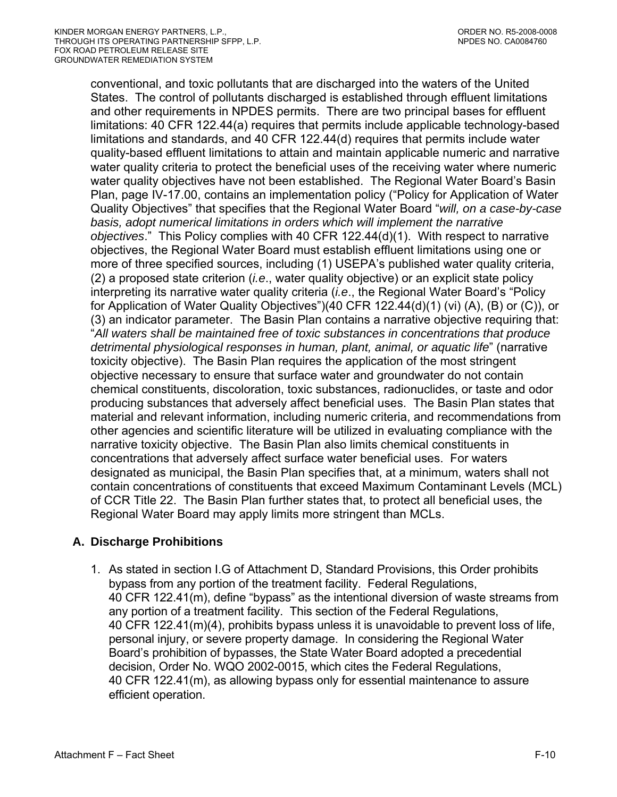<span id="page-63-0"></span>conventional, and toxic pollutants that are discharged into the waters of the United States. The control of pollutants discharged is established through effluent limitations and other requirements in NPDES permits. There are two principal bases for effluent limitations: 40 CFR 122.44(a) requires that permits include applicable technology-based limitations and standards, and 40 CFR 122.44(d) requires that permits include water quality-based effluent limitations to attain and maintain applicable numeric and narrative water quality criteria to protect the beneficial uses of the receiving water where numeric water quality objectives have not been established. The Regional Water Board's Basin Plan, page IV-17.00, contains an implementation policy ("Policy for Application of Water Quality Objectives" that specifies that the Regional Water Board "*will, on a case-by-case basis, adopt numerical limitations in orders which will implement the narrative objectives*." This Policy complies with 40 CFR 122.44(d)(1). With respect to narrative objectives, the Regional Water Board must establish effluent limitations using one or more of three specified sources, including (1) USEPA's published water quality criteria, (2) a proposed state criterion (*i.e*., water quality objective) or an explicit state policy interpreting its narrative water quality criteria (*i.e*., the Regional Water Board's "Policy for Application of Water Quality Objectives")(40 CFR 122.44(d)(1) (vi) (A), (B) or (C)), or (3) an indicator parameter. The Basin Plan contains a narrative objective requiring that: "*All waters shall be maintained free of toxic substances in concentrations that produce detrimental physiological responses in human, plant, animal, or aquatic life*" (narrative toxicity objective). The Basin Plan requires the application of the most stringent objective necessary to ensure that surface water and groundwater do not contain chemical constituents, discoloration, toxic substances, radionuclides, or taste and odor producing substances that adversely affect beneficial uses. The Basin Plan states that material and relevant information, including numeric criteria, and recommendations from other agencies and scientific literature will be utilized in evaluating compliance with the narrative toxicity objective. The Basin Plan also limits chemical constituents in concentrations that adversely affect surface water beneficial uses. For waters designated as municipal, the Basin Plan specifies that, at a minimum, waters shall not contain concentrations of constituents that exceed Maximum Contaminant Levels (MCL) of CCR Title 22. The Basin Plan further states that, to protect all beneficial uses, the Regional Water Board may apply limits more stringent than MCLs.

### **A. Discharge Prohibitions**

1. As stated in section I.G of Attachment D, Standard Provisions, this Order prohibits bypass from any portion of the treatment facility. Federal Regulations, 40 CFR 122.41(m), define "bypass" as the intentional diversion of waste streams from any portion of a treatment facility. This section of the Federal Regulations, 40 CFR 122.41(m)(4), prohibits bypass unless it is unavoidable to prevent loss of life, personal injury, or severe property damage. In considering the Regional Water Board's prohibition of bypasses, the State Water Board adopted a precedential decision, Order No. WQO 2002-0015, which cites the Federal Regulations, 40 CFR 122.41(m), as allowing bypass only for essential maintenance to assure efficient operation.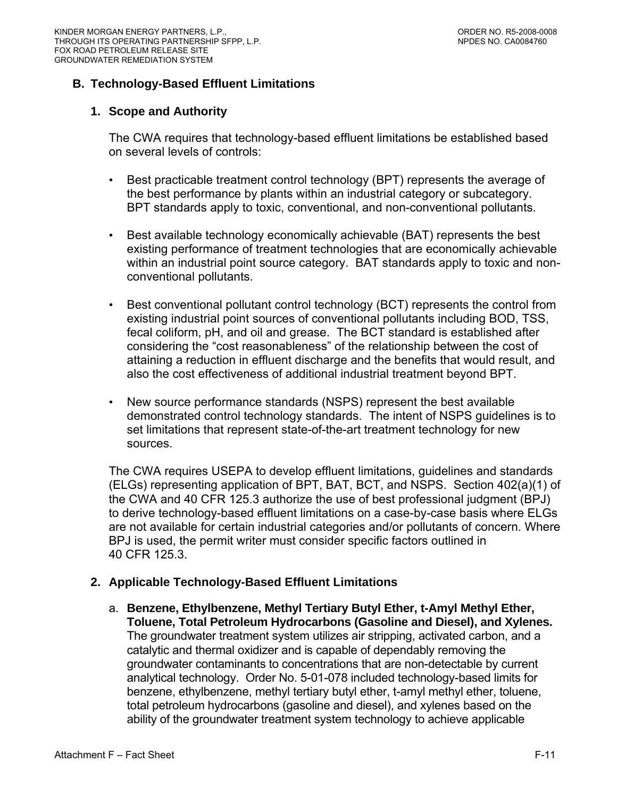### <span id="page-64-0"></span>**B. Technology-Based Effluent Limitations**

#### **1. Scope and Authority**

The CWA requires that technology-based effluent limitations be established based on several levels of controls:

- Best practicable treatment control technology (BPT) represents the average of the best performance by plants within an industrial category or subcategory. BPT standards apply to toxic, conventional, and non-conventional pollutants.
- Best available technology economically achievable (BAT) represents the best existing performance of treatment technologies that are economically achievable within an industrial point source category. BAT standards apply to toxic and nonconventional pollutants.
- Best conventional pollutant control technology (BCT) represents the control from existing industrial point sources of conventional pollutants including BOD, TSS, fecal coliform, pH, and oil and grease. The BCT standard is established after considering the "cost reasonableness" of the relationship between the cost of attaining a reduction in effluent discharge and the benefits that would result, and also the cost effectiveness of additional industrial treatment beyond BPT.
- New source performance standards (NSPS) represent the best available demonstrated control technology standards. The intent of NSPS guidelines is to set limitations that represent state-of-the-art treatment technology for new sources.

The CWA requires USEPA to develop effluent limitations, guidelines and standards (ELGs) representing application of BPT, BAT, BCT, and NSPS. Section 402(a)(1) of the CWA and 40 CFR 125.3 authorize the use of best professional judgment (BPJ) to derive technology-based effluent limitations on a case-by-case basis where ELGs are not available for certain industrial categories and/or pollutants of concern. Where BPJ is used, the permit writer must consider specific factors outlined in 40 CFR 125.3.

### **2. Applicable Technology-Based Effluent Limitations**

a. **Benzene, Ethylbenzene, Methyl Tertiary Butyl Ether, t-Amyl Methyl Ether, Toluene, Total Petroleum Hydrocarbons (Gasoline and Diesel), and Xylenes.**  The groundwater treatment system utilizes air stripping, activated carbon, and a catalytic and thermal oxidizer and is capable of dependably removing the groundwater contaminants to concentrations that are non-detectable by current analytical technology. Order No. 5-01-078 included technology-based limits for benzene, ethylbenzene, methyl tertiary butyl ether, t-amyl methyl ether, toluene, total petroleum hydrocarbons (gasoline and diesel), and xylenes based on the ability of the groundwater treatment system technology to achieve applicable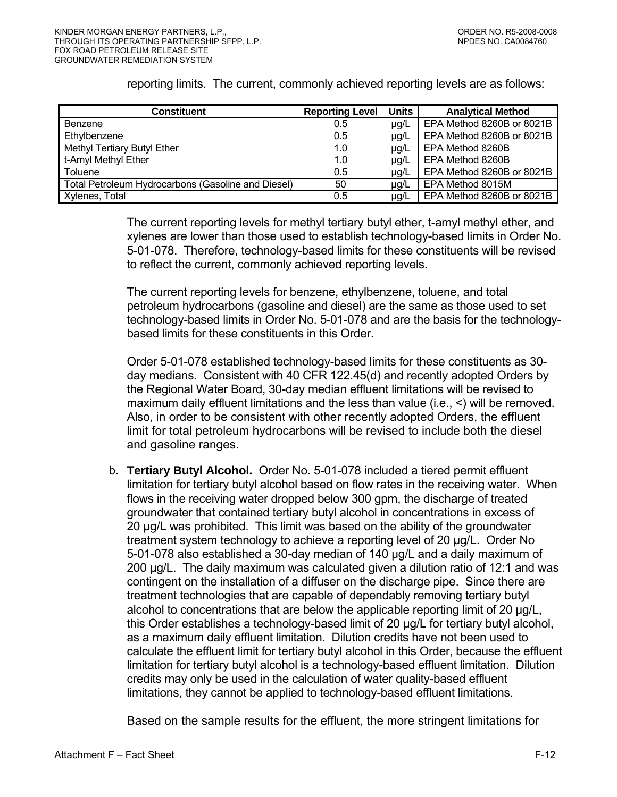reporting limits. The current, commonly achieved reporting levels are as follows:

| <b>Constituent</b>                                 | <b>Reporting Level</b> | <b>Units</b> | <b>Analytical Method</b>  |
|----------------------------------------------------|------------------------|--------------|---------------------------|
| Benzene                                            | 0.5                    | µg/L         | EPA Method 8260B or 8021B |
| Ethylbenzene                                       | 0.5                    | $\mu$ g/L    | EPA Method 8260B or 8021B |
| <b>Methyl Tertiary Butyl Ether</b>                 | 1.0                    | $\mu$ g/L    | EPA Method 8260B          |
| t-Amyl Methyl Ether                                | 1.0                    | $\mu$ g/L    | EPA Method 8260B          |
| Toluene                                            | 0.5                    | $\mu q/L$    | EPA Method 8260B or 8021B |
| Total Petroleum Hydrocarbons (Gasoline and Diesel) | 50                     | $\mu$ g/L    | EPA Method 8015M          |
| Xylenes, Total                                     | 0.5                    | $\mu$ g/L    | EPA Method 8260B or 8021B |

The current reporting levels for methyl tertiary butyl ether, t-amyl methyl ether, and xylenes are lower than those used to establish technology-based limits in Order No. 5-01-078. Therefore, technology-based limits for these constituents will be revised to reflect the current, commonly achieved reporting levels.

The current reporting levels for benzene, ethylbenzene, toluene, and total petroleum hydrocarbons (gasoline and diesel) are the same as those used to set technology-based limits in Order No. 5-01-078 and are the basis for the technologybased limits for these constituents in this Order.

Order 5-01-078 established technology-based limits for these constituents as 30 day medians. Consistent with 40 CFR 122.45(d) and recently adopted Orders by the Regional Water Board, 30-day median effluent limitations will be revised to maximum daily effluent limitations and the less than value (i.e., <) will be removed. Also, in order to be consistent with other recently adopted Orders, the effluent limit for total petroleum hydrocarbons will be revised to include both the diesel and gasoline ranges.

b. **Tertiary Butyl Alcohol.** Order No. 5-01-078 included a tiered permit effluent limitation for tertiary butyl alcohol based on flow rates in the receiving water. When flows in the receiving water dropped below 300 gpm, the discharge of treated groundwater that contained tertiary butyl alcohol in concentrations in excess of 20 µg/L was prohibited. This limit was based on the ability of the groundwater treatment system technology to achieve a reporting level of 20 µg/L. Order No 5-01-078 also established a 30-day median of 140 µg/L and a daily maximum of 200 µg/L. The daily maximum was calculated given a dilution ratio of 12:1 and was contingent on the installation of a diffuser on the discharge pipe. Since there are treatment technologies that are capable of dependably removing tertiary butyl alcohol to concentrations that are below the applicable reporting limit of 20 µg/L, this Order establishes a technology-based limit of 20 µg/L for tertiary butyl alcohol, as a maximum daily effluent limitation. Dilution credits have not been used to calculate the effluent limit for tertiary butyl alcohol in this Order, because the effluent limitation for tertiary butyl alcohol is a technology-based effluent limitation. Dilution credits may only be used in the calculation of water quality-based effluent limitations, they cannot be applied to technology-based effluent limitations.

Based on the sample results for the effluent, the more stringent limitations for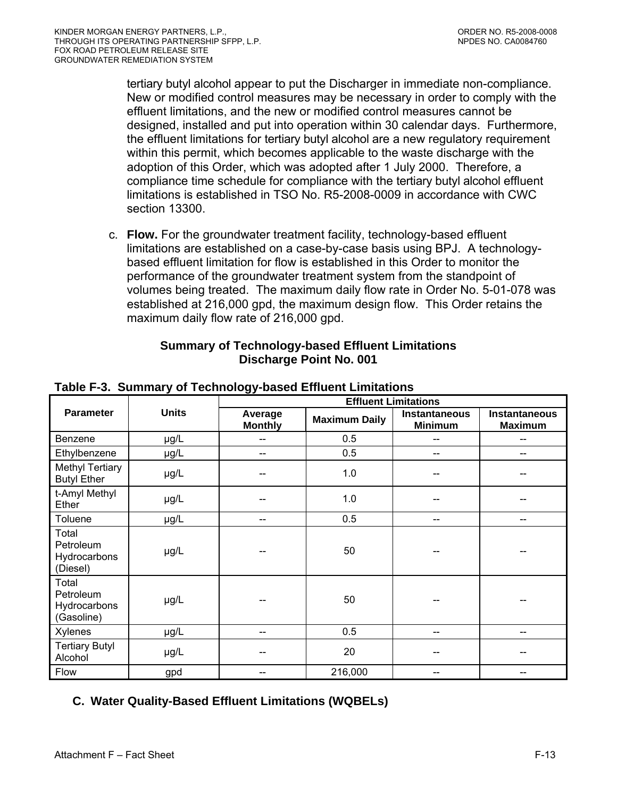<span id="page-66-0"></span>tertiary butyl alcohol appear to put the Discharger in immediate non-compliance. New or modified control measures may be necessary in order to comply with the effluent limitations, and the new or modified control measures cannot be designed, installed and put into operation within 30 calendar days. Furthermore, the effluent limitations for tertiary butyl alcohol are a new regulatory requirement within this permit, which becomes applicable to the waste discharge with the adoption of this Order, which was adopted after 1 July 2000. Therefore, a compliance time schedule for compliance with the tertiary butyl alcohol effluent limitations is established in TSO No. R5-2008-0009 in accordance with CWC section 13300.

c. **Flow.** For the groundwater treatment facility, technology-based effluent limitations are established on a case-by-case basis using BPJ. A technologybased effluent limitation for flow is established in this Order to monitor the performance of the groundwater treatment system from the standpoint of volumes being treated. The maximum daily flow rate in Order No. 5-01-078 was established at 216,000 gpd, the maximum design flow. This Order retains the maximum daily flow rate of 216,000 gpd.

| <b>Summary of Technology-based Effluent Limitations</b> |
|---------------------------------------------------------|
| <b>Discharge Point No. 001</b>                          |

|                                                  |              | ັ້<br><b>Effluent Limitations</b> |                      |                                        |                                 |  |  |
|--------------------------------------------------|--------------|-----------------------------------|----------------------|----------------------------------------|---------------------------------|--|--|
| <b>Parameter</b>                                 | <b>Units</b> | Average<br><b>Monthly</b>         | <b>Maximum Daily</b> | <b>Instantaneous</b><br><b>Minimum</b> | Instantaneous<br><b>Maximum</b> |  |  |
| Benzene                                          | µg/L         | --                                | 0.5                  |                                        | --                              |  |  |
| Ethylbenzene                                     | µg/L         | --                                | 0.5                  |                                        |                                 |  |  |
| <b>Methyl Tertiary</b><br><b>Butyl Ether</b>     | µg/L         |                                   | 1.0                  |                                        |                                 |  |  |
| t-Amyl Methyl<br>Ether                           | µg/L         |                                   | 1.0                  |                                        |                                 |  |  |
| Toluene                                          | $\mu$ g/L    | --                                | 0.5                  | --                                     | --                              |  |  |
| Total<br>Petroleum<br>Hydrocarbons<br>(Diesel)   | µg/L         |                                   | 50                   |                                        |                                 |  |  |
| Total<br>Petroleum<br>Hydrocarbons<br>(Gasoline) | µg/L         |                                   | 50                   |                                        |                                 |  |  |
| Xylenes                                          | µg/L         | --                                | 0.5                  |                                        |                                 |  |  |
| <b>Tertiary Butyl</b><br>Alcohol                 | $\mu$ g/L    | --                                | 20                   |                                        |                                 |  |  |
| Flow                                             | gpd          | --                                | 216,000              | --                                     |                                 |  |  |

### **Table F-3. Summary of Technology-based Effluent Limitations**

# **C. Water Quality-Based Effluent Limitations (WQBELs)**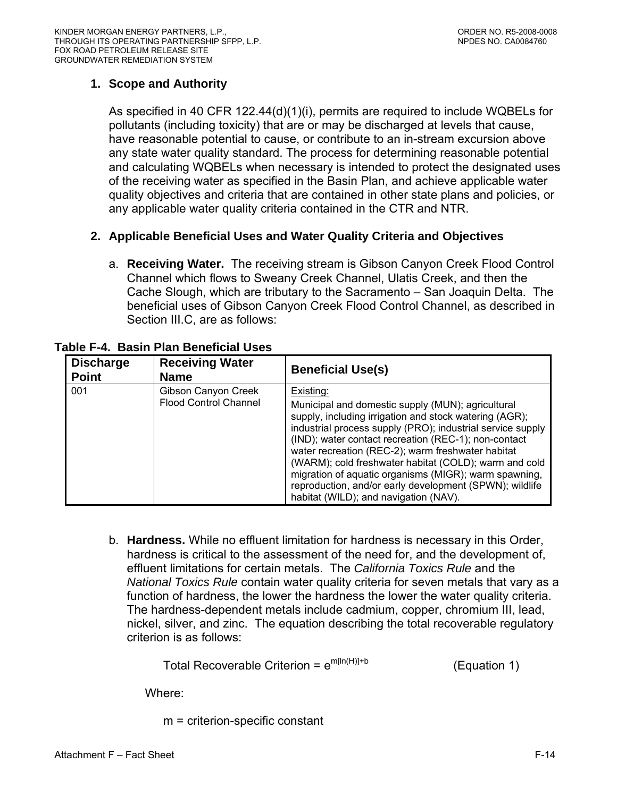# <span id="page-67-0"></span>**1. Scope and Authority**

As specified in 40 CFR 122.44(d)(1)(i), permits are required to include WQBELs for pollutants (including toxicity) that are or may be discharged at levels that cause, have reasonable potential to cause, or contribute to an in-stream excursion above any state water quality standard. The process for determining reasonable potential and calculating WQBELs when necessary is intended to protect the designated uses of the receiving water as specified in the Basin Plan, and achieve applicable water quality objectives and criteria that are contained in other state plans and policies, or any applicable water quality criteria contained in the CTR and NTR.

## **2. Applicable Beneficial Uses and Water Quality Criteria and Objectives**

a. **Receiving Water.** The receiving stream is Gibson Canyon Creek Flood Control Channel which flows to Sweany Creek Channel, Ulatis Creek, and then the Cache Slough, which are tributary to the Sacramento – San Joaquin Delta. The beneficial uses of Gibson Canyon Creek Flood Control Channel, as described in Section III.C, are as follows:

| <b>Discharge</b><br><b>Point</b> | <b>Receiving Water</b><br><b>Name</b>               | <b>Beneficial Use(s)</b>                                                                                                                                                                                                                                                                                                                                                                                                                                                                                                  |
|----------------------------------|-----------------------------------------------------|---------------------------------------------------------------------------------------------------------------------------------------------------------------------------------------------------------------------------------------------------------------------------------------------------------------------------------------------------------------------------------------------------------------------------------------------------------------------------------------------------------------------------|
| 001                              | Gibson Canyon Creek<br><b>Flood Control Channel</b> | Existing:<br>Municipal and domestic supply (MUN); agricultural<br>supply, including irrigation and stock watering (AGR);<br>industrial process supply (PRO); industrial service supply<br>(IND); water contact recreation (REC-1); non-contact<br>water recreation (REC-2); warm freshwater habitat<br>(WARM); cold freshwater habitat (COLD); warm and cold<br>migration of aquatic organisms (MIGR); warm spawning,<br>reproduction, and/or early development (SPWN); wildlife<br>habitat (WILD); and navigation (NAV). |

**Table F-4. Basin Plan Beneficial Uses** 

b. **Hardness.** While no effluent limitation for hardness is necessary in this Order, hardness is critical to the assessment of the need for, and the development of, effluent limitations for certain metals. The *California Toxics Rule* and the *National Toxics Rule* contain water quality criteria for seven metals that vary as a function of hardness, the lower the hardness the lower the water quality criteria. The hardness-dependent metals include cadmium, copper, chromium III, lead, nickel, silver, and zinc. The equation describing the total recoverable regulatory criterion is as follows:

Total Recoverable Criterion =  $e^{m[\ln(H)]+b}$  (Equation 1)

Where:

m = criterion-specific constant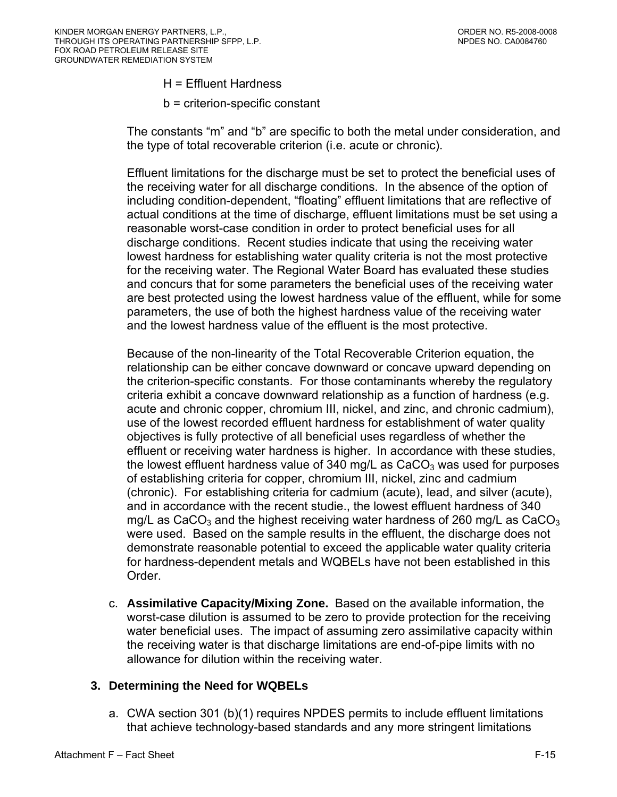- H = Effluent Hardness
- b = criterion-specific constant

<span id="page-68-0"></span>The constants "m" and "b" are specific to both the metal under consideration, and the type of total recoverable criterion (i.e. acute or chronic).

Effluent limitations for the discharge must be set to protect the beneficial uses of the receiving water for all discharge conditions. In the absence of the option of including condition-dependent, "floating" effluent limitations that are reflective of actual conditions at the time of discharge, effluent limitations must be set using a reasonable worst-case condition in order to protect beneficial uses for all discharge conditions. Recent studies indicate that using the receiving water lowest hardness for establishing water quality criteria is not the most protective for the receiving water. The Regional Water Board has evaluated these studies and concurs that for some parameters the beneficial uses of the receiving water are best protected using the lowest hardness value of the effluent, while for some parameters, the use of both the highest hardness value of the receiving water and the lowest hardness value of the effluent is the most protective.

Because of the non-linearity of the Total Recoverable Criterion equation, the relationship can be either concave downward or concave upward depending on the criterion-specific constants. For those contaminants whereby the regulatory criteria exhibit a concave downward relationship as a function of hardness (e.g. acute and chronic copper, chromium III, nickel, and zinc, and chronic cadmium), use of the lowest recorded effluent hardness for establishment of water quality objectives is fully protective of all beneficial uses regardless of whether the effluent or receiving water hardness is higher. In accordance with these studies, the lowest effluent hardness value of 340 mg/L as  $CaCO<sub>3</sub>$  was used for purposes of establishing criteria for copper, chromium III, nickel, zinc and cadmium (chronic). For establishing criteria for cadmium (acute), lead, and silver (acute), and in accordance with the recent studie., the lowest effluent hardness of 340 mg/L as CaCO<sub>3</sub> and the highest receiving water hardness of 260 mg/L as CaCO<sub>3</sub> were used. Based on the sample results in the effluent, the discharge does not demonstrate reasonable potential to exceed the applicable water quality criteria for hardness-dependent metals and WQBELs have not been established in this Order.

c. **Assimilative Capacity/Mixing Zone.** Based on the available information, the worst-case dilution is assumed to be zero to provide protection for the receiving water beneficial uses. The impact of assuming zero assimilative capacity within the receiving water is that discharge limitations are end-of-pipe limits with no allowance for dilution within the receiving water.

### **3. Determining the Need for WQBELs**

a. CWA section 301 (b)(1) requires NPDES permits to include effluent limitations that achieve technology-based standards and any more stringent limitations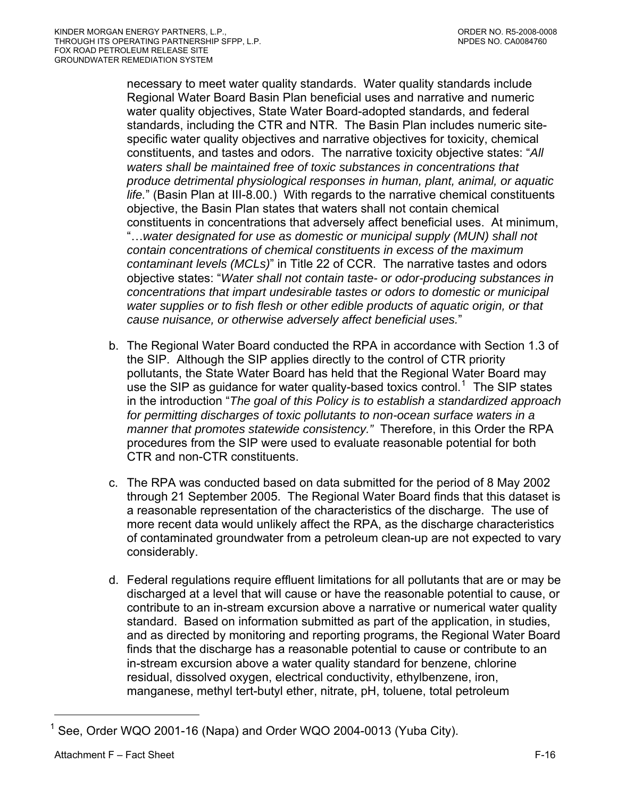<span id="page-69-0"></span>necessary to meet water quality standards. Water quality standards include Regional Water Board Basin Plan beneficial uses and narrative and numeric water quality objectives, State Water Board-adopted standards, and federal standards, including the CTR and NTR. The Basin Plan includes numeric sitespecific water quality objectives and narrative objectives for toxicity, chemical constituents, and tastes and odors. The narrative toxicity objective states: "*All waters shall be maintained free of toxic substances in concentrations that produce detrimental physiological responses in human, plant, animal, or aquatic life.*" (Basin Plan at III-8.00.) With regards to the narrative chemical constituents objective, the Basin Plan states that waters shall not contain chemical constituents in concentrations that adversely affect beneficial uses. At minimum, "…*water designated for use as domestic or municipal supply (MUN) shall not contain concentrations of chemical constituents in excess of the maximum contaminant levels (MCLs)*" in Title 22 of CCR. The narrative tastes and odors objective states: "*Water shall not contain taste- or odor-producing substances in concentrations that impart undesirable tastes or odors to domestic or municipal water supplies or to fish flesh or other edible products of aquatic origin, or that cause nuisance, or otherwise adversely affect beneficial uses.*"

- b. The Regional Water Board conducted the RPA in accordance with Section 1.3 of the SIP. Although the SIP applies directly to the control of CTR priority pollutants, the State Water Board has held that the Regional Water Board may use the SIP as guidance for water quality-based toxics control.<sup>[1](#page-69-0)</sup> The SIP states in the introduction "*The goal of this Policy is to establish a standardized approach*  for permitting discharges of toxic pollutants to non-ocean surface waters in a *manner that promotes statewide consistency."* Therefore, in this Order the RPA procedures from the SIP were used to evaluate reasonable potential for both CTR and non-CTR constituents.
- c. The RPA was conducted based on data submitted for the period of 8 May 2002 through 21 September 2005. The Regional Water Board finds that this dataset is a reasonable representation of the characteristics of the discharge. The use of more recent data would unlikely affect the RPA, as the discharge characteristics of contaminated groundwater from a petroleum clean-up are not expected to vary considerably.
- d. Federal regulations require effluent limitations for all pollutants that are or may be discharged at a level that will cause or have the reasonable potential to cause, or contribute to an in-stream excursion above a narrative or numerical water quality standard. Based on information submitted as part of the application, in studies, and as directed by monitoring and reporting programs, the Regional Water Board finds that the discharge has a reasonable potential to cause or contribute to an in-stream excursion above a water quality standard for benzene, chlorine residual, dissolved oxygen, electrical conductivity, ethylbenzene, iron, manganese, methyl tert-butyl ether, nitrate, pH, toluene, total petroleum

 $\overline{a}$ 

<sup>1</sup> See, Order WQO 2001-16 (Napa) and Order WQO 2004-0013 (Yuba City).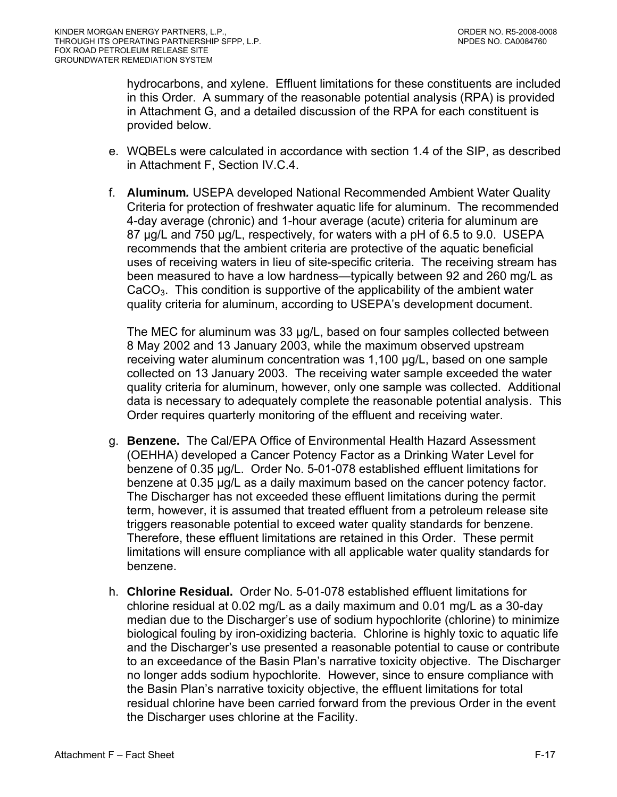hydrocarbons, and xylene. Effluent limitations for these constituents are included in this Order. A summary of the reasonable potential analysis (RPA) is provided in Attachment G, and a detailed discussion of the RPA for each constituent is provided below.

- e. WQBELs were calculated in accordance with section 1.4 of the SIP, as described in [Attachment F, Section IV.C.4.](#page-78-0)
- f. **Aluminum***.* USEPA developed National Recommended Ambient Water Quality Criteria for protection of freshwater aquatic life for aluminum. The recommended 4-day average (chronic) and 1-hour average (acute) criteria for aluminum are 87 µg/L and 750 µg/L, respectively, for waters with a pH of 6.5 to 9.0. USEPA recommends that the ambient criteria are protective of the aquatic beneficial uses of receiving waters in lieu of site-specific criteria. The receiving stream has been measured to have a low hardness—typically between 92 and 260 mg/L as  $CaCO<sub>3</sub>$ . This condition is supportive of the applicability of the ambient water quality criteria for aluminum, according to USEPA's development document.

The MEC for aluminum was 33 µg/L, based on four samples collected between 8 May 2002 and 13 January 2003, while the maximum observed upstream receiving water aluminum concentration was 1,100 µg/L, based on one sample collected on 13 January 2003. The receiving water sample exceeded the water quality criteria for aluminum, however, only one sample was collected. Additional data is necessary to adequately complete the reasonable potential analysis. This Order requires quarterly monitoring of the effluent and receiving water.

- g. **Benzene.** The Cal/EPA Office of Environmental Health Hazard Assessment (OEHHA) developed a Cancer Potency Factor as a Drinking Water Level for benzene of 0.35 µg/L. Order No. 5-01-078 established effluent limitations for benzene at 0.35 µg/L as a daily maximum based on the cancer potency factor. The Discharger has not exceeded these effluent limitations during the permit term, however, it is assumed that treated effluent from a petroleum release site triggers reasonable potential to exceed water quality standards for benzene. Therefore, these effluent limitations are retained in this Order. These permit limitations will ensure compliance with all applicable water quality standards for benzene.
- h. **Chlorine Residual.** Order No. 5-01-078 established effluent limitations for chlorine residual at 0.02 mg/L as a daily maximum and 0.01 mg/L as a 30-day median due to the Discharger's use of sodium hypochlorite (chlorine) to minimize biological fouling by iron-oxidizing bacteria. Chlorine is highly toxic to aquatic life and the Discharger's use presented a reasonable potential to cause or contribute to an exceedance of the Basin Plan's narrative toxicity objective. The Discharger no longer adds sodium hypochlorite. However, since to ensure compliance with the Basin Plan's narrative toxicity objective, the effluent limitations for total residual chlorine have been carried forward from the previous Order in the event the Discharger uses chlorine at the Facility.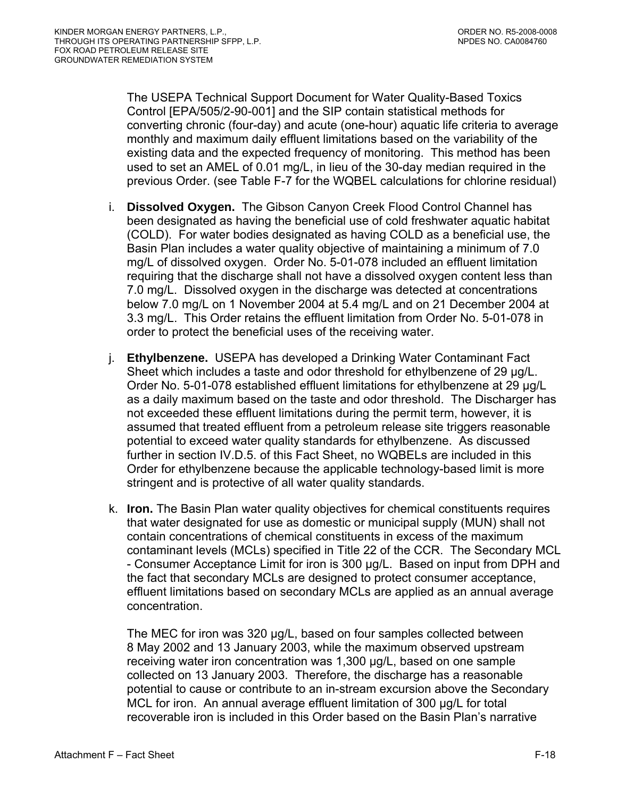The USEPA Technical Support Document for Water Quality-Based Toxics Control [EPA/505/2-90-001] and the SIP contain statistical methods for converting chronic (four-day) and acute (one-hour) aquatic life criteria to average monthly and maximum daily effluent limitations based on the variability of the existing data and the expected frequency of monitoring. This method has been used to set an AMEL of 0.01 mg/L, in lieu of the 30-day median required in the previous Order. (see Table F-7 for the WQBEL calculations for chlorine residual)

- i. **Dissolved Oxygen.** The Gibson Canyon Creek Flood Control Channel has been designated as having the beneficial use of cold freshwater aquatic habitat (COLD). For water bodies designated as having COLD as a beneficial use, the Basin Plan includes a water quality objective of maintaining a minimum of 7.0 mg/L of dissolved oxygen. Order No. 5-01-078 included an effluent limitation requiring that the discharge shall not have a dissolved oxygen content less than 7.0 mg/L. Dissolved oxygen in the discharge was detected at concentrations below 7.0 mg/L on 1 November 2004 at 5.4 mg/L and on 21 December 2004 at 3.3 mg/L. This Order retains the effluent limitation from Order No. 5-01-078 in order to protect the beneficial uses of the receiving water.
- j. **Ethylbenzene.** USEPA has developed a Drinking Water Contaminant Fact Sheet which includes a taste and odor threshold for ethylbenzene of 29 ug/L. Order No. 5-01-078 established effluent limitations for ethylbenzene at 29 µg/L as a daily maximum based on the taste and odor threshold. The Discharger has not exceeded these effluent limitations during the permit term, however, it is assumed that treated effluent from a petroleum release site triggers reasonable potential to exceed water quality standards for ethylbenzene. As discussed further in section IV.D.5. of this Fact Sheet, no WQBELs are included in this Order for ethylbenzene because the applicable technology-based limit is more stringent and is protective of all water quality standards.
- k. **Iron.** The Basin Plan water quality objectives for chemical constituents requires that water designated for use as domestic or municipal supply (MUN) shall not contain concentrations of chemical constituents in excess of the maximum contaminant levels (MCLs) specified in Title 22 of the CCR. The Secondary MCL - Consumer Acceptance Limit for iron is 300 µg/L. Based on input from DPH and the fact that secondary MCLs are designed to protect consumer acceptance, effluent limitations based on secondary MCLs are applied as an annual average concentration.

The MEC for iron was 320 µg/L, based on four samples collected between 8 May 2002 and 13 January 2003, while the maximum observed upstream receiving water iron concentration was 1,300 µg/L, based on one sample collected on 13 January 2003. Therefore, the discharge has a reasonable potential to cause or contribute to an in-stream excursion above the Secondary MCL for iron. An annual average effluent limitation of 300 µg/L for total recoverable iron is included in this Order based on the Basin Plan's narrative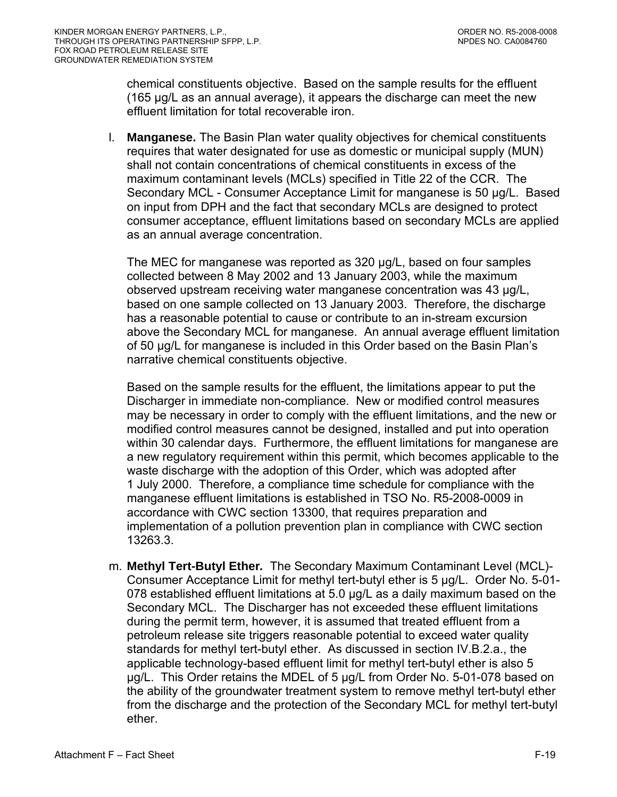chemical constituents objective. Based on the sample results for the effluent (165 µg/L as an annual average), it appears the discharge can meet the new effluent limitation for total recoverable iron.

l. **Manganese.** The Basin Plan water quality objectives for chemical constituents requires that water designated for use as domestic or municipal supply (MUN) shall not contain concentrations of chemical constituents in excess of the maximum contaminant levels (MCLs) specified in Title 22 of the CCR. The Secondary MCL - Consumer Acceptance Limit for manganese is 50 µg/L. Based on input from DPH and the fact that secondary MCLs are designed to protect consumer acceptance, effluent limitations based on secondary MCLs are applied as an annual average concentration.

The MEC for manganese was reported as 320 µg/L, based on four samples collected between 8 May 2002 and 13 January 2003, while the maximum observed upstream receiving water manganese concentration was 43 µg/L, based on one sample collected on 13 January 2003. Therefore, the discharge has a reasonable potential to cause or contribute to an in-stream excursion above the Secondary MCL for manganese. An annual average effluent limitation of 50 µg/L for manganese is included in this Order based on the Basin Plan's narrative chemical constituents objective.

Based on the sample results for the effluent, the limitations appear to put the Discharger in immediate non-compliance. New or modified control measures may be necessary in order to comply with the effluent limitations, and the new or modified control measures cannot be designed, installed and put into operation within 30 calendar days. Furthermore, the effluent limitations for manganese are a new regulatory requirement within this permit, which becomes applicable to the waste discharge with the adoption of this Order, which was adopted after 1 July 2000. Therefore, a compliance time schedule for compliance with the manganese effluent limitations is established in TSO No. R5-2008-0009 in accordance with CWC section 13300, that requires preparation and implementation of a pollution prevention plan in compliance with CWC section 13263.3.

m. **Methyl Tert-Butyl Ether***.* The Secondary Maximum Contaminant Level (MCL)- Consumer Acceptance Limit for methyl tert-butyl ether is 5 µg/L. Order No. 5-01- 078 established effluent limitations at 5.0 µg/L as a daily maximum based on the Secondary MCL. The Discharger has not exceeded these effluent limitations during the permit term, however, it is assumed that treated effluent from a petroleum release site triggers reasonable potential to exceed water quality standards for methyl tert-butyl ether. As discussed in section IV.B.2.a., the applicable technology-based effluent limit for methyl tert-butyl ether is also 5 µg/L. This Order retains the MDEL of 5 µg/L from Order No. 5-01-078 based on the ability of the groundwater treatment system to remove methyl tert-butyl ether from the discharge and the protection of the Secondary MCL for methyl tert-butyl ether.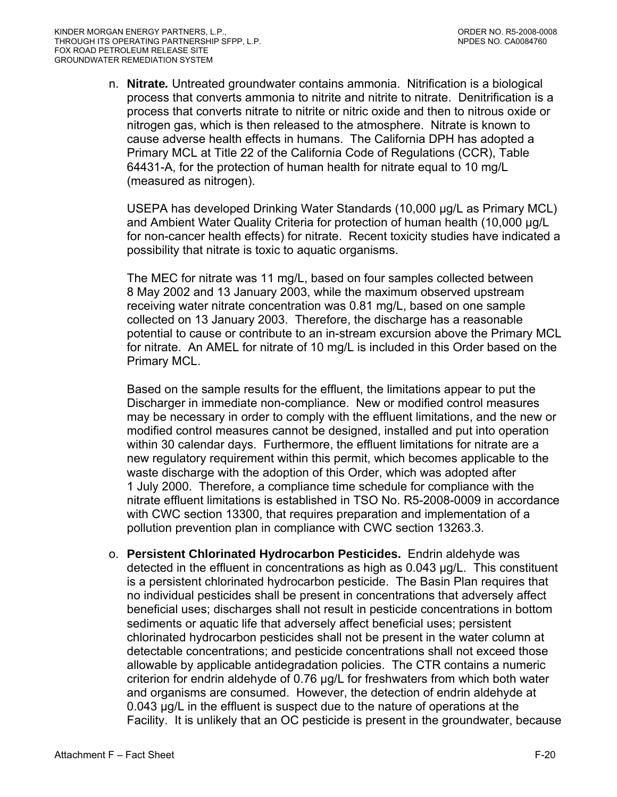n. **Nitrate***.* Untreated groundwater contains ammonia. Nitrification is a biological process that converts ammonia to nitrite and nitrite to nitrate. Denitrification is a process that converts nitrate to nitrite or nitric oxide and then to nitrous oxide or nitrogen gas, which is then released to the atmosphere. Nitrate is known to cause adverse health effects in humans. The California DPH has adopted a Primary MCL at Title 22 of the California Code of Regulations (CCR), Table 64431-A, for the protection of human health for nitrate equal to 10 mg/L (measured as nitrogen).

USEPA has developed Drinking Water Standards (10,000 µg/L as Primary MCL) and Ambient Water Quality Criteria for protection of human health (10,000 µg/L for non-cancer health effects) for nitrate. Recent toxicity studies have indicated a possibility that nitrate is toxic to aquatic organisms.

The MEC for nitrate was 11 mg/L, based on four samples collected between 8 May 2002 and 13 January 2003, while the maximum observed upstream receiving water nitrate concentration was 0.81 mg/L, based on one sample collected on 13 January 2003. Therefore, the discharge has a reasonable potential to cause or contribute to an in-stream excursion above the Primary MCL for nitrate. An AMEL for nitrate of 10 mg/L is included in this Order based on the Primary MCL.

Based on the sample results for the effluent, the limitations appear to put the Discharger in immediate non-compliance. New or modified control measures may be necessary in order to comply with the effluent limitations, and the new or modified control measures cannot be designed, installed and put into operation within 30 calendar days. Furthermore, the effluent limitations for nitrate are a new regulatory requirement within this permit, which becomes applicable to the waste discharge with the adoption of this Order, which was adopted after 1 July 2000. Therefore, a compliance time schedule for compliance with the nitrate effluent limitations is established in TSO No. R5-2008-0009 in accordance with CWC section 13300, that requires preparation and implementation of a pollution prevention plan in compliance with CWC section 13263.3.

o. **Persistent Chlorinated Hydrocarbon Pesticides.** Endrin aldehyde was detected in the effluent in concentrations as high as 0.043 µg/L. This constituent is a persistent chlorinated hydrocarbon pesticide. The Basin Plan requires that no individual pesticides shall be present in concentrations that adversely affect beneficial uses; discharges shall not result in pesticide concentrations in bottom sediments or aquatic life that adversely affect beneficial uses; persistent chlorinated hydrocarbon pesticides shall not be present in the water column at detectable concentrations; and pesticide concentrations shall not exceed those allowable by applicable antidegradation policies. The CTR contains a numeric criterion for endrin aldehyde of 0.76 µg/L for freshwaters from which both water and organisms are consumed. However, the detection of endrin aldehyde at 0.043 µg/L in the effluent is suspect due to the nature of operations at the Facility. It is unlikely that an OC pesticide is present in the groundwater, because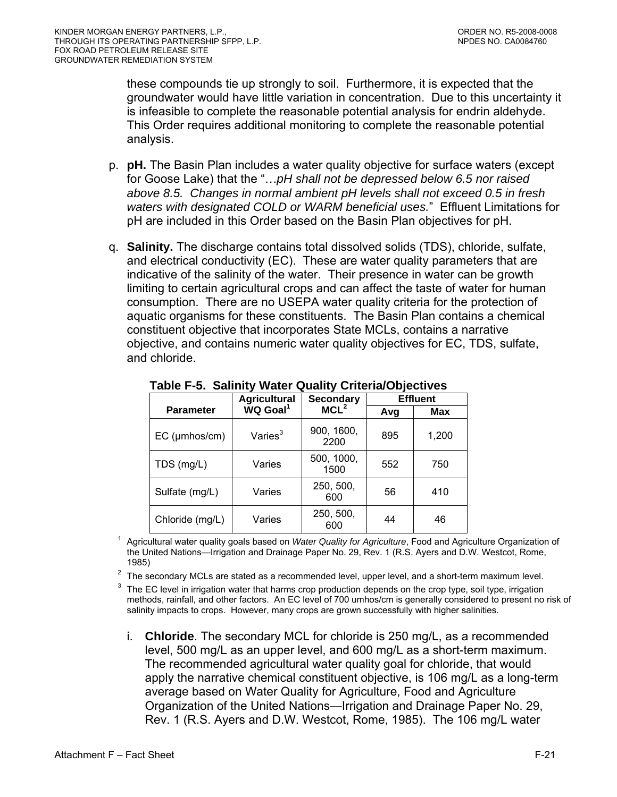these compounds tie up strongly to soil. Furthermore, it is expected that the groundwater would have little variation in concentration. Due to this uncertainty it is infeasible to complete the reasonable potential analysis for endrin aldehyde. This Order requires additional monitoring to complete the reasonable potential analysis.

- p. **pH.** The Basin Plan includes a water quality objective for surface waters (except for Goose Lake) that the "…*pH shall not be depressed below 6.5 nor raised above 8.5. Changes in normal ambient pH levels shall not exceed 0.5 in fresh waters with designated COLD or WARM beneficial uses.*" Effluent Limitations for pH are included in this Order based on the Basin Plan objectives for pH.
- q. **Salinity.** The discharge contains total dissolved solids (TDS), chloride, sulfate, and electrical conductivity (EC). These are water quality parameters that are indicative of the salinity of the water. Their presence in water can be growth limiting to certain agricultural crops and can affect the taste of water for human consumption. There are no USEPA water quality criteria for the protection of aquatic organisms for these constituents. The Basin Plan contains a chemical constituent objective that incorporates State MCLs, contains a narrative objective, and contains numeric water quality objectives for EC, TDS, sulfate, and chloride.

|                     | <b>Agricultural</b>  | <b>Secondary</b>   | <b>Effluent</b> |       |  |  |
|---------------------|----------------------|--------------------|-----------------|-------|--|--|
| <b>Parameter</b>    | WQ Goal <sup>1</sup> | MCL <sup>2</sup>   | Avg             | Max   |  |  |
| $EC$ ( $µmbos/cm$ ) | Varies <sup>3</sup>  | 900, 1600,<br>2200 | 895             | 1,200 |  |  |
| TDS (mg/L)          | Varies               | 500, 1000,<br>1500 | 552             | 750   |  |  |
| Sulfate (mg/L)      | Varies               | 250, 500,<br>600   | 56              | 410   |  |  |
| Chloride (mg/L)     | Varies               | 250, 500,<br>600   | 44              | 46    |  |  |

**Table F-5. Salinity Water Quality Criteria/Objectives** 

1 Agricultural water quality goals based on *Water Quality for Agriculture*, Food and Agriculture Organization of the United Nations—Irrigation and Drainage Paper No. 29, Rev. 1 (R.S. Ayers and D.W. Westcot, Rome,

1985)<br><sup>2</sup> The secondary MCLs are stated as a recommended level, upper level, and a short-term maximum level.

 $3$  The EC level in irrigation water that harms crop production depends on the crop type, soil type, irrigation methods, rainfall, and other factors. An EC level of 700 umhos/cm is generally considered to present no risk of salinity impacts to crops. However, many crops are grown successfully with higher salinities.

i. **Chloride**. The secondary MCL for chloride is 250 mg/L, as a recommended level, 500 mg/L as an upper level, and 600 mg/L as a short-term maximum. The recommended agricultural water quality goal for chloride, that would apply the narrative chemical constituent objective, is 106 mg/L as a long-term average based on Water Quality for Agriculture, Food and Agriculture Organization of the United Nations—Irrigation and Drainage Paper No. 29, Rev. 1 (R.S. Ayers and D.W. Westcot, Rome, 1985). The 106 mg/L water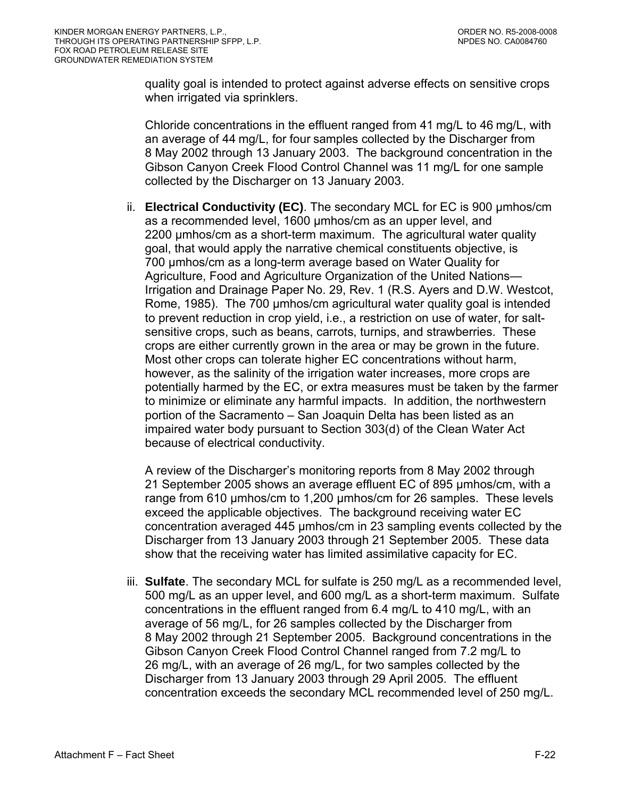quality goal is intended to protect against adverse effects on sensitive crops when irrigated via sprinklers.

Chloride concentrations in the effluent ranged from 41 mg/L to 46 mg/L, with an average of 44 mg/L, for four samples collected by the Discharger from 8 May 2002 through 13 January 2003. The background concentration in the Gibson Canyon Creek Flood Control Channel was 11 mg/L for one sample collected by the Discharger on 13 January 2003.

ii. **Electrical Conductivity (EC)**. The secondary MCL for EC is 900 µmhos/cm as a recommended level, 1600 µmhos/cm as an upper level, and 2200 µmhos/cm as a short-term maximum. The agricultural water quality goal, that would apply the narrative chemical constituents objective, is 700 µmhos/cm as a long-term average based on Water Quality for Agriculture, Food and Agriculture Organization of the United Nations— Irrigation and Drainage Paper No. 29, Rev. 1 (R.S. Ayers and D.W. Westcot, Rome, 1985). The 700 µmhos/cm agricultural water quality goal is intended to prevent reduction in crop yield, i.e., a restriction on use of water, for saltsensitive crops, such as beans, carrots, turnips, and strawberries. These crops are either currently grown in the area or may be grown in the future. Most other crops can tolerate higher EC concentrations without harm, however, as the salinity of the irrigation water increases, more crops are potentially harmed by the EC, or extra measures must be taken by the farmer to minimize or eliminate any harmful impacts. In addition, the northwestern portion of the Sacramento – San Joaquin Delta has been listed as an impaired water body pursuant to Section 303(d) of the Clean Water Act because of electrical conductivity.

A review of the Discharger's monitoring reports from 8 May 2002 through 21 September 2005 shows an average effluent EC of 895 µmhos/cm, with a range from 610 µmhos/cm to 1,200 µmhos/cm for 26 samples. These levels exceed the applicable objectives. The background receiving water EC concentration averaged 445 µmhos/cm in 23 sampling events collected by the Discharger from 13 January 2003 through 21 September 2005. These data show that the receiving water has limited assimilative capacity for EC.

iii. **Sulfate**. The secondary MCL for sulfate is 250 mg/L as a recommended level, 500 mg/L as an upper level, and 600 mg/L as a short-term maximum. Sulfate concentrations in the effluent ranged from 6.4 mg/L to 410 mg/L, with an average of 56 mg/L, for 26 samples collected by the Discharger from 8 May 2002 through 21 September 2005. Background concentrations in the Gibson Canyon Creek Flood Control Channel ranged from 7.2 mg/L to 26 mg/L, with an average of 26 mg/L, for two samples collected by the Discharger from 13 January 2003 through 29 April 2005. The effluent concentration exceeds the secondary MCL recommended level of 250 mg/L.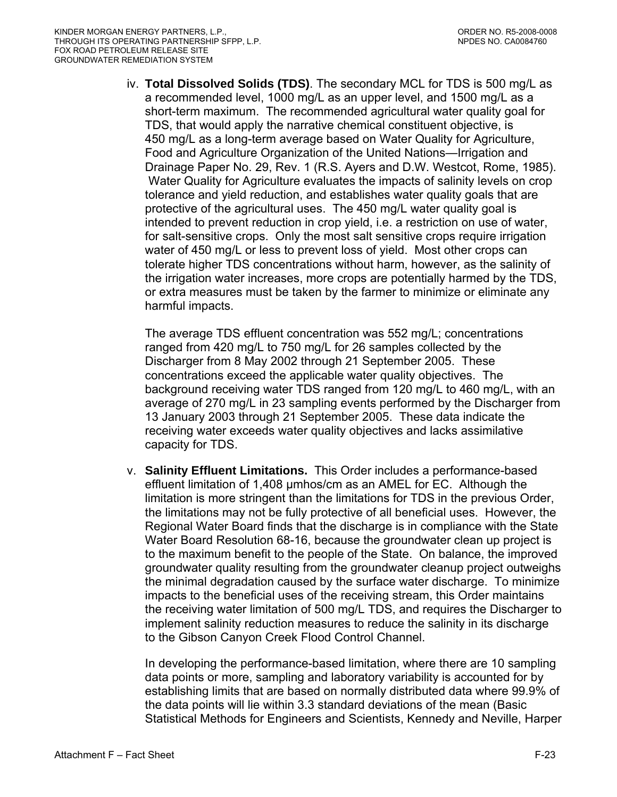iv. **Total Dissolved Solids (TDS)**. The secondary MCL for TDS is 500 mg/L as a recommended level, 1000 mg/L as an upper level, and 1500 mg/L as a short-term maximum. The recommended agricultural water quality goal for TDS, that would apply the narrative chemical constituent objective, is 450 mg/L as a long-term average based on Water Quality for Agriculture, Food and Agriculture Organization of the United Nations—Irrigation and Drainage Paper No. 29, Rev. 1 (R.S. Ayers and D.W. Westcot, Rome, 1985). Water Quality for Agriculture evaluates the impacts of salinity levels on crop tolerance and yield reduction, and establishes water quality goals that are protective of the agricultural uses. The 450 mg/L water quality goal is intended to prevent reduction in crop yield, i.e. a restriction on use of water, for salt-sensitive crops. Only the most salt sensitive crops require irrigation water of 450 mg/L or less to prevent loss of yield. Most other crops can tolerate higher TDS concentrations without harm, however, as the salinity of the irrigation water increases, more crops are potentially harmed by the TDS, or extra measures must be taken by the farmer to minimize or eliminate any harmful impacts.

The average TDS effluent concentration was 552 mg/L; concentrations ranged from 420 mg/L to 750 mg/L for 26 samples collected by the Discharger from 8 May 2002 through 21 September 2005. These concentrations exceed the applicable water quality objectives. The background receiving water TDS ranged from 120 mg/L to 460 mg/L, with an average of 270 mg/L in 23 sampling events performed by the Discharger from 13 January 2003 through 21 September 2005. These data indicate the receiving water exceeds water quality objectives and lacks assimilative capacity for TDS.

v. **Salinity Effluent Limitations.** This Order includes a performance-based effluent limitation of 1,408 µmhos/cm as an AMEL for EC. Although the limitation is more stringent than the limitations for TDS in the previous Order, the limitations may not be fully protective of all beneficial uses. However, the Regional Water Board finds that the discharge is in compliance with the State Water Board Resolution 68-16, because the groundwater clean up project is to the maximum benefit to the people of the State. On balance, the improved groundwater quality resulting from the groundwater cleanup project outweighs the minimal degradation caused by the surface water discharge. To minimize impacts to the beneficial uses of the receiving stream, this Order maintains the receiving water limitation of 500 mg/L TDS, and requires the Discharger to implement salinity reduction measures to reduce the salinity in its discharge to the Gibson Canyon Creek Flood Control Channel.

In developing the performance-based limitation, where there are 10 sampling data points or more, sampling and laboratory variability is accounted for by establishing limits that are based on normally distributed data where 99.9% of the data points will lie within 3.3 standard deviations of the mean (Basic Statistical Methods for Engineers and Scientists, Kennedy and Neville, Harper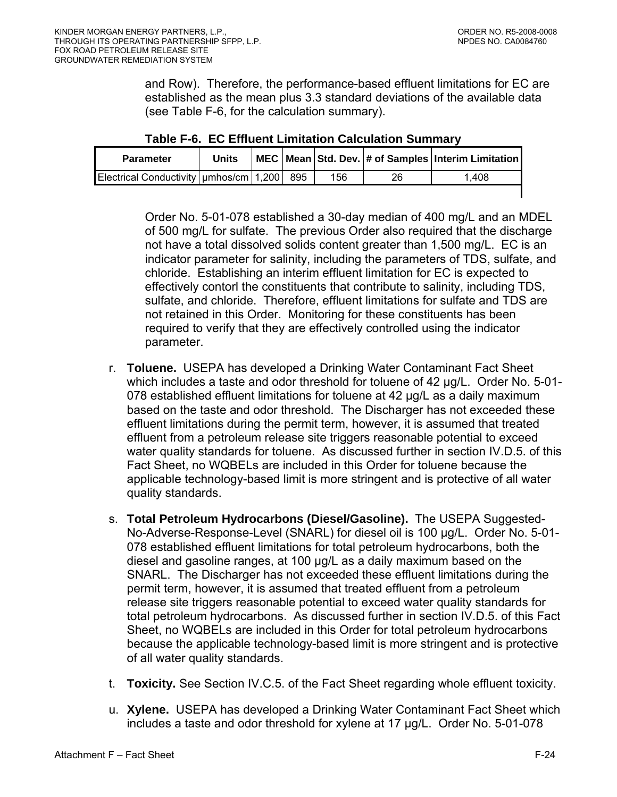and Row). Therefore, the performance-based effluent limitations for EC are established as the mean plus 3.3 standard deviations of the available data (see Table F-6, for the calculation summary).

| <b>Parameter</b>                           | <b>Units</b> |     |     |    | MEC   Mean   Std. Dev.   # of Samples   Interim Limitation |
|--------------------------------------------|--------------|-----|-----|----|------------------------------------------------------------|
| Electrical Conductivity   umhos/cm   1,200 |              | 895 | 156 | 26 | l.408                                                      |
|                                            |              |     |     |    |                                                            |

| Table F-6. EC Effluent Limitation Calculation Summary |  |
|-------------------------------------------------------|--|
|-------------------------------------------------------|--|

Order No. 5-01-078 established a 30-day median of 400 mg/L and an MDEL of 500 mg/L for sulfate. The previous Order also required that the discharge not have a total dissolved solids content greater than 1,500 mg/L. EC is an indicator parameter for salinity, including the parameters of TDS, sulfate, and chloride. Establishing an interim effluent limitation for EC is expected to effectively contorl the constituents that contribute to salinity, including TDS, sulfate, and chloride. Therefore, effluent limitations for sulfate and TDS are not retained in this Order. Monitoring for these constituents has been required to verify that they are effectively controlled using the indicator parameter.

- r. **Toluene.** USEPA has developed a Drinking Water Contaminant Fact Sheet which includes a taste and odor threshold for toluene of 42 µg/L. Order No. 5-01-078 established effluent limitations for toluene at 42 µg/L as a daily maximum based on the taste and odor threshold. The Discharger has not exceeded these effluent limitations during the permit term, however, it is assumed that treated effluent from a petroleum release site triggers reasonable potential to exceed water quality standards for toluene. As discussed further in section IV.D.5. of this Fact Sheet, no WQBELs are included in this Order for toluene because the applicable technology-based limit is more stringent and is protective of all water quality standards.
- s. **Total Petroleum Hydrocarbons (Diesel/Gasoline).** The USEPA Suggested-No-Adverse-Response-Level (SNARL) for diesel oil is 100 µg/L. Order No. 5-01- 078 established effluent limitations for total petroleum hydrocarbons, both the diesel and gasoline ranges, at 100 µg/L as a daily maximum based on the SNARL. The Discharger has not exceeded these effluent limitations during the permit term, however, it is assumed that treated effluent from a petroleum release site triggers reasonable potential to exceed water quality standards for total petroleum hydrocarbons. As discussed further in section IV.D.5. of this Fact Sheet, no WQBELs are included in this Order for total petroleum hydrocarbons because the applicable technology-based limit is more stringent and is protective of all water quality standards.
- t. **Toxicity.** See Section IV.C.5. of the Fact Sheet regarding whole effluent toxicity.
- u. **Xylene.** USEPA has developed a Drinking Water Contaminant Fact Sheet which includes a taste and odor threshold for xylene at 17 µg/L. Order No. 5-01-078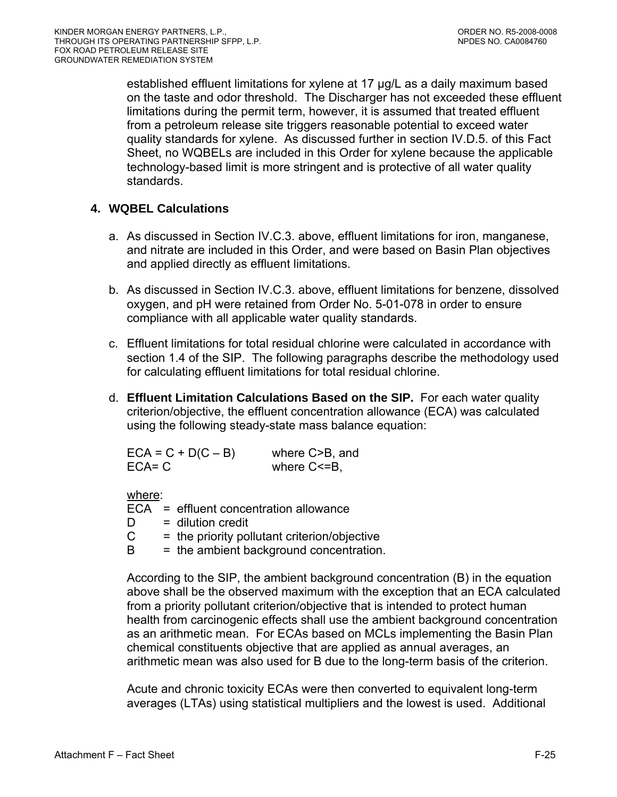established effluent limitations for xylene at 17 µg/L as a daily maximum based on the taste and odor threshold. The Discharger has not exceeded these effluent limitations during the permit term, however, it is assumed that treated effluent from a petroleum release site triggers reasonable potential to exceed water quality standards for xylene. As discussed further in section IV.D.5. of this Fact Sheet, no WQBELs are included in this Order for xylene because the applicable technology-based limit is more stringent and is protective of all water quality standards.

# **4. WQBEL Calculations**

- a. As discussed in Section IV.C.3. above, effluent limitations for iron, manganese, and nitrate are included in this Order, and were based on Basin Plan objectives and applied directly as effluent limitations.
- b. As discussed in Section IV.C.3. above, effluent limitations for benzene, dissolved oxygen, and pH were retained from Order No. 5-01-078 in order to ensure compliance with all applicable water quality standards.
- c. Effluent limitations for total residual chlorine were calculated in accordance with section 1.4 of the SIP. The following paragraphs describe the methodology used for calculating effluent limitations for total residual chlorine.
- d. **Effluent Limitation Calculations Based on the SIP.** For each water quality criterion/objective, the effluent concentration allowance (ECA) was calculated using the following steady-state mass balance equation:

| $ECA = C + D(C - B)$ | where C>B, and    |
|----------------------|-------------------|
| $ECA = C$            | where $C \le B$ , |

where:

ECA = effluent concentration allowance  $D =$  dilution credit  $C =$  the priority pollutant criterion/objective  $B =$  the ambient background concentration.

According to the SIP, the ambient background concentration (B) in the equation above shall be the observed maximum with the exception that an ECA calculated from a priority pollutant criterion/objective that is intended to protect human health from carcinogenic effects shall use the ambient background concentration as an arithmetic mean. For ECAs based on MCLs implementing the Basin Plan chemical constituents objective that are applied as annual averages, an arithmetic mean was also used for B due to the long-term basis of the criterion.

Acute and chronic toxicity ECAs were then converted to equivalent long-term averages (LTAs) using statistical multipliers and the lowest is used. Additional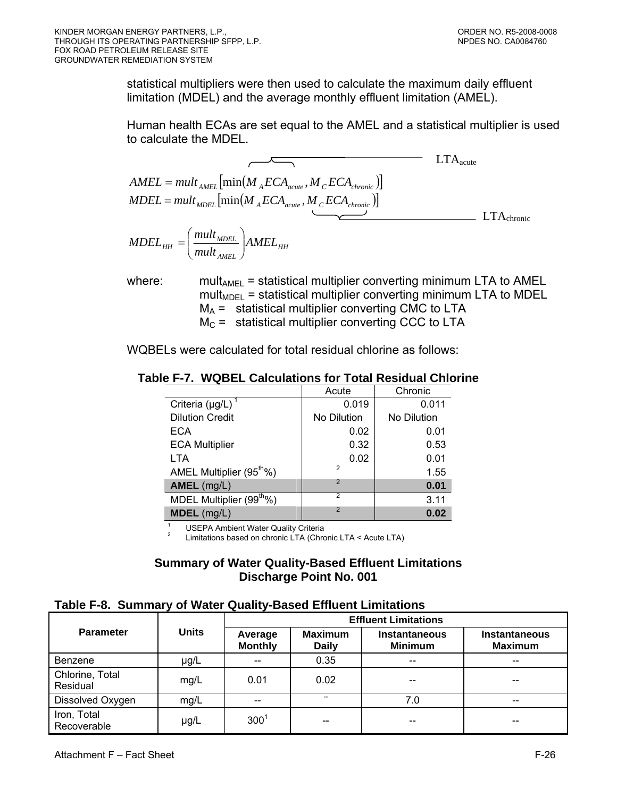statistical multipliers were then used to calculate the maximum daily effluent limitation (MDEL) and the average monthly effluent limitation (AMEL).

Human health ECAs are set equal to the AMEL and a statistical multiplier is used to calculate the MDEL.

$$
AMEL = mult_{AMEL} \left[ min(M_{A}ECA_{acute}, M_{C}ECA_{chronic}) \right]
$$
  
\n
$$
MDEL = mult_{MDEL} \left[ min(M_{A}ECA_{acute}, M_{C}ECA_{chronic}) \right]
$$
  
\n
$$
MDEL_{HH} = \left( \frac{mult_{MDEL}}{mult_{AMEL}} \right) AMEL_{HH}
$$
  
\n
$$
LTA_{chronic}
$$

where: mult<sub>AMEL</sub> = statistical multiplier converting minimum LTA to AMEL  $mult<sub>MDEL</sub>$  = statistical multiplier converting minimum LTA to MDEL  $M_A$  = statistical multiplier converting CMC to LTA  $M<sub>C</sub>$  = statistical multiplier converting CCC to LTA

WQBELs were calculated for total residual chlorine as follows:

# **Table F-7. WQBEL Calculations for Total Residual Chlorine**

|                                      | Acute          | Chronic     |
|--------------------------------------|----------------|-------------|
| Criteria ( $\mu$ g/L) <sup>1</sup>   | 0.019          | 0.011       |
| <b>Dilution Credit</b>               | No Dilution    | No Dilution |
| <b>ECA</b>                           | 0.02           | 0.01        |
| <b>ECA Multiplier</b>                | 0.32           | 0.53        |
| <b>LTA</b>                           | 0.02           | 0.01        |
| AMEL Multiplier (95 <sup>th</sup> %) | $\overline{2}$ | 1.55        |
| AMEL (mg/L)                          | $\overline{2}$ | 0.01        |
| MDEL Multiplier (99 <sup>th</sup> %) | 2              | 3.11        |
| MDEL (mg/L)                          | $\overline{2}$ | 0.02        |
|                                      |                |             |

1 USEPA Ambient Water Quality Criteria 2

*AMEL*

⎝

⎠

Limitations based on chronic LTA (Chronic LTA < Acute LTA)

### **Summary of Water Quality-Based Effluent Limitations Discharge Point No. 001**

# **Table F-8. Summary of Water Quality-Based Effluent Limitations**

|                             |              | <b>Effluent Limitations</b> |                                |                                        |                                        |  |  |  |
|-----------------------------|--------------|-----------------------------|--------------------------------|----------------------------------------|----------------------------------------|--|--|--|
| <b>Parameter</b>            | <b>Units</b> | Average<br><b>Monthly</b>   | <b>Maximum</b><br><b>Daily</b> | <b>Instantaneous</b><br><b>Minimum</b> | <b>Instantaneous</b><br><b>Maximum</b> |  |  |  |
| Benzene                     | µg/L         |                             | 0.35                           | --                                     |                                        |  |  |  |
| Chlorine, Total<br>Residual | mg/L         | 0.01                        | 0.02                           | $- -$                                  | --                                     |  |  |  |
| Dissolved Oxygen            | mg/L         |                             | --                             | 7.0                                    | --                                     |  |  |  |
| Iron, Total<br>Recoverable  | µg/L         | $300^{1}$                   | $- -$                          | $- -$                                  | --                                     |  |  |  |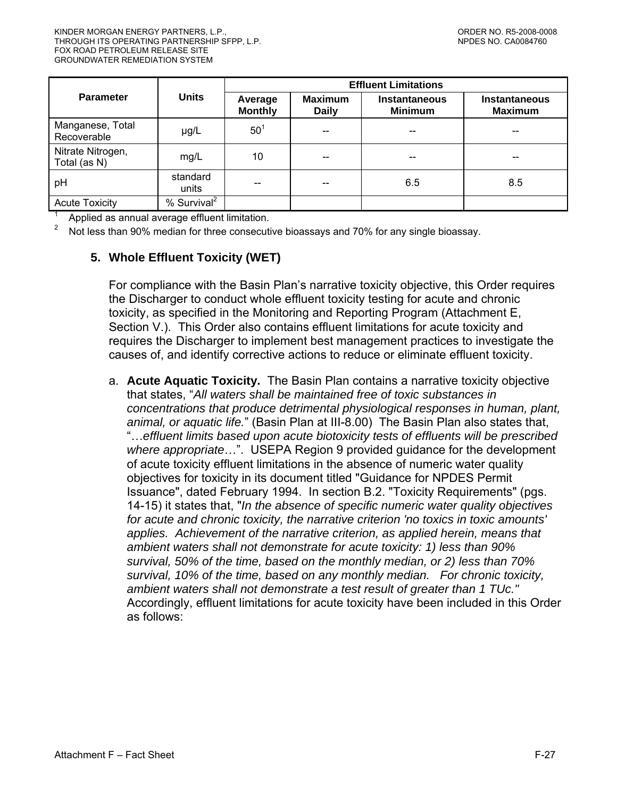|                                   |                         | <b>Effluent Limitations</b> |                                |                                        |                                        |  |  |  |
|-----------------------------------|-------------------------|-----------------------------|--------------------------------|----------------------------------------|----------------------------------------|--|--|--|
| <b>Parameter</b>                  | <b>Units</b>            | Average<br><b>Monthly</b>   | <b>Maximum</b><br><b>Daily</b> | <b>Instantaneous</b><br><b>Minimum</b> | <b>Instantaneous</b><br><b>Maximum</b> |  |  |  |
| Manganese, Total<br>Recoverable   | µg/L                    | 50 <sup>1</sup>             |                                | --                                     | --                                     |  |  |  |
| Nitrate Nitrogen,<br>Total (as N) | mg/L                    | 10                          |                                | --                                     | --                                     |  |  |  |
| pH                                | standard<br>units       |                             |                                | 6.5                                    | 8.5                                    |  |  |  |
| <b>Acute Toxicity</b>             | % Survival <sup>2</sup> |                             |                                |                                        |                                        |  |  |  |

1 Applied as annual average effluent limitation.

Not less than 90% median for three consecutive bioassays and 70% for any single bioassay.

# **5. Whole Effluent Toxicity (WET)**

For compliance with the Basin Plan's narrative toxicity objective, this Order requires the Discharger to conduct whole effluent toxicity testing for acute and chronic toxicity, as specified in the Monitoring and Reporting Program (Attachment E, Section V.). This Order also contains effluent limitations for acute toxicity and requires the Discharger to implement best management practices to investigate the causes of, and identify corrective actions to reduce or eliminate effluent toxicity.

a. **Acute Aquatic Toxicity.** The Basin Plan contains a narrative toxicity objective that states, "*All waters shall be maintained free of toxic substances in concentrations that produce detrimental physiological responses in human, plant, animal, or aquatic life.*" (Basin Plan at III-8.00) The Basin Plan also states that, "…*effluent limits based upon acute biotoxicity tests of effluents will be prescribed where appropriate*…". USEPA Region 9 provided guidance for the development of acute toxicity effluent limitations in the absence of numeric water quality objectives for toxicity in its document titled "Guidance for NPDES Permit Issuance", dated February 1994. In section B.2. "Toxicity Requirements" (pgs. 14-15) it states that, "*In the absence of specific numeric water quality objectives for acute and chronic toxicity, the narrative criterion 'no toxics in toxic amounts' applies. Achievement of the narrative criterion, as applied herein, means that ambient waters shall not demonstrate for acute toxicity: 1) less than 90% survival, 50% of the time, based on the monthly median, or 2) less than 70% survival, 10% of the time, based on any monthly median. For chronic toxicity, ambient waters shall not demonstrate a test result of greater than 1 TUc."* Accordingly, effluent limitations for acute toxicity have been included in this Order as follows: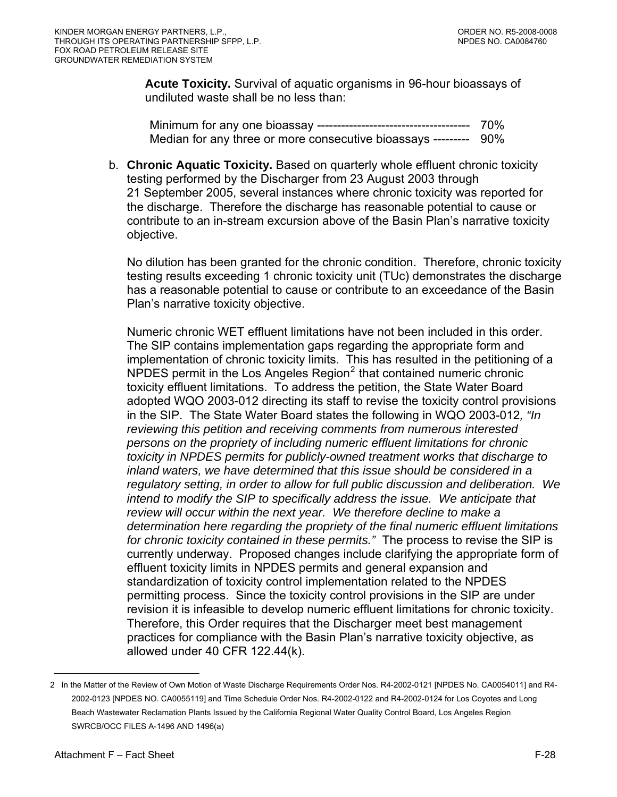<span id="page-81-0"></span>**Acute Toxicity.** Survival of aquatic organisms in 96-hour bioassays of undiluted waste shall be no less than:

Minimum for any one bioassay -------------------------------------- 70% Median for any three or more consecutive bioassays --------- 90%

b. **Chronic Aquatic Toxicity.** Based on quarterly whole effluent chronic toxicity testing performed by the Discharger from 23 August 2003 through 21 September 2005, several instances where chronic toxicity was reported for the discharge. Therefore the discharge has reasonable potential to cause or contribute to an in-stream excursion above of the Basin Plan's narrative toxicity objective.

No dilution has been granted for the chronic condition. Therefore, chronic toxicity testing results exceeding 1 chronic toxicity unit (TUc) demonstrates the discharge has a reasonable potential to cause or contribute to an exceedance of the Basin Plan's narrative toxicity objective.

Numeric chronic WET effluent limitations have not been included in this order. The SIP contains implementation gaps regarding the appropriate form and implementation of chronic toxicity limits. This has resulted in the petitioning of a NPDES permit in the Los Angeles Region $^2$  $^2$  that contained numeric chronic toxicity effluent limitations. To address the petition, the State Water Board adopted WQO 2003-012 directing its staff to revise the toxicity control provisions in the SIP. The State Water Board states the following in WQO 2003-012*, "In reviewing this petition and receiving comments from numerous interested persons on the propriety of including numeric effluent limitations for chronic toxicity in NPDES permits for publicly-owned treatment works that discharge to inland waters, we have determined that this issue should be considered in a regulatory setting, in order to allow for full public discussion and deliberation. We intend to modify the SIP to specifically address the issue. We anticipate that review will occur within the next year. We therefore decline to make a determination here regarding the propriety of the final numeric effluent limitations for chronic toxicity contained in these permits."* The process to revise the SIP is currently underway. Proposed changes include clarifying the appropriate form of effluent toxicity limits in NPDES permits and general expansion and standardization of toxicity control implementation related to the NPDES permitting process. Since the toxicity control provisions in the SIP are under revision it is infeasible to develop numeric effluent limitations for chronic toxicity. Therefore, this Order requires that the Discharger meet best management practices for compliance with the Basin Plan's narrative toxicity objective, as allowed under 40 CFR 122.44(k).

 $\overline{a}$ 

<sup>2</sup> In the Matter of the Review of Own Motion of Waste Discharge Requirements Order Nos. R4-2002-0121 [NPDES No. CA0054011] and R4- 2002-0123 [NPDES NO. CA0055119] and Time Schedule Order Nos. R4-2002-0122 and R4-2002-0124 for Los Coyotes and Long Beach Wastewater Reclamation Plants Issued by the California Regional Water Quality Control Board, Los Angeles Region SWRCB/OCC FILES A-1496 AND 1496(a)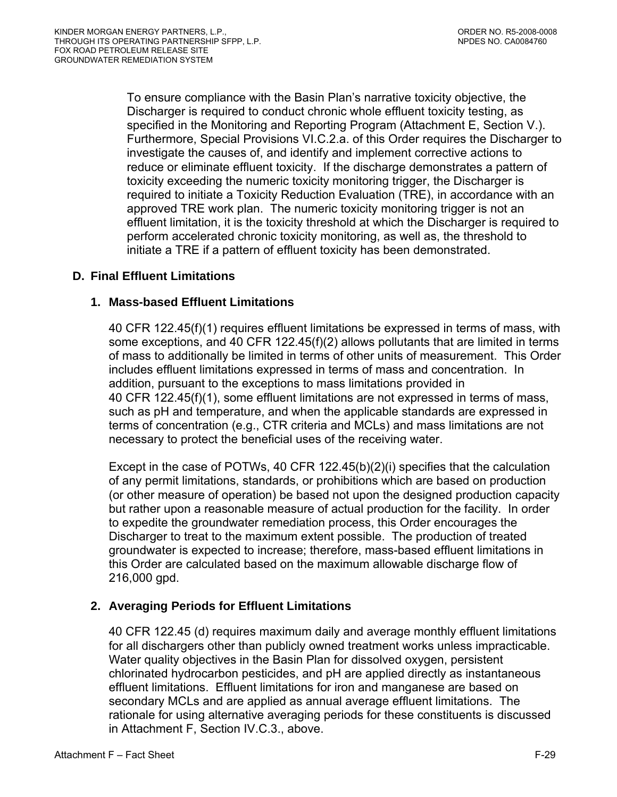To ensure compliance with the Basin Plan's narrative toxicity objective, the Discharger is required to conduct chronic whole effluent toxicity testing, as specified in the Monitoring and Reporting Program (Attachment E, Section V.). Furthermore, Special Provisions VI.C.2.a. of this Order requires the Discharger to investigate the causes of, and identify and implement corrective actions to reduce or eliminate effluent toxicity. If the discharge demonstrates a pattern of toxicity exceeding the numeric toxicity monitoring trigger, the Discharger is required to initiate a Toxicity Reduction Evaluation (TRE), in accordance with an approved TRE work plan. The numeric toxicity monitoring trigger is not an effluent limitation, it is the toxicity threshold at which the Discharger is required to perform accelerated chronic toxicity monitoring, as well as, the threshold to initiate a TRE if a pattern of effluent toxicity has been demonstrated.

# **D. Final Effluent Limitations**

# **1. Mass-based Effluent Limitations**

40 CFR 122.45(f)(1) requires effluent limitations be expressed in terms of mass, with some exceptions, and 40 CFR 122.45(f)(2) allows pollutants that are limited in terms of mass to additionally be limited in terms of other units of measurement. This Order includes effluent limitations expressed in terms of mass and concentration. In addition, pursuant to the exceptions to mass limitations provided in 40 CFR 122.45(f)(1), some effluent limitations are not expressed in terms of mass, such as pH and temperature, and when the applicable standards are expressed in terms of concentration (e.g., CTR criteria and MCLs) and mass limitations are not necessary to protect the beneficial uses of the receiving water.

Except in the case of POTWs, 40 CFR 122.45(b)(2)(i) specifies that the calculation of any permit limitations, standards, or prohibitions which are based on production (or other measure of operation) be based not upon the designed production capacity but rather upon a reasonable measure of actual production for the facility. In order to expedite the groundwater remediation process, this Order encourages the Discharger to treat to the maximum extent possible. The production of treated groundwater is expected to increase; therefore, mass-based effluent limitations in this Order are calculated based on the maximum allowable discharge flow of 216,000 gpd.

# **2. Averaging Periods for Effluent Limitations**

40 CFR 122.45 (d) requires maximum daily and average monthly effluent limitations for all dischargers other than publicly owned treatment works unless impracticable. Water quality objectives in the Basin Plan for dissolved oxygen, persistent chlorinated hydrocarbon pesticides, and pH are applied directly as instantaneous effluent limitations. Effluent limitations for iron and manganese are based on secondary MCLs and are applied as annual average effluent limitations. The rationale for using alternative averaging periods for these constituents is discussed in Attachment F, Section IV.C.3., above.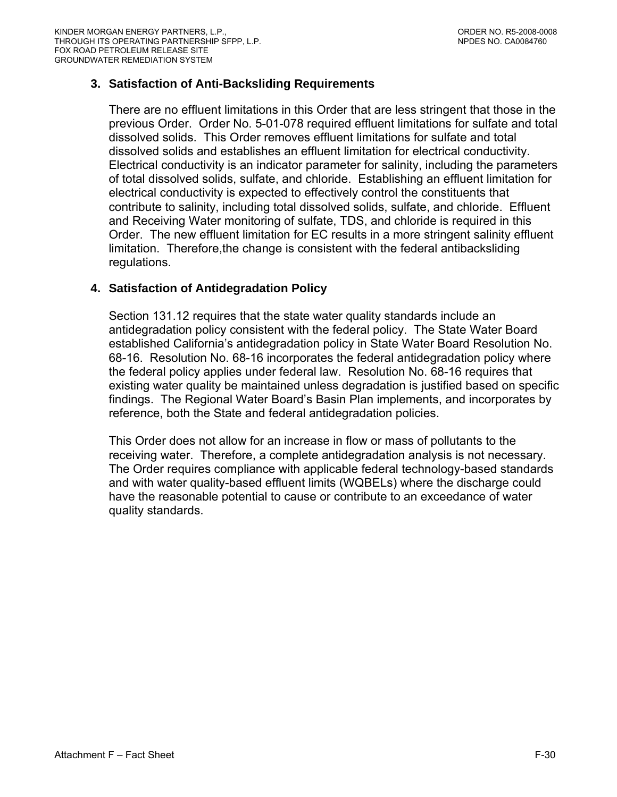# **3. Satisfaction of Anti-Backsliding Requirements**

There are no effluent limitations in this Order that are less stringent that those in the previous Order. Order No. 5-01-078 required effluent limitations for sulfate and total dissolved solids. This Order removes effluent limitations for sulfate and total dissolved solids and establishes an effluent limitation for electrical conductivity. Electrical conductivity is an indicator parameter for salinity, including the parameters of total dissolved solids, sulfate, and chloride. Establishing an effluent limitation for electrical conductivity is expected to effectively control the constituents that contribute to salinity, including total dissolved solids, sulfate, and chloride. Effluent and Receiving Water monitoring of sulfate, TDS, and chloride is required in this Order. The new effluent limitation for EC results in a more stringent salinity effluent limitation. Therefore,the change is consistent with the federal antibacksliding regulations.

# **4. Satisfaction of Antidegradation Policy**

Section 131.12 requires that the state water quality standards include an antidegradation policy consistent with the federal policy. The State Water Board established California's antidegradation policy in State Water Board Resolution No. 68-16. Resolution No. 68-16 incorporates the federal antidegradation policy where the federal policy applies under federal law. Resolution No. 68-16 requires that existing water quality be maintained unless degradation is justified based on specific findings. The Regional Water Board's Basin Plan implements, and incorporates by reference, both the State and federal antidegradation policies.

This Order does not allow for an increase in flow or mass of pollutants to the receiving water. Therefore, a complete antidegradation analysis is not necessary. The Order requires compliance with applicable federal technology-based standards and with water quality-based effluent limits (WQBELs) where the discharge could have the reasonable potential to cause or contribute to an exceedance of water quality standards.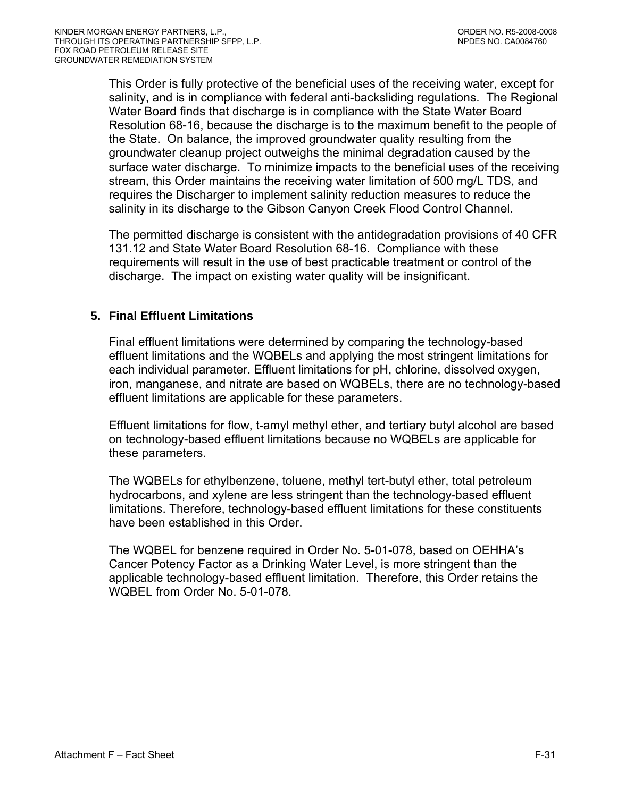This Order is fully protective of the beneficial uses of the receiving water, except for salinity, and is in compliance with federal anti-backsliding regulations. The Regional Water Board finds that discharge is in compliance with the State Water Board Resolution 68-16, because the discharge is to the maximum benefit to the people of the State. On balance, the improved groundwater quality resulting from the groundwater cleanup project outweighs the minimal degradation caused by the surface water discharge. To minimize impacts to the beneficial uses of the receiving stream, this Order maintains the receiving water limitation of 500 mg/L TDS, and requires the Discharger to implement salinity reduction measures to reduce the salinity in its discharge to the Gibson Canyon Creek Flood Control Channel.

The permitted discharge is consistent with the antidegradation provisions of 40 CFR 131.12 and State Water Board Resolution 68-16. Compliance with these requirements will result in the use of best practicable treatment or control of the discharge. The impact on existing water quality will be insignificant.

# **5. Final Effluent Limitations**

Final effluent limitations were determined by comparing the technology-based effluent limitations and the WQBELs and applying the most stringent limitations for each individual parameter. Effluent limitations for pH, chlorine, dissolved oxygen, iron, manganese, and nitrate are based on WQBELs, there are no technology-based effluent limitations are applicable for these parameters.

Effluent limitations for flow, t-amyl methyl ether, and tertiary butyl alcohol are based on technology-based effluent limitations because no WQBELs are applicable for these parameters.

The WQBELs for ethylbenzene, toluene, methyl tert-butyl ether, total petroleum hydrocarbons, and xylene are less stringent than the technology-based effluent limitations. Therefore, technology-based effluent limitations for these constituents have been established in this Order.

The WQBEL for benzene required in Order No. 5-01-078, based on OEHHA's Cancer Potency Factor as a Drinking Water Level, is more stringent than the applicable technology-based effluent limitation. Therefore, this Order retains the WQBEL from Order No. 5-01-078.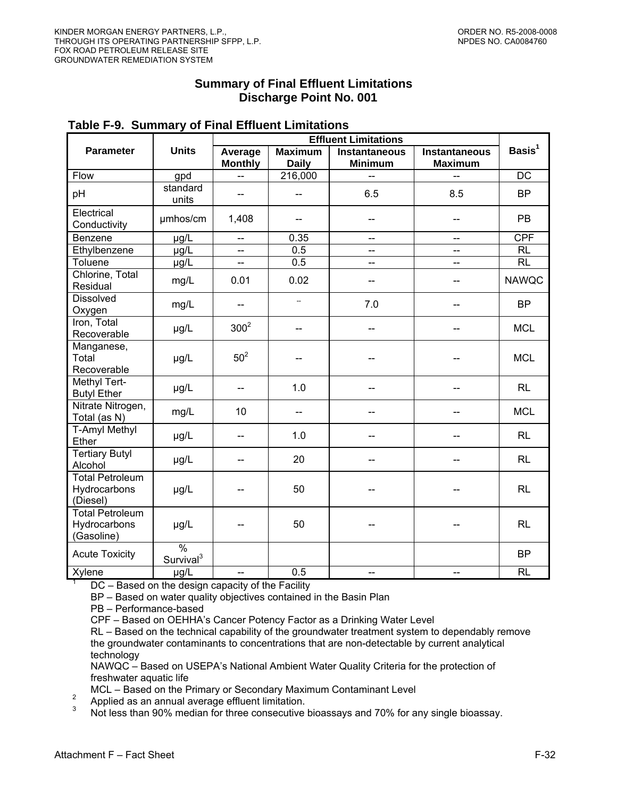# **Summary of Final Effluent Limitations Discharge Point No. 001**

|                                                      |                                     | <b>Effluent Limitations</b> |                                |                                        |                                        |                    |  |  |  |
|------------------------------------------------------|-------------------------------------|-----------------------------|--------------------------------|----------------------------------------|----------------------------------------|--------------------|--|--|--|
| <b>Parameter</b>                                     | <b>Units</b>                        | Average<br><b>Monthly</b>   | <b>Maximum</b><br><b>Daily</b> | <b>Instantaneous</b><br><b>Minimum</b> | <b>Instantaneous</b><br><b>Maximum</b> | Basis <sup>1</sup> |  |  |  |
| Flow                                                 | gpd                                 | $-$                         | 216,000                        | $-$                                    | --                                     | $\overline{DC}$    |  |  |  |
| pH                                                   | standard<br>units                   | $\overline{\phantom{a}}$    | $-$                            | 6.5                                    | 8.5                                    | <b>BP</b>          |  |  |  |
| Electrical<br>Conductivity                           | umhos/cm                            | 1,408                       |                                | $-$                                    | $-$                                    | PB                 |  |  |  |
| Benzene                                              | µg/L                                | $\overline{\phantom{a}}$    | 0.35                           | --                                     | $\qquad \qquad -$                      | <b>CPF</b>         |  |  |  |
| Ethylbenzene                                         | $\mu$ g/L                           | $-$                         | 0.5                            | -−                                     | $-$                                    | $\overline{RL}$    |  |  |  |
| Toluene                                              | µg/L                                | $\overline{\phantom{0}}$    | 0.5                            | --                                     | --                                     | RL                 |  |  |  |
| Chlorine, Total<br>Residual                          | mg/L                                | 0.01                        | 0.02                           |                                        | --                                     | <b>NAWQC</b>       |  |  |  |
| <b>Dissolved</b><br>Oxygen                           | mg/L                                |                             | $\overline{\phantom{a}}$       | 7.0                                    |                                        | <b>BP</b>          |  |  |  |
| Iron, Total<br>Recoverable                           | µg/L                                | 300 <sup>2</sup>            | $-$                            | $-$                                    | --                                     | <b>MCL</b>         |  |  |  |
| Manganese,<br>Total<br>Recoverable                   | µg/L                                | 50 <sup>2</sup>             |                                |                                        |                                        | <b>MCL</b>         |  |  |  |
| Methyl Tert-<br><b>Butyl Ether</b>                   | µg/L                                | $-$                         | 1.0                            |                                        |                                        | RL                 |  |  |  |
| Nitrate Nitrogen,<br>Total (as N)                    | mg/L                                | 10                          | --                             |                                        | --                                     | <b>MCL</b>         |  |  |  |
| <b>T-Amyl Methyl</b><br>Ether                        | µg/L                                | --                          | 1.0                            |                                        |                                        | RL                 |  |  |  |
| <b>Tertiary Butyl</b><br>Alcohol                     | µg/L                                |                             | 20                             |                                        |                                        | RL                 |  |  |  |
| <b>Total Petroleum</b><br>Hydrocarbons<br>(Diesel)   | µg/L                                |                             | 50                             |                                        |                                        | <b>RL</b>          |  |  |  |
| <b>Total Petroleum</b><br>Hydrocarbons<br>(Gasoline) | µg/L                                |                             | 50                             |                                        |                                        | <b>RL</b>          |  |  |  |
| <b>Acute Toxicity</b>                                | $\sqrt{9}$<br>Survival <sup>3</sup> |                             |                                |                                        |                                        | <b>BP</b>          |  |  |  |
| Xylene                                               | $\mu$ g/L                           | --                          | 0.5                            | --                                     | --                                     | <b>RL</b>          |  |  |  |

#### **Table F-9. Summary of Final Effluent Limitations**

DC – Based on the design capacity of the Facility

BP – Based on water quality objectives contained in the Basin Plan

PB – Performance-based

CPF – Based on OEHHA's Cancer Potency Factor as a Drinking Water Level

RL – Based on the technical capability of the groundwater treatment system to dependably remove the groundwater contaminants to concentrations that are non-detectable by current analytical technology

NAWQC – Based on USEPA's National Ambient Water Quality Criteria for the protection of freshwater aquatic life

MCL – Based on the Primary or Secondary Maximum Contaminant Level<br><sup>2</sup> Applied as an annual average effluent limitation.<br><sup>3</sup> Alphied as an annual average effluent limitation.

Not less than 90% median for three consecutive bioassays and 70% for any single bioassay.

1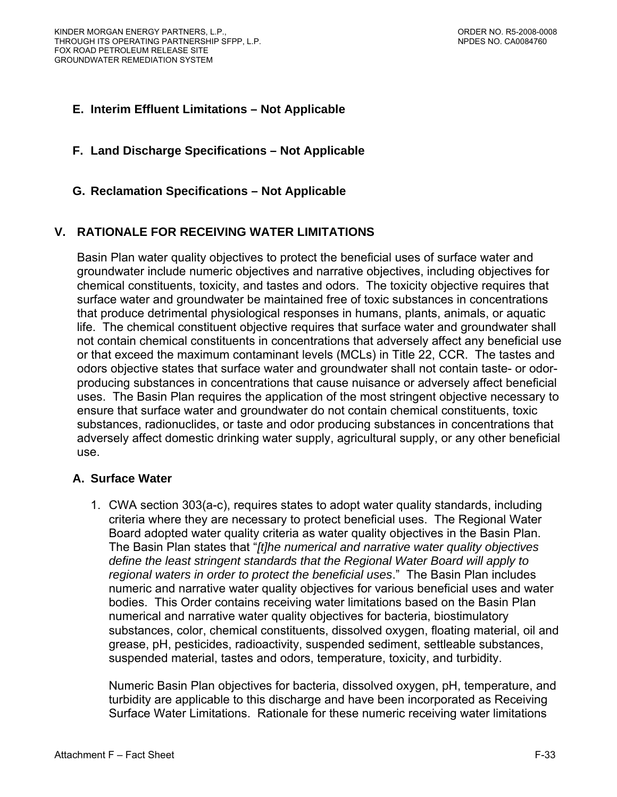# **E. Interim Effluent Limitations – Not Applicable**

**F. Land Discharge Specifications – Not Applicable** 

# **G. Reclamation Specifications – Not Applicable**

# **V. RATIONALE FOR RECEIVING WATER LIMITATIONS**

Basin Plan water quality objectives to protect the beneficial uses of surface water and groundwater include numeric objectives and narrative objectives, including objectives for chemical constituents, toxicity, and tastes and odors. The toxicity objective requires that surface water and groundwater be maintained free of toxic substances in concentrations that produce detrimental physiological responses in humans, plants, animals, or aquatic life. The chemical constituent objective requires that surface water and groundwater shall not contain chemical constituents in concentrations that adversely affect any beneficial use or that exceed the maximum contaminant levels (MCLs) in Title 22, CCR. The tastes and odors objective states that surface water and groundwater shall not contain taste- or odorproducing substances in concentrations that cause nuisance or adversely affect beneficial uses. The Basin Plan requires the application of the most stringent objective necessary to ensure that surface water and groundwater do not contain chemical constituents, toxic substances, radionuclides, or taste and odor producing substances in concentrations that adversely affect domestic drinking water supply, agricultural supply, or any other beneficial use.

# **A. Surface Water**

1. CWA section 303(a-c), requires states to adopt water quality standards, including criteria where they are necessary to protect beneficial uses. The Regional Water Board adopted water quality criteria as water quality objectives in the Basin Plan. The Basin Plan states that "*[t]he numerical and narrative water quality objectives define the least stringent standards that the Regional Water Board will apply to regional waters in order to protect the beneficial uses*." The Basin Plan includes numeric and narrative water quality objectives for various beneficial uses and water bodies. This Order contains receiving water limitations based on the Basin Plan numerical and narrative water quality objectives for bacteria, biostimulatory substances, color, chemical constituents, dissolved oxygen, floating material, oil and grease, pH, pesticides, radioactivity, suspended sediment, settleable substances, suspended material, tastes and odors, temperature, toxicity, and turbidity.

Numeric Basin Plan objectives for bacteria, dissolved oxygen, pH, temperature, and turbidity are applicable to this discharge and have been incorporated as Receiving Surface Water Limitations. Rationale for these numeric receiving water limitations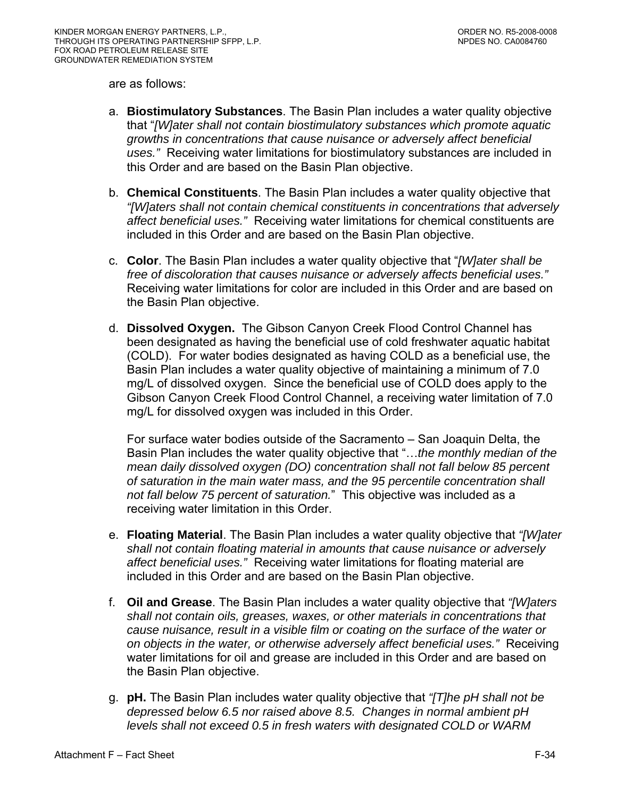are as follows:

- a. **Biostimulatory Substances**. The Basin Plan includes a water quality objective that "*[W]ater shall not contain biostimulatory substances which promote aquatic growths in concentrations that cause nuisance or adversely affect beneficial uses."* Receiving water limitations for biostimulatory substances are included in this Order and are based on the Basin Plan objective.
- b. **Chemical Constituents**. The Basin Plan includes a water quality objective that *"[W]aters shall not contain chemical constituents in concentrations that adversely affect beneficial uses."* Receiving water limitations for chemical constituents are included in this Order and are based on the Basin Plan objective.
- c. **Color**. The Basin Plan includes a water quality objective that "*[W]ater shall be free of discoloration that causes nuisance or adversely affects beneficial uses."*  Receiving water limitations for color are included in this Order and are based on the Basin Plan objective.
- d. **Dissolved Oxygen.** The Gibson Canyon Creek Flood Control Channel has been designated as having the beneficial use of cold freshwater aquatic habitat (COLD). For water bodies designated as having COLD as a beneficial use, the Basin Plan includes a water quality objective of maintaining a minimum of 7.0 mg/L of dissolved oxygen. Since the beneficial use of COLD does apply to the Gibson Canyon Creek Flood Control Channel, a receiving water limitation of 7.0 mg/L for dissolved oxygen was included in this Order.

For surface water bodies outside of the Sacramento – San Joaquin Delta, the Basin Plan includes the water quality objective that "…*the monthly median of the mean daily dissolved oxygen (DO) concentration shall not fall below 85 percent of saturation in the main water mass, and the 95 percentile concentration shall not fall below 75 percent of saturation.*" This objective was included as a receiving water limitation in this Order.

- e. **Floating Material**. The Basin Plan includes a water quality objective that *"[W]ater shall not contain floating material in amounts that cause nuisance or adversely affect beneficial uses."* Receiving water limitations for floating material are included in this Order and are based on the Basin Plan objective.
- f. **Oil and Grease**. The Basin Plan includes a water quality objective that *"[W]aters shall not contain oils, greases, waxes, or other materials in concentrations that cause nuisance, result in a visible film or coating on the surface of the water or on objects in the water, or otherwise adversely affect beneficial uses."* Receiving water limitations for oil and grease are included in this Order and are based on the Basin Plan objective.
- g. **pH.** The Basin Plan includes water quality objective that *"[T]he pH shall not be depressed below 6.5 nor raised above 8.5. Changes in normal ambient pH levels shall not exceed 0.5 in fresh waters with designated COLD or WARM*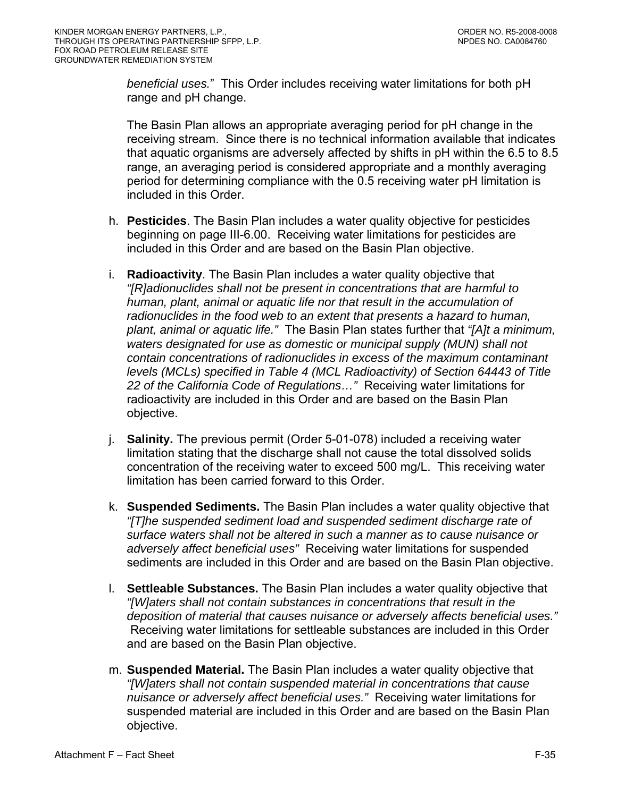*beneficial uses.*" This Order includes receiving water limitations for both pH range and pH change.

The Basin Plan allows an appropriate averaging period for pH change in the receiving stream. Since there is no technical information available that indicates that aquatic organisms are adversely affected by shifts in pH within the 6.5 to 8.5 range, an averaging period is considered appropriate and a monthly averaging period for determining compliance with the 0.5 receiving water pH limitation is included in this Order.

- h. **Pesticides**. The Basin Plan includes a water quality objective for pesticides beginning on page III-6.00. Receiving water limitations for pesticides are included in this Order and are based on the Basin Plan objective.
- i. **Radioactivity**. The Basin Plan includes a water quality objective that *"[R]adionuclides shall not be present in concentrations that are harmful to human, plant, animal or aquatic life nor that result in the accumulation of radionuclides in the food web to an extent that presents a hazard to human, plant, animal or aquatic life."* The Basin Plan states further that *"[A]t a minimum, waters designated for use as domestic or municipal supply (MUN) shall not contain concentrations of radionuclides in excess of the maximum contaminant levels (MCLs) specified in Table 4 (MCL Radioactivity) of Section 64443 of Title 22 of the California Code of Regulations…"* Receiving water limitations for radioactivity are included in this Order and are based on the Basin Plan objective.
- j. **Salinity.** The previous permit (Order 5-01-078) included a receiving water limitation stating that the discharge shall not cause the total dissolved solids concentration of the receiving water to exceed 500 mg/L. This receiving water limitation has been carried forward to this Order.
- k. **Suspended Sediments.** The Basin Plan includes a water quality objective that *"[T]he suspended sediment load and suspended sediment discharge rate of surface waters shall not be altered in such a manner as to cause nuisance or adversely affect beneficial uses"* Receiving water limitations for suspended sediments are included in this Order and are based on the Basin Plan objective.
- l. **Settleable Substances.** The Basin Plan includes a water quality objective that *"[W]aters shall not contain substances in concentrations that result in the deposition of material that causes nuisance or adversely affects beneficial uses."* Receiving water limitations for settleable substances are included in this Order and are based on the Basin Plan objective.
- m. **Suspended Material.** The Basin Plan includes a water quality objective that *"[W]aters shall not contain suspended material in concentrations that cause nuisance or adversely affect beneficial uses."* Receiving water limitations for suspended material are included in this Order and are based on the Basin Plan objective.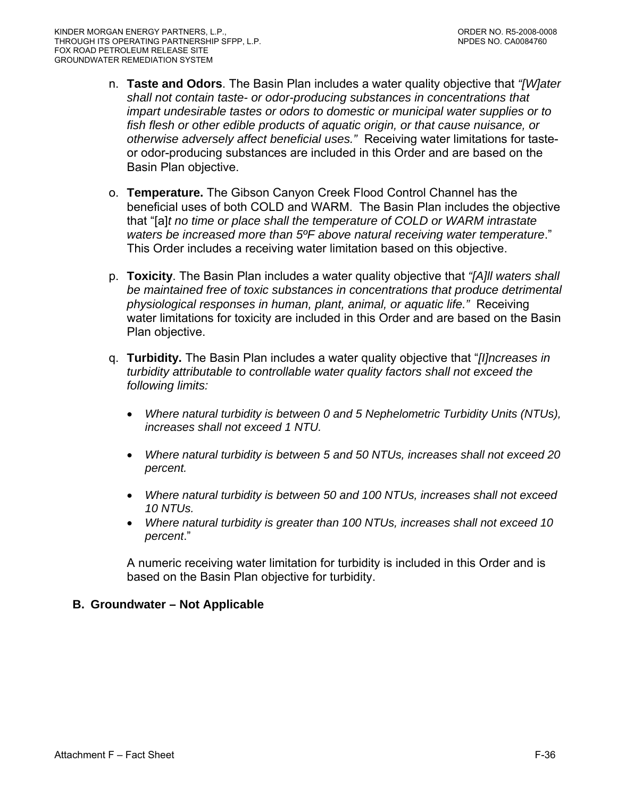- n. **Taste and Odors**. The Basin Plan includes a water quality objective that *"[W]ater shall not contain taste- or odor-producing substances in concentrations that impart undesirable tastes or odors to domestic or municipal water supplies or to fish flesh or other edible products of aquatic origin, or that cause nuisance, or otherwise adversely affect beneficial uses."* Receiving water limitations for tasteor odor-producing substances are included in this Order and are based on the Basin Plan objective.
- o. **Temperature.** The Gibson Canyon Creek Flood Control Channel has the beneficial uses of both COLD and WARM. The Basin Plan includes the objective that "[a]*t no time or place shall the temperature of COLD or WARM intrastate waters be increased more than 5ºF above natural receiving water temperature*." This Order includes a receiving water limitation based on this objective.
- p. **Toxicity**. The Basin Plan includes a water quality objective that *"[A]ll waters shall be maintained free of toxic substances in concentrations that produce detrimental physiological responses in human, plant, animal, or aquatic life."* Receiving water limitations for toxicity are included in this Order and are based on the Basin Plan objective.
- q. **Turbidity.** The Basin Plan includes a water quality objective that "*[I]ncreases in turbidity attributable to controllable water quality factors shall not exceed the following limits:* 
	- *Where natural turbidity is between 0 and 5 Nephelometric Turbidity Units (NTUs), increases shall not exceed 1 NTU.*
	- *Where natural turbidity is between 5 and 50 NTUs, increases shall not exceed 20 percent.*
	- *Where natural turbidity is between 50 and 100 NTUs, increases shall not exceed 10 NTUs.*
	- *Where natural turbidity is greater than 100 NTUs, increases shall not exceed 10 percent*."

A numeric receiving water limitation for turbidity is included in this Order and is based on the Basin Plan objective for turbidity.

# **B. Groundwater – Not Applicable**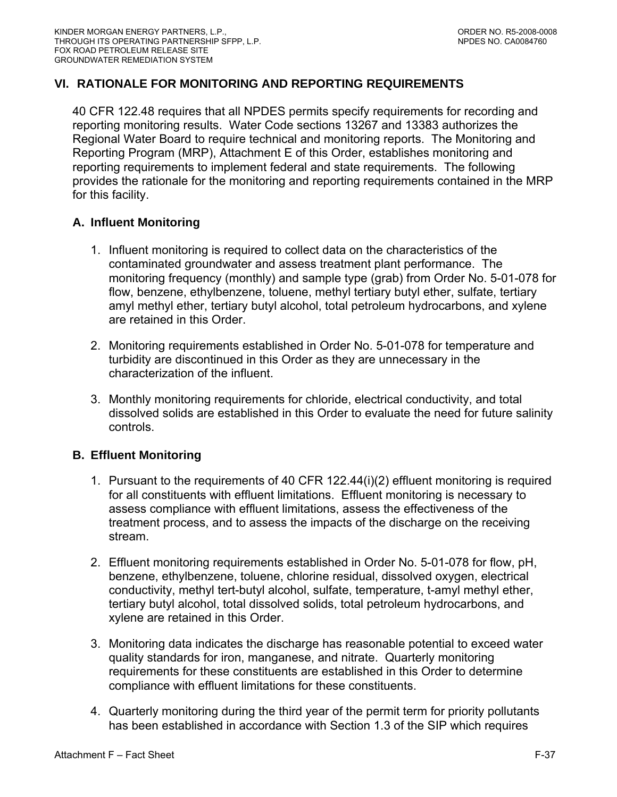# **VI. RATIONALE FOR MONITORING AND REPORTING REQUIREMENTS**

40 CFR 122.48 requires that all NPDES permits specify requirements for recording and reporting monitoring results. Water Code sections 13267 and 13383 authorizes the Regional Water Board to require technical and monitoring reports. The Monitoring and Reporting Program (MRP), Attachment E of this Order, establishes monitoring and reporting requirements to implement federal and state requirements. The following provides the rationale for the monitoring and reporting requirements contained in the MRP for this facility.

### **A. Influent Monitoring**

- 1. Influent monitoring is required to collect data on the characteristics of the contaminated groundwater and assess treatment plant performance. The monitoring frequency (monthly) and sample type (grab) from Order No. 5-01-078 for flow, benzene, ethylbenzene, toluene, methyl tertiary butyl ether, sulfate, tertiary amyl methyl ether, tertiary butyl alcohol, total petroleum hydrocarbons, and xylene are retained in this Order.
- 2. Monitoring requirements established in Order No. 5-01-078 for temperature and turbidity are discontinued in this Order as they are unnecessary in the characterization of the influent.
- 3. Monthly monitoring requirements for chloride, electrical conductivity, and total dissolved solids are established in this Order to evaluate the need for future salinity controls.

# **B. Effluent Monitoring**

- 1. Pursuant to the requirements of 40 CFR 122.44(i)(2) effluent monitoring is required for all constituents with effluent limitations. Effluent monitoring is necessary to assess compliance with effluent limitations, assess the effectiveness of the treatment process, and to assess the impacts of the discharge on the receiving stream.
- 2. Effluent monitoring requirements established in Order No. 5-01-078 for flow, pH, benzene, ethylbenzene, toluene, chlorine residual, dissolved oxygen, electrical conductivity, methyl tert-butyl alcohol, sulfate, temperature, t-amyl methyl ether, tertiary butyl alcohol, total dissolved solids, total petroleum hydrocarbons, and xylene are retained in this Order.
- 3. Monitoring data indicates the discharge has reasonable potential to exceed water quality standards for iron, manganese, and nitrate. Quarterly monitoring requirements for these constituents are established in this Order to determine compliance with effluent limitations for these constituents.
- 4. Quarterly monitoring during the third year of the permit term for priority pollutants has been established in accordance with Section 1.3 of the SIP which requires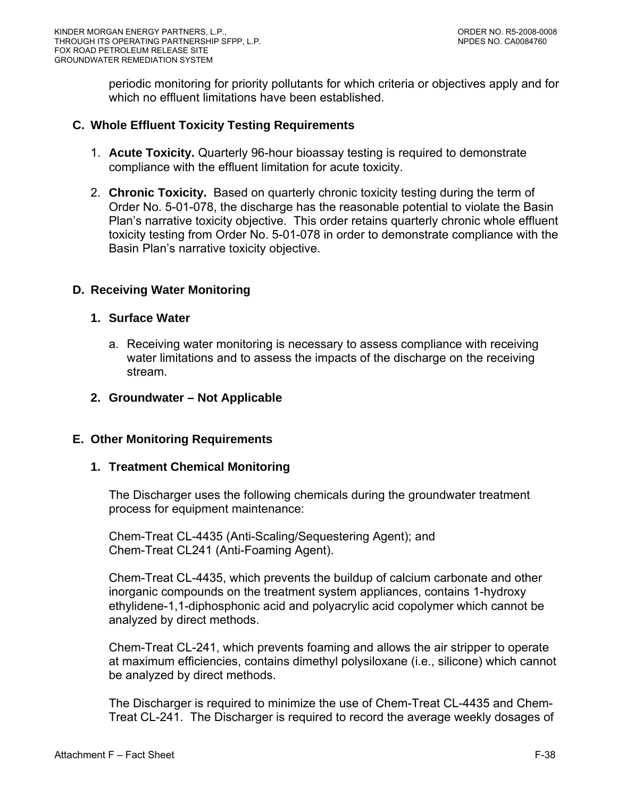periodic monitoring for priority pollutants for which criteria or objectives apply and for which no effluent limitations have been established.

### **C. Whole Effluent Toxicity Testing Requirements**

- 1. **Acute Toxicity.** Quarterly 96-hour bioassay testing is required to demonstrate compliance with the effluent limitation for acute toxicity.
- 2. **Chronic Toxicity.** Based on quarterly chronic toxicity testing during the term of Order No. 5-01-078, the discharge has the reasonable potential to violate the Basin Plan's narrative toxicity objective. This order retains quarterly chronic whole effluent toxicity testing from Order No. 5-01-078 in order to demonstrate compliance with the Basin Plan's narrative toxicity objective.

### **D. Receiving Water Monitoring**

#### **1. Surface Water**

- a. Receiving water monitoring is necessary to assess compliance with receiving water limitations and to assess the impacts of the discharge on the receiving stream.
- **2. Groundwater Not Applicable**

#### **E. Other Monitoring Requirements**

### **1. Treatment Chemical Monitoring**

The Discharger uses the following chemicals during the groundwater treatment process for equipment maintenance:

Chem-Treat CL-4435 (Anti-Scaling/Sequestering Agent); and Chem-Treat CL241 (Anti-Foaming Agent).

Chem-Treat CL-4435, which prevents the buildup of calcium carbonate and other inorganic compounds on the treatment system appliances, contains 1-hydroxy ethylidene-1,1-diphosphonic acid and polyacrylic acid copolymer which cannot be analyzed by direct methods.

Chem-Treat CL-241, which prevents foaming and allows the air stripper to operate at maximum efficiencies, contains dimethyl polysiloxane (i.e., silicone) which cannot be analyzed by direct methods.

The Discharger is required to minimize the use of Chem-Treat CL-4435 and Chem-Treat CL-241. The Discharger is required to record the average weekly dosages of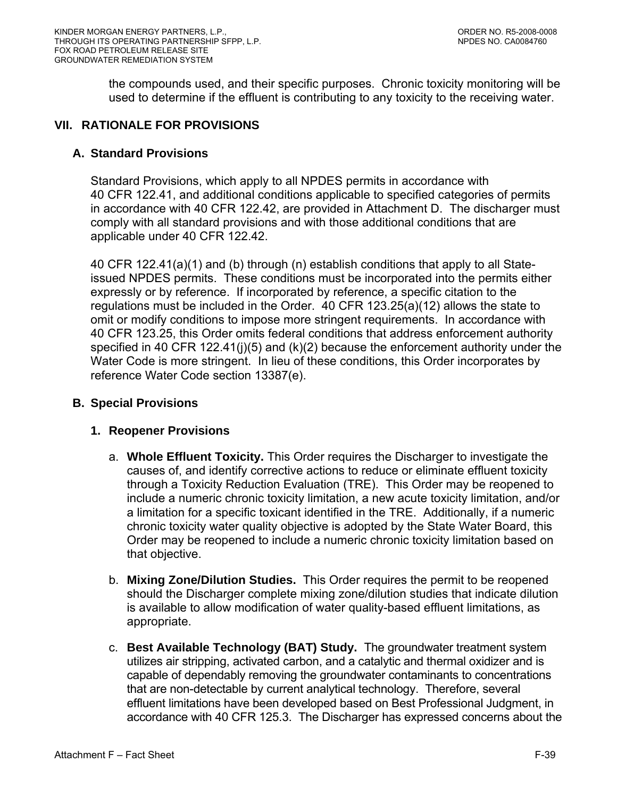the compounds used, and their specific purposes. Chronic toxicity monitoring will be used to determine if the effluent is contributing to any toxicity to the receiving water.

## **VII. RATIONALE FOR PROVISIONS**

#### **A. Standard Provisions**

Standard Provisions, which apply to all NPDES permits in accordance with 40 CFR 122.41, and additional conditions applicable to specified categories of permits in accordance with 40 CFR 122.42, are provided in Attachment D. The discharger must comply with all standard provisions and with those additional conditions that are applicable under 40 CFR 122.42.

40 CFR 122.41(a)(1) and (b) through (n) establish conditions that apply to all Stateissued NPDES permits. These conditions must be incorporated into the permits either expressly or by reference. If incorporated by reference, a specific citation to the regulations must be included in the Order. 40 CFR 123.25(a)(12) allows the state to omit or modify conditions to impose more stringent requirements. In accordance with 40 CFR 123.25, this Order omits federal conditions that address enforcement authority specified in 40 CFR 122.41(j)(5) and  $(k)(2)$  because the enforcement authority under the Water Code is more stringent. In lieu of these conditions, this Order incorporates by reference Water Code section 13387(e).

#### **B. Special Provisions**

# **1. Reopener Provisions**

- a. **Whole Effluent Toxicity.** This Order requires the Discharger to investigate the causes of, and identify corrective actions to reduce or eliminate effluent toxicity through a Toxicity Reduction Evaluation (TRE). This Order may be reopened to include a numeric chronic toxicity limitation, a new acute toxicity limitation, and/or a limitation for a specific toxicant identified in the TRE. Additionally, if a numeric chronic toxicity water quality objective is adopted by the State Water Board, this Order may be reopened to include a numeric chronic toxicity limitation based on that objective.
- b. **Mixing Zone/Dilution Studies.** This Order requires the permit to be reopened should the Discharger complete mixing zone/dilution studies that indicate dilution is available to allow modification of water quality-based effluent limitations, as appropriate.
- c. **Best Available Technology (BAT) Study.** The groundwater treatment system utilizes air stripping, activated carbon, and a catalytic and thermal oxidizer and is capable of dependably removing the groundwater contaminants to concentrations that are non-detectable by current analytical technology. Therefore, several effluent limitations have been developed based on Best Professional Judgment, in accordance with 40 CFR 125.3. The Discharger has expressed concerns about the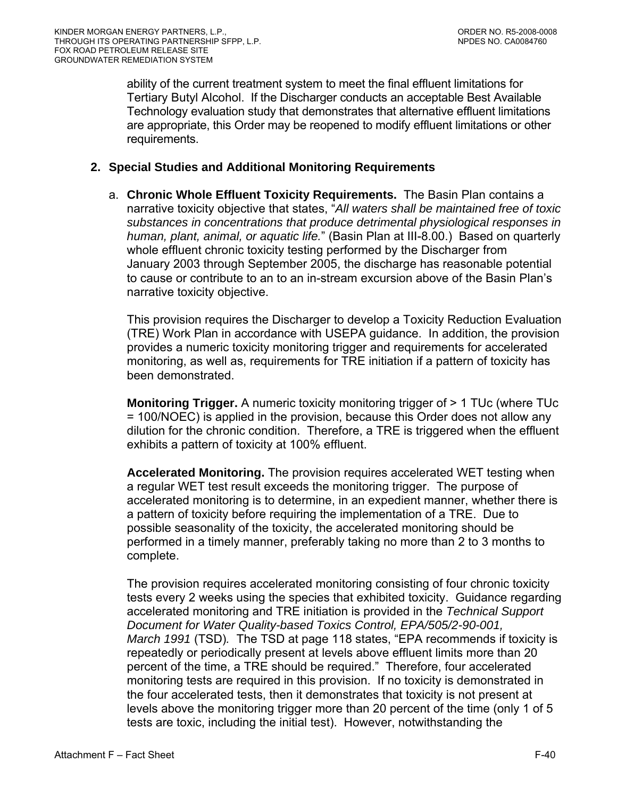ability of the current treatment system to meet the final effluent limitations for Tertiary Butyl Alcohol. If the Discharger conducts an acceptable Best Available Technology evaluation study that demonstrates that alternative effluent limitations are appropriate, this Order may be reopened to modify effluent limitations or other requirements.

## **2. Special Studies and Additional Monitoring Requirements**

a. **Chronic Whole Effluent Toxicity Requirements.** The Basin Plan contains a narrative toxicity objective that states, "*All waters shall be maintained free of toxic substances in concentrations that produce detrimental physiological responses in human, plant, animal, or aquatic life.*" (Basin Plan at III-8.00.) Based on quarterly whole effluent chronic toxicity testing performed by the Discharger from January 2003 through September 2005, the discharge has reasonable potential to cause or contribute to an to an in-stream excursion above of the Basin Plan's narrative toxicity objective.

This provision requires the Discharger to develop a Toxicity Reduction Evaluation (TRE) Work Plan in accordance with USEPA guidance. In addition, the provision provides a numeric toxicity monitoring trigger and requirements for accelerated monitoring, as well as, requirements for TRE initiation if a pattern of toxicity has been demonstrated.

**Monitoring Trigger.** A numeric toxicity monitoring trigger of > 1 TUc (where TUc = 100/NOEC) is applied in the provision, because this Order does not allow any dilution for the chronic condition. Therefore, a TRE is triggered when the effluent exhibits a pattern of toxicity at 100% effluent.

**Accelerated Monitoring.** The provision requires accelerated WET testing when a regular WET test result exceeds the monitoring trigger. The purpose of accelerated monitoring is to determine, in an expedient manner, whether there is a pattern of toxicity before requiring the implementation of a TRE. Due to possible seasonality of the toxicity, the accelerated monitoring should be performed in a timely manner, preferably taking no more than 2 to 3 months to complete.

The provision requires accelerated monitoring consisting of four chronic toxicity tests every 2 weeks using the species that exhibited toxicity. Guidance regarding accelerated monitoring and TRE initiation is provided in the *Technical Support Document for Water Quality-based Toxics Control, EPA/505/2-90-001, March 1991* (TSD)*.* The TSD at page 118 states, "EPA recommends if toxicity is repeatedly or periodically present at levels above effluent limits more than 20 percent of the time, a TRE should be required." Therefore, four accelerated monitoring tests are required in this provision. If no toxicity is demonstrated in the four accelerated tests, then it demonstrates that toxicity is not present at levels above the monitoring trigger more than 20 percent of the time (only 1 of 5 tests are toxic, including the initial test). However, notwithstanding the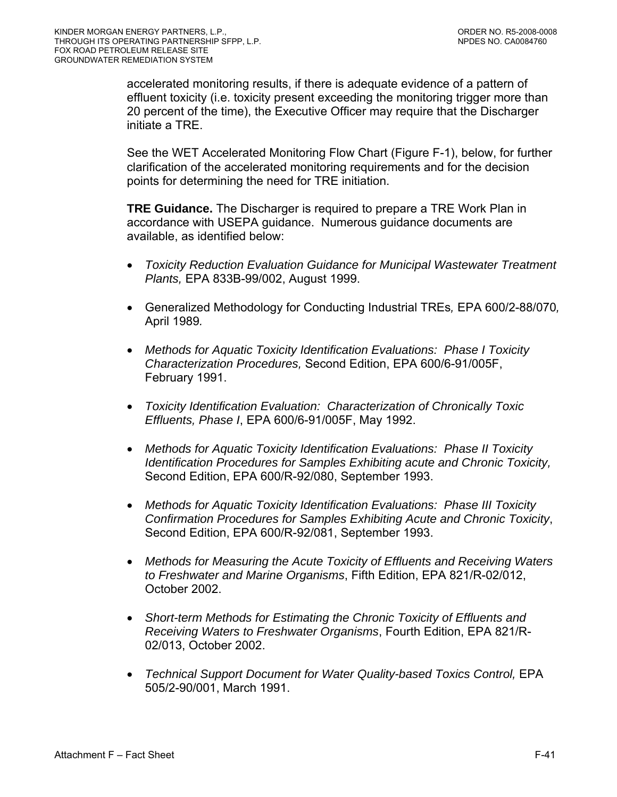accelerated monitoring results, if there is adequate evidence of a pattern of effluent toxicity (i.e. toxicity present exceeding the monitoring trigger more than 20 percent of the time), the Executive Officer may require that the Discharger initiate a TRE.

See the WET Accelerated Monitoring Flow Chart (Figure F-1), below, for further clarification of the accelerated monitoring requirements and for the decision points for determining the need for TRE initiation.

**TRE Guidance.** The Discharger is required to prepare a TRE Work Plan in accordance with USEPA guidance. Numerous guidance documents are available, as identified below:

- *Toxicity Reduction Evaluation Guidance for Municipal Wastewater Treatment Plants,* EPA 833B-99/002, August 1999.
- Generalized Methodology for Conducting Industrial TREs*,* EPA 600/2-88/070*,*  April 1989*.*
- *Methods for Aquatic Toxicity Identification Evaluations: Phase I Toxicity Characterization Procedures,* Second Edition, EPA 600/6-91/005F, February 1991.
- *Toxicity Identification Evaluation: Characterization of Chronically Toxic Effluents, Phase I*, EPA 600/6-91/005F, May 1992.
- *Methods for Aquatic Toxicity Identification Evaluations: Phase II Toxicity Identification Procedures for Samples Exhibiting acute and Chronic Toxicity,*  Second Edition, EPA 600/R-92/080, September 1993.
- *Methods for Aquatic Toxicity Identification Evaluations: Phase III Toxicity Confirmation Procedures for Samples Exhibiting Acute and Chronic Toxicity*, Second Edition, EPA 600/R-92/081, September 1993.
- *Methods for Measuring the Acute Toxicity of Effluents and Receiving Waters to Freshwater and Marine Organisms*, Fifth Edition, EPA 821/R-02/012, October 2002.
- *Short-term Methods for Estimating the Chronic Toxicity of Effluents and Receiving Waters to Freshwater Organisms*, Fourth Edition, EPA 821/R-02/013, October 2002.
- *Technical Support Document for Water Quality-based Toxics Control, EPA* 505/2-90/001, March 1991.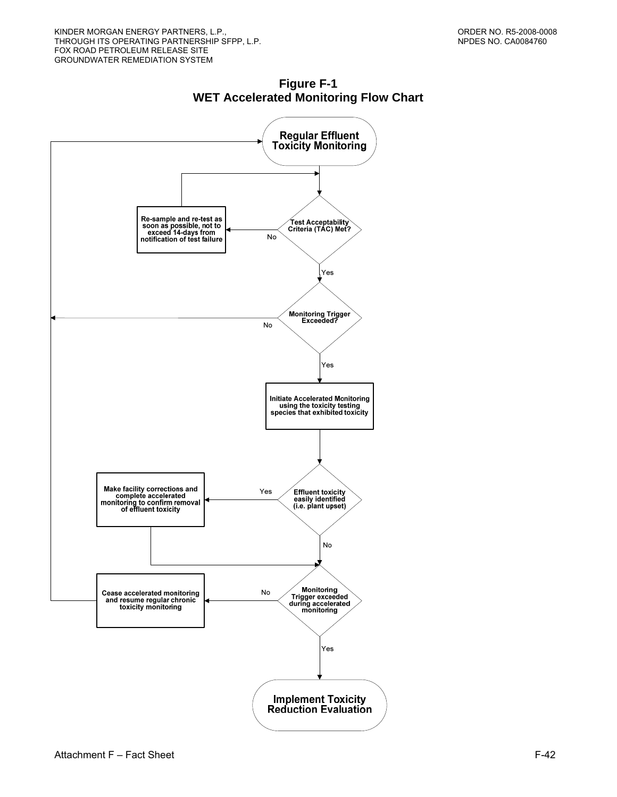

**Figure F-1 WET Accelerated Monitoring Flow Chart**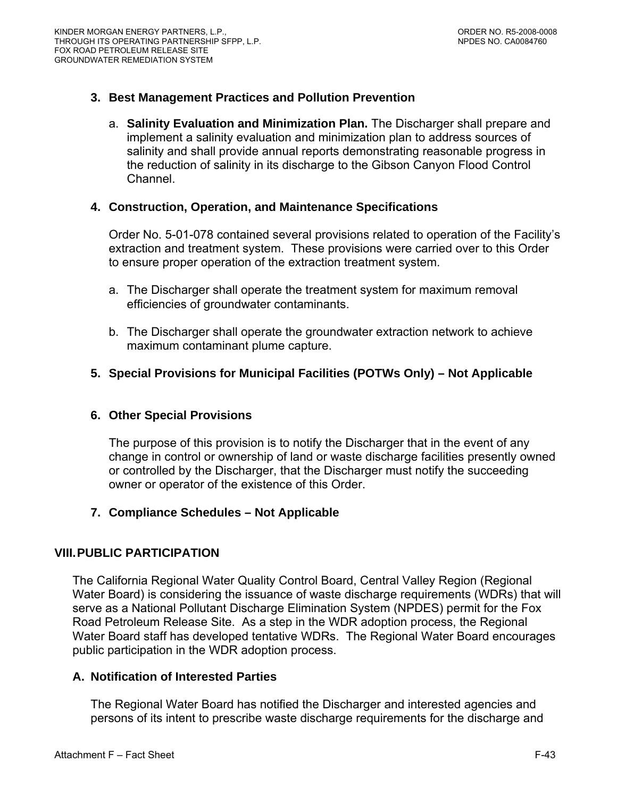# **3. Best Management Practices and Pollution Prevention**

a. **Salinity Evaluation and Minimization Plan.** The Discharger shall prepare and implement a salinity evaluation and minimization plan to address sources of salinity and shall provide annual reports demonstrating reasonable progress in the reduction of salinity in its discharge to the Gibson Canyon Flood Control Channel.

### **4. Construction, Operation, and Maintenance Specifications**

Order No. 5-01-078 contained several provisions related to operation of the Facility's extraction and treatment system. These provisions were carried over to this Order to ensure proper operation of the extraction treatment system.

- a. The Discharger shall operate the treatment system for maximum removal efficiencies of groundwater contaminants.
- b. The Discharger shall operate the groundwater extraction network to achieve maximum contaminant plume capture.

# **5. Special Provisions for Municipal Facilities (POTWs Only) – Not Applicable**

#### **6. Other Special Provisions**

The purpose of this provision is to notify the Discharger that in the event of any change in control or ownership of land or waste discharge facilities presently owned or controlled by the Discharger, that the Discharger must notify the succeeding owner or operator of the existence of this Order.

#### **7. Compliance Schedules – Not Applicable**

#### **VIII. PUBLIC PARTICIPATION**

The California Regional Water Quality Control Board, Central Valley Region (Regional Water Board) is considering the issuance of waste discharge requirements (WDRs) that will serve as a National Pollutant Discharge Elimination System (NPDES) permit for the Fox Road Petroleum Release Site. As a step in the WDR adoption process, the Regional Water Board staff has developed tentative WDRs. The Regional Water Board encourages public participation in the WDR adoption process.

# **A. Notification of Interested Parties**

The Regional Water Board has notified the Discharger and interested agencies and persons of its intent to prescribe waste discharge requirements for the discharge and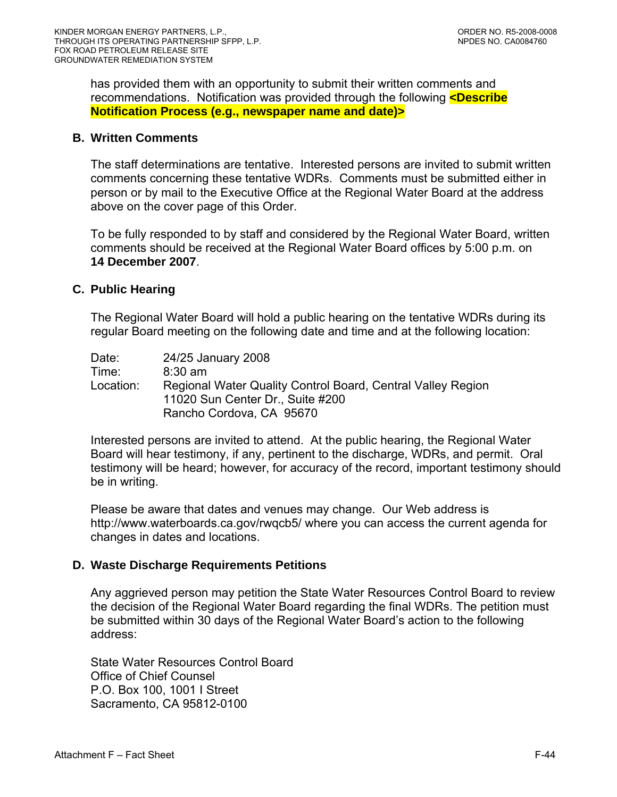has provided them with an opportunity to submit their written comments and recommendations. Notification was provided through the following **<Describe Notification Process (e.g., newspaper name and date)>** 

#### **B. Written Comments**

The staff determinations are tentative. Interested persons are invited to submit written comments concerning these tentative WDRs. Comments must be submitted either in person or by mail to the Executive Office at the Regional Water Board at the address above on the cover page of this Order.

To be fully responded to by staff and considered by the Regional Water Board, written comments should be received at the Regional Water Board offices by 5:00 p.m. on **14 December 2007**.

### **C. Public Hearing**

The Regional Water Board will hold a public hearing on the tentative WDRs during its regular Board meeting on the following date and time and at the following location:

| Date:     | 24/25 January 2008                                          |
|-----------|-------------------------------------------------------------|
| Time:     | $8:30 \text{ am}$                                           |
| Location: | Regional Water Quality Control Board, Central Valley Region |
|           | 11020 Sun Center Dr., Suite #200                            |
|           | Rancho Cordova, CA 95670                                    |

Interested persons are invited to attend. At the public hearing, the Regional Water Board will hear testimony, if any, pertinent to the discharge, WDRs, and permit. Oral testimony will be heard; however, for accuracy of the record, important testimony should be in writing.

Please be aware that dates and venues may change. Our Web address is <http://www.waterboards.ca.gov/rwqcb5/> where you can access the current agenda for changes in dates and locations.

# **D. Waste Discharge Requirements Petitions**

Any aggrieved person may petition the State Water Resources Control Board to review the decision of the Regional Water Board regarding the final WDRs. The petition must be submitted within 30 days of the Regional Water Board's action to the following address:

State Water Resources Control Board Office of Chief Counsel P.O. Box 100, 1001 I Street Sacramento, CA 95812-0100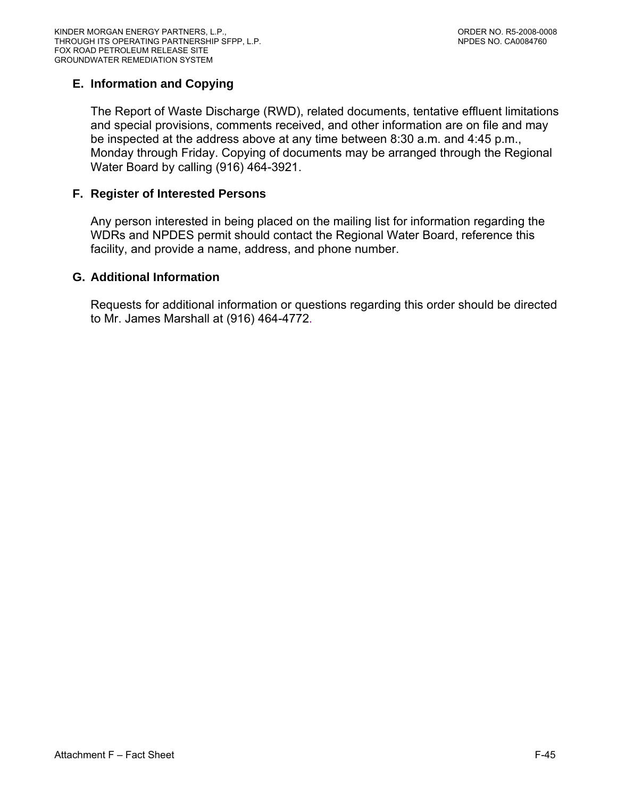# **E. Information and Copying**

The Report of Waste Discharge (RWD), related documents, tentative effluent limitations and special provisions, comments received, and other information are on file and may be inspected at the address above at any time between 8:30 a.m. and 4:45 p.m., Monday through Friday. Copying of documents may be arranged through the Regional Water Board by calling (916) 464-3921.

# **F. Register of Interested Persons**

Any person interested in being placed on the mailing list for information regarding the WDRs and NPDES permit should contact the Regional Water Board, reference this facility, and provide a name, address, and phone number.

#### **G. Additional Information**

Requests for additional information or questions regarding this order should be directed to Mr. James Marshall at (916) 464-4772.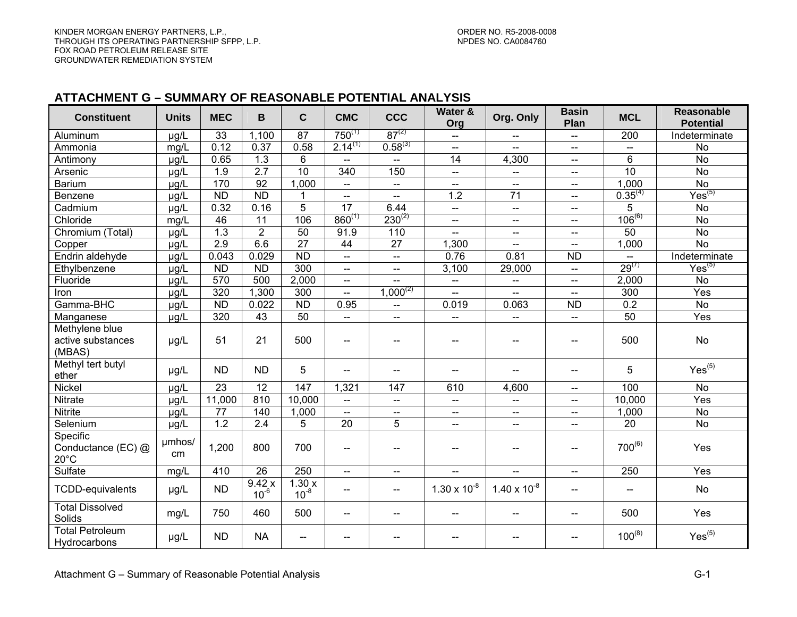#### **ATTACHMENT G – SUMMARY OF REASONABLE POTENTIAL ANALYSIS**

| <b>Constituent</b>                               | <b>Units</b> | <b>MEC</b>      | B                  | $\mathbf c$              | <b>CMC</b>               | <b>CCC</b>               | Water &<br>Org           | Org. Only                | <b>Basin</b><br>Plan                | <b>MCL</b>               | <b>Reasonable</b><br><b>Potential</b> |
|--------------------------------------------------|--------------|-----------------|--------------------|--------------------------|--------------------------|--------------------------|--------------------------|--------------------------|-------------------------------------|--------------------------|---------------------------------------|
| Aluminum                                         | $\mu$ g/L    | 33              | 1,100              | $\overline{87}$          | $750^{(1)}$              | $87^{(2)}$               | $\overline{\phantom{m}}$ |                          | $\overline{\phantom{a}}$            | $\overline{200}$         | Indeterminate                         |
| Ammonia                                          | mg/L         | 0.12            | 0.37               | 0.58                     | $2.14^{(1)}$             | $0.58^{(3)}$             | $\overline{a}$           |                          | $\overline{a}$                      | $\overline{a}$           | $\overline{N}$                        |
| Antimony                                         | $\mu$ g/L    | 0.65            | 1.3                | 6                        | --                       | --                       | 14                       | 4,300                    | $- -$                               | 6                        | $\overline{N}$                        |
| Arsenic                                          | µg/L         | 1.9             | 2.7                | 10                       | 340                      | 150                      | $-$                      | --                       | $\qquad \qquad -$                   | 10                       | $\overline{N}$                        |
| <b>Barium</b>                                    | µg/L         | 170             | $\overline{92}$    | 1,000                    | $\overline{a}$           | $\overline{a}$           | $-$                      |                          | $\overline{\phantom{a}}$            | 1,000                    | $\overline{N}$                        |
| Benzene                                          | $\mu$ g/L    | $\overline{ND}$ | ND                 | 1                        | $- -$                    | $\overline{\phantom{a}}$ | 1.2                      | $\overline{71}$          | $\overline{\phantom{a}}$            | $0.35^{(4)}$             | Yes <sup>(5)</sup>                    |
| Cadmium                                          | µg/L         | 0.32            | 0.16               | $\overline{5}$           | 17                       | 6.44                     | --                       | $\overline{\phantom{a}}$ | $\overline{\phantom{a}}$            | 5                        | No                                    |
| Chloride                                         | mg/L         | 46              | 11                 | 106                      | $860^{(1)}$              | $230^{(2)}$              | $\overline{\phantom{a}}$ | $\overline{\phantom{a}}$ | $\overline{\phantom{a}}$            | $106^{(6)}$              | <b>No</b>                             |
| Chromium (Total)                                 | $\mu$ g/L    | 1.3             | $\overline{2}$     | $\overline{50}$          | 91.9                     | 110                      | --                       | $\hspace{0.05cm}$        | $\overline{\phantom{a}}$            | $\overline{50}$          | $\overline{N}$                        |
| Copper                                           | µg/L         | 2.9             | 6.6                | $\overline{27}$          | $\overline{44}$          | $\overline{27}$          | 1,300                    | $\hspace{0.05cm}$        | $\hspace{0.05cm}$                   | 1,000                    | $\overline{N}$                        |
| Endrin aldehyde                                  | $\mu$ g/L    | 0.043           | 0.029              | <b>ND</b>                | $-$                      | $\overline{\phantom{a}}$ | 0.76                     | 0.81                     | <b>ND</b>                           |                          | Indeterminate                         |
| Ethylbenzene                                     | $\mu$ g/L    | <b>ND</b>       | $\overline{ND}$    | 300                      | $\overline{\phantom{a}}$ | $\overline{\phantom{a}}$ | 3,100                    | 29,000                   | $\hspace{0.05cm}$ $\hspace{0.05cm}$ | $29^{(7)}$               | $\mathsf{Yes}^{(5)}$                  |
| Fluoride                                         | $\mu$ g/L    | 570             | 500                | 2,000                    | $\overline{\phantom{a}}$ | $\overline{\phantom{a}}$ | $\overline{\phantom{a}}$ | $\overline{\phantom{a}}$ | $\overline{\phantom{a}}$            | 2,000                    | <b>No</b>                             |
| Iron                                             | µg/L         | 320             | 1,300              | $\overline{300}$         | $-$                      | $1,000^{(2)}$            | $\overline{a}$           | $\equiv$                 | $\overline{\phantom{a}}$            | 300                      | Yes                                   |
| Gamma-BHC                                        | µg/L         | ND              | 0.022              | $\overline{ND}$          | 0.95                     | цú.                      | 0.019                    | 0.063                    | <b>ND</b>                           | 0.2                      | No                                    |
| Manganese                                        | µg/L         | 320             | $\overline{43}$    | 50                       | $\overline{a}$           | Щ.                       | ΞĒ,                      | $-$                      | $-$                                 | 50                       | Yes                                   |
| Methylene blue<br>active substances<br>(MBAS)    | $\mu g/L$    | 51              | 21                 | 500                      | --                       | --                       | $\overline{\phantom{a}}$ | $\overline{\phantom{a}}$ | $\overline{\phantom{a}}$            | 500                      | No                                    |
| Methyl tert butyl<br>ether                       | µg/L         | <b>ND</b>       | <b>ND</b>          | 5                        | $\sim$                   | $\overline{\phantom{a}}$ | $\overline{\phantom{a}}$ | $-$                      | $- -$                               | 5                        | Yes <sup>(5)</sup>                    |
| Nickel                                           | µg/L         | $\overline{23}$ | $\overline{12}$    | 147                      | 1,321                    | 147                      | 610                      | 4,600                    | $\overline{a}$                      | 100                      | No                                    |
| <b>Nitrate</b>                                   | $\mu$ g/L    | 11,000          | 810                | 10,000                   | $-$                      | --                       | $\overline{a}$           | $\overline{a}$           | $-$                                 | 10,000                   | Yes                                   |
| <b>Nitrite</b>                                   | µg/L         | $\overline{77}$ | 140                | 1,000                    | $\overline{a}$           | $-$                      | $-$                      | $-$                      | $\overline{a}$                      | 1,000                    | <b>No</b>                             |
| Selenium                                         | µg/L         | 1.2             | $\overline{2.4}$   | $\overline{5}$           | $\overline{20}$          | $\overline{5}$           | Щ.                       | $\overline{\phantom{a}}$ | $\overline{\phantom{a}}$            | $\overline{20}$          | <b>No</b>                             |
| Specific<br>Conductance (EC) @<br>$20^{\circ}$ C | umhos/<br>cm | 1,200           | 800                | 700                      | --                       | --                       | --                       | $\overline{\phantom{a}}$ | $\overline{\phantom{a}}$            | $700^{(6)}$              | Yes                                   |
| Sulfate                                          | mg/L         | 410             | $\overline{26}$    | 250                      | $\overline{a}$           | --                       | Ш.                       | <u></u>                  | $-$                                 | 250                      | $\overline{Yes}$                      |
| <b>TCDD-equivalents</b>                          | µg/L         | <b>ND</b>       | 9.42x<br>$10^{-6}$ | 1.30x<br>$10^{-8}$       | $- -$                    | $\overline{a}$           | $1.30 \times 10^{-8}$    | $1.40 \times 10^{-8}$    | $\overline{a}$                      | $\overline{\phantom{a}}$ | <b>No</b>                             |
| <b>Total Dissolved</b><br>Solids                 | mg/L         | 750             | 460                | 500                      | $-$                      | $=$                      | $-$                      | $-$                      | $\overline{\phantom{a}}$            | 500                      | Yes                                   |
| <b>Total Petroleum</b><br>Hydrocarbons           | µg/L         | <b>ND</b>       | <b>NA</b>          | $\overline{\phantom{a}}$ | $-$                      | $-$                      | $-$                      |                          | $-$                                 | $100^{(8)}$              | Yes <sup>(5)</sup>                    |